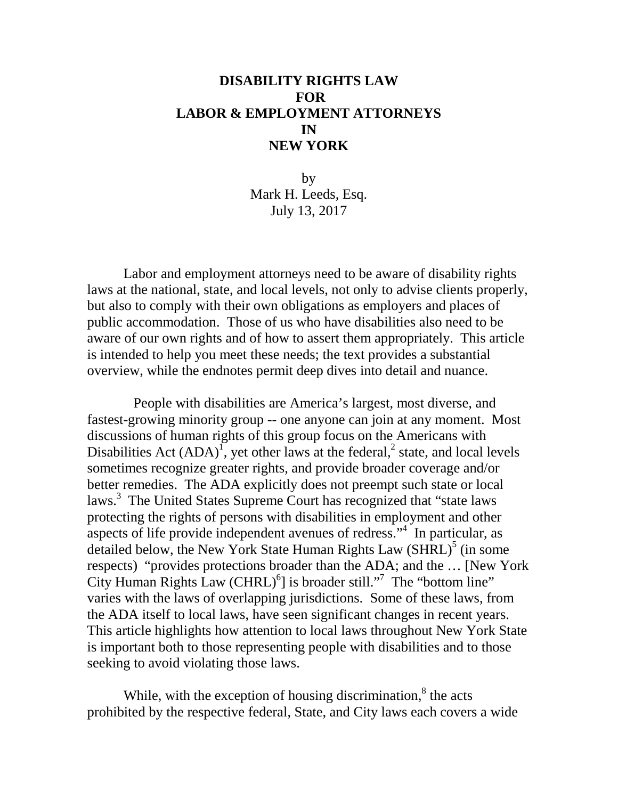# **DISABILITY RIGHTS LAW FOR LABOR & EMPLOYMENT ATTORNEYS IN NEW YORK**

by Mark H. Leeds, Esq. July 13, 2017

Labor and employment attorneys need to be aware of disability rights laws at the national, state, and local levels, not only to advise clients properly, but also to comply with their own obligations as employers and places of public accommodation. Those of us who have disabilities also need to be aware of our own rights and of how to assert them appropriately. This article is intended to help you meet these needs; the text provides a substantial overview, while the endnotes permit deep dives into detail and nuance.

People with disabilities are America's largest, most diverse, and fastest-growing minority group -- one anyone can join at any moment. Most discussions of human rights of this group focus on the Americans with Disabilities Act  $(ADA)^T$ , yet other laws at the federal,<sup>2</sup> state, and local levels sometimes recognize greater rights, and provide broader coverage and/or better remedies. The ADA explicitly does not preempt such state or local laws.<sup>3</sup> The United States Supreme Court has recognized that "state laws protecting the rights of persons with disabilities in employment and other aspects of life provide independent avenues of redress."4 In particular, as detailed below, the New York State Human Rights Law  $(SHRL)^{5}$  (in some respects) "provides protections broader than the ADA; and the … [New York City Human Rights Law  $(CHRL)^6$ ] is broader still."<sup>7</sup> The "bottom line" varies with the laws of overlapping jurisdictions. Some of these laws, from the ADA itself to local laws, have seen significant changes in recent years. This article highlights how attention to local laws throughout New York State is important both to those representing people with disabilities and to those seeking to avoid violating those laws.

While, with the exception of housing discrimination, $\delta$  the acts prohibited by the respective federal, State, and City laws each covers a wide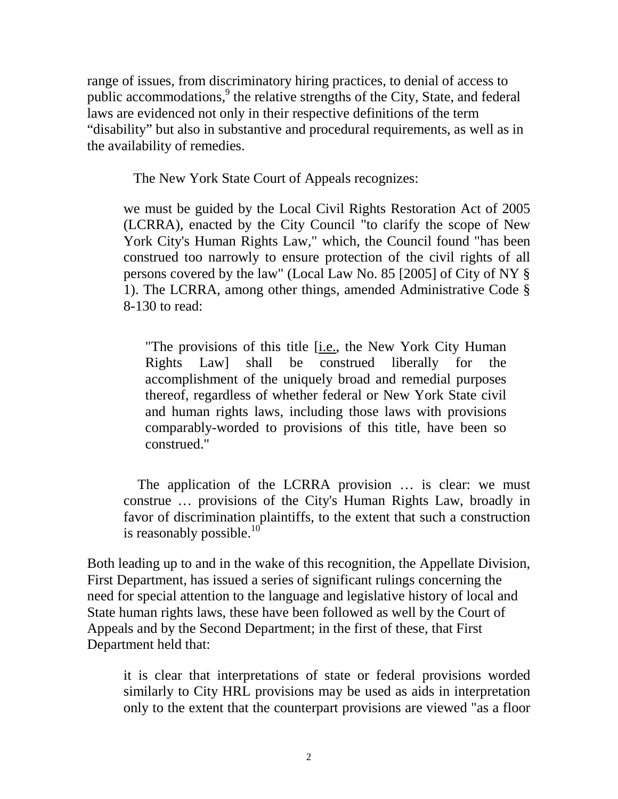range of issues, from discriminatory hiring practices, to denial of access to public accommodations,<sup>9</sup> the relative strengths of the City, State, and federal laws are evidenced not only in their respective definitions of the term "disability" but also in substantive and procedural requirements, as well as in the availability of remedies.

The New York State Court of Appeals recognizes:

we must be guided by the Local Civil Rights Restoration Act of 2005 (LCRRA), enacted by the City Council "to clarify the scope of New York City's Human Rights Law," which, the Council found "has been construed too narrowly to ensure protection of the civil rights of all persons covered by the law" (Local Law No. 85 [2005] of City of NY § 1). The LCRRA, among other things, amended Administrative Code § 8-130 to read:

"The provisions of this title [i.e., the New York City Human Rights Law] shall be construed liberally for the accomplishment of the uniquely broad and remedial purposes thereof, regardless of whether federal or New York State civil and human rights laws, including those laws with provisions comparably-worded to provisions of this title, have been so construed."

 The application of the LCRRA provision … is clear: we must construe … provisions of the City's Human Rights Law, broadly in favor of discrimination plaintiffs, to the extent that such a construction is reasonably possible.<sup>10</sup>

Both leading up to and in the wake of this recognition, the Appellate Division, First Department, has issued a series of significant rulings concerning the need for special attention to the language and legislative history of local and State human rights laws, these have been followed as well by the Court of Appeals and by the Second Department; in the first of these, that First Department held that:

it is clear that interpretations of state or federal provisions worded similarly to City HRL provisions may be used as aids in interpretation only to the extent that the counterpart provisions are viewed "as a floor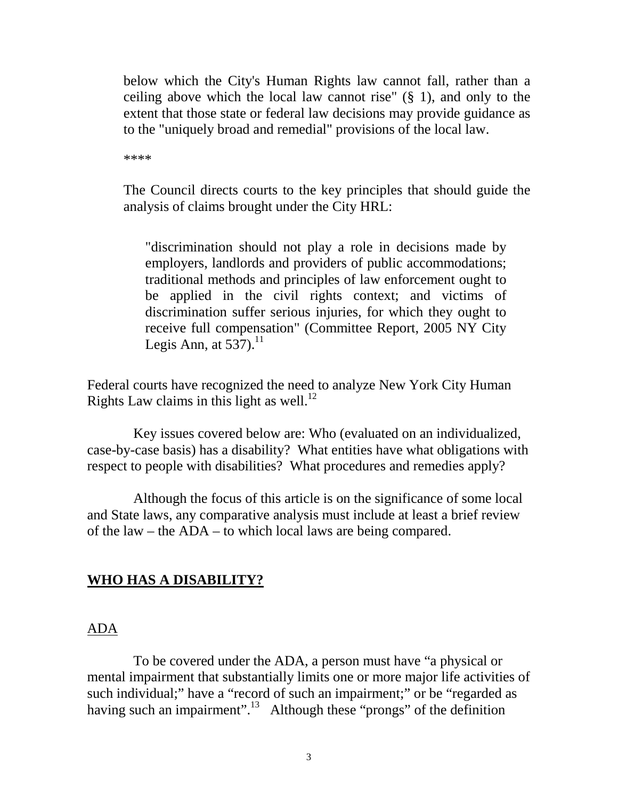below which the City's Human Rights law cannot fall, rather than a ceiling above which the local law cannot rise" (§ 1), and only to the extent that those state or federal law decisions may provide guidance as to the "uniquely broad and remedial" provisions of the local law.

\*\*\*\*

The Council directs courts to the key principles that should guide the analysis of claims brought under the City HRL:

"discrimination should not play a role in decisions made by employers, landlords and providers of public accommodations; traditional methods and principles of law enforcement ought to be applied in the civil rights context; and victims of discrimination suffer serious injuries, for which they ought to receive full compensation" (Committee Report, 2005 NY City Legis Ann, at  $537$ ).<sup>11</sup>

Federal courts have recognized the need to analyze New York City Human Rights Law claims in this light as well.<sup>12</sup>

Key issues covered below are: Who (evaluated on an individualized, case-by-case basis) has a disability? What entities have what obligations with respect to people with disabilities? What procedures and remedies apply?

Although the focus of this article is on the significance of some local and State laws, any comparative analysis must include at least a brief review of the law – the ADA – to which local laws are being compared.

### **WHO HAS A DISABILITY?**

#### ADA

To be covered under the ADA, a person must have "a physical or mental impairment that substantially limits one or more major life activities of such individual;" have a "record of such an impairment;" or be "regarded as having such an impairment".<sup>13</sup> Although these "prongs" of the definition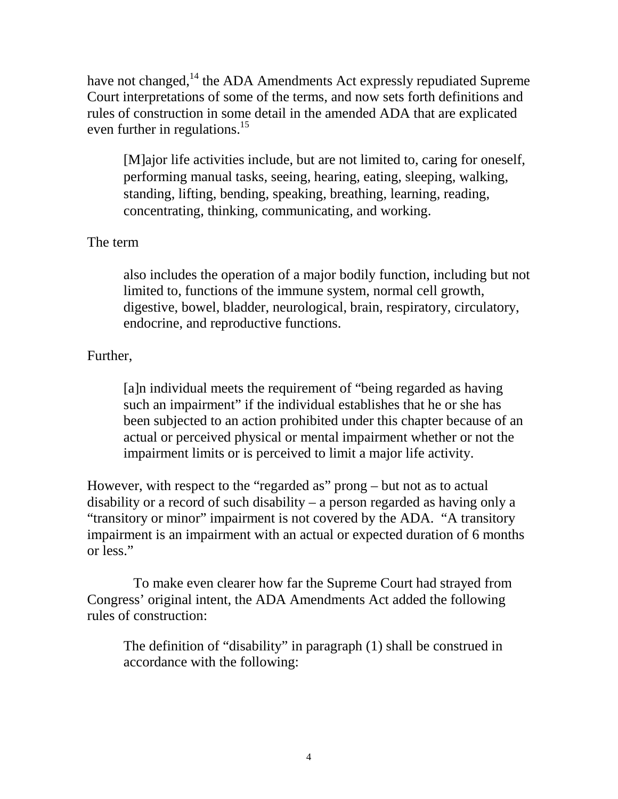have not changed, $^{14}$  the ADA Amendments Act expressly repudiated Supreme Court interpretations of some of the terms, and now sets forth definitions and rules of construction in some detail in the amended ADA that are explicated even further in regulations.<sup>15</sup>

[M]ajor life activities include, but are not limited to, caring for oneself, performing manual tasks, seeing, hearing, eating, sleeping, walking, standing, lifting, bending, speaking, breathing, learning, reading, concentrating, thinking, communicating, and working.

# The term

also includes the operation of a major bodily function, including but not limited to, functions of the immune system, normal cell growth, digestive, bowel, bladder, neurological, brain, respiratory, circulatory, endocrine, and reproductive functions.

# Further,

[a]n individual meets the requirement of "being regarded as having such an impairment" if the individual establishes that he or she has been subjected to an action prohibited under this chapter because of an actual or perceived physical or mental impairment whether or not the impairment limits or is perceived to limit a major life activity.

However, with respect to the "regarded as" prong – but not as to actual disability or a record of such disability – a person regarded as having only a "transitory or minor" impairment is not covered by the ADA. "A transitory impairment is an impairment with an actual or expected duration of 6 months or less."

To make even clearer how far the Supreme Court had strayed from Congress' original intent, the ADA Amendments Act added the following rules of construction:

The definition of "disability" in paragraph (1) shall be construed in accordance with the following: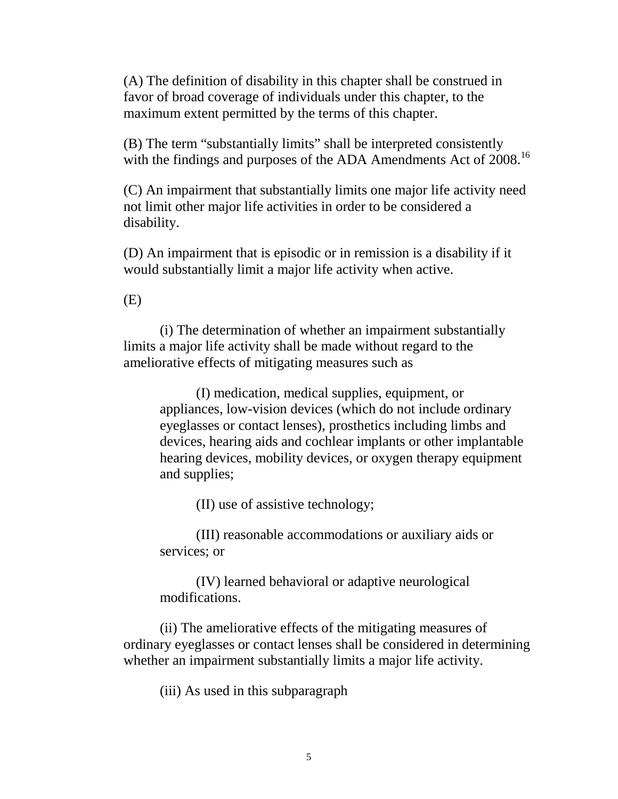(A) The definition of disability in this chapter shall be construed in favor of broad coverage of individuals under this chapter, to the maximum extent permitted by the terms of this chapter.

(B) The term "substantially limits" shall be interpreted consistently with the findings and purposes of the ADA Amendments Act of 2008.<sup>16</sup>

(C) An impairment that substantially limits one major life activity need not limit other major life activities in order to be considered a disability.

(D) An impairment that is episodic or in remission is a disability if it would substantially limit a major life activity when active.

(E)

(i) The determination of whether an impairment substantially limits a major life activity shall be made without regard to the ameliorative effects of mitigating measures such as

(I) medication, medical supplies, equipment, or appliances, low-vision devices (which do not include ordinary eyeglasses or contact lenses), prosthetics including limbs and devices, hearing aids and cochlear implants or other implantable hearing devices, mobility devices, or oxygen therapy equipment and supplies;

(II) use of assistive technology;

(III) reasonable accommodations or auxiliary aids or services; or

(IV) learned behavioral or adaptive neurological modifications.

(ii) The ameliorative effects of the mitigating measures of ordinary eyeglasses or contact lenses shall be considered in determining whether an impairment substantially limits a major life activity.

(iii) As used in this subparagraph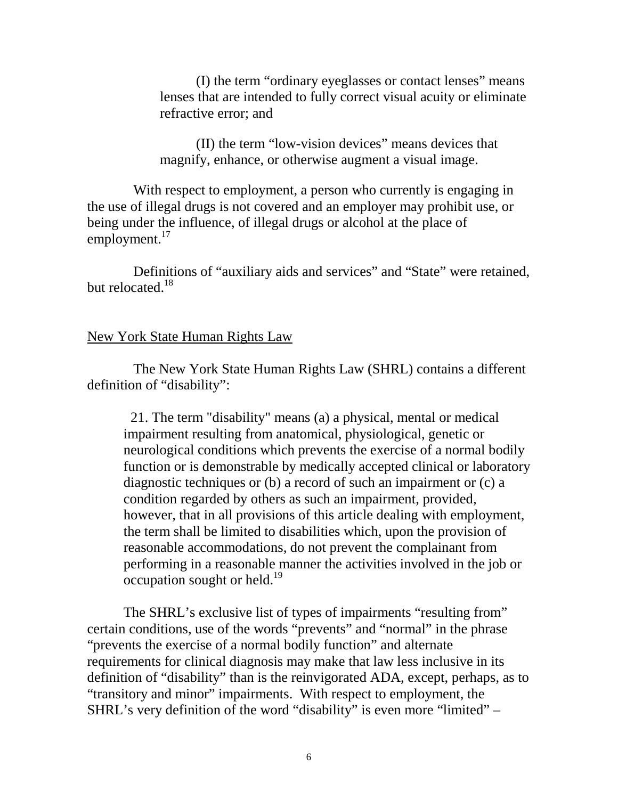(I) the term "ordinary eyeglasses or contact lenses" means lenses that are intended to fully correct visual acuity or eliminate refractive error; and

(II) the term "low-vision devices" means devices that magnify, enhance, or otherwise augment a visual image.

With respect to employment, a person who currently is engaging in the use of illegal drugs is not covered and an employer may prohibit use, or being under the influence, of illegal drugs or alcohol at the place of employment.<sup>17</sup>

Definitions of "auxiliary aids and services" and "State" were retained, but relocated.<sup>18</sup>

#### New York State Human Rights Law

The New York State Human Rights Law (SHRL) contains a different definition of "disability":

 21. The term "disability" means (a) a physical, mental or medical impairment resulting from anatomical, physiological, genetic or neurological conditions which prevents the exercise of a normal bodily function or is demonstrable by medically accepted clinical or laboratory diagnostic techniques or (b) a record of such an impairment or (c) a condition regarded by others as such an impairment, provided, however, that in all provisions of this article dealing with employment, the term shall be limited to disabilities which, upon the provision of reasonable accommodations, do not prevent the complainant from performing in a reasonable manner the activities involved in the job or  $\alpha$  occupation sought or held.<sup>19</sup>

The SHRL's exclusive list of types of impairments "resulting from" certain conditions, use of the words "prevents" and "normal" in the phrase "prevents the exercise of a normal bodily function" and alternate requirements for clinical diagnosis may make that law less inclusive in its definition of "disability" than is the reinvigorated ADA, except, perhaps, as to "transitory and minor" impairments. With respect to employment, the SHRL's very definition of the word "disability" is even more "limited" –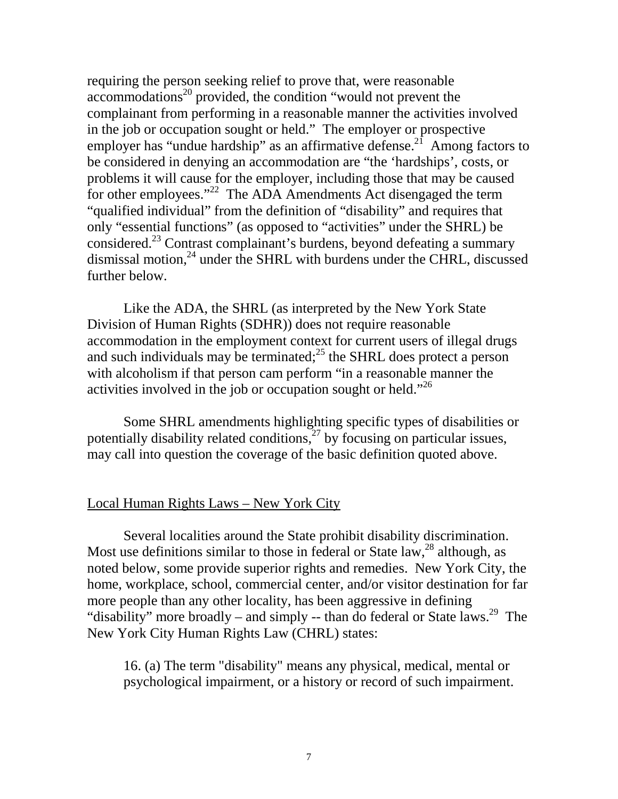requiring the person seeking relief to prove that, were reasonable  $a$ commodations<sup>20</sup> provided, the condition "would not prevent the complainant from performing in a reasonable manner the activities involved in the job or occupation sought or held." The employer or prospective employer has "undue hardship" as an affirmative defense.<sup>21</sup> Among factors to be considered in denying an accommodation are "the 'hardships', costs, or problems it will cause for the employer, including those that may be caused for other employees."<sup>22</sup> The ADA Amendments Act disengaged the term "qualified individual" from the definition of "disability" and requires that only "essential functions" (as opposed to "activities" under the SHRL) be considered.23 Contrast complainant's burdens, beyond defeating a summary dismissal motion,<sup>24</sup> under the SHRL with burdens under the CHRL, discussed further below.

Like the ADA, the SHRL (as interpreted by the New York State Division of Human Rights (SDHR)) does not require reasonable accommodation in the employment context for current users of illegal drugs and such individuals may be terminated; $^{25}$  the SHRL does protect a person with alcoholism if that person cam perform "in a reasonable manner the activities involved in the job or occupation sought or held."<sup>26</sup>

Some SHRL amendments highlighting specific types of disabilities or potentially disability related conditions, $27$  by focusing on particular issues, may call into question the coverage of the basic definition quoted above.

### Local Human Rights Laws – New York City

Several localities around the State prohibit disability discrimination. Most use definitions similar to those in federal or State law,  $28$  although, as noted below, some provide superior rights and remedies. New York City, the home, workplace, school, commercial center, and/or visitor destination for far more people than any other locality, has been aggressive in defining "disability" more broadly – and simply -- than do federal or State laws.<sup>29</sup> The New York City Human Rights Law (CHRL) states:

16. (a) The term "disability" means any physical, medical, mental or psychological impairment, or a history or record of such impairment.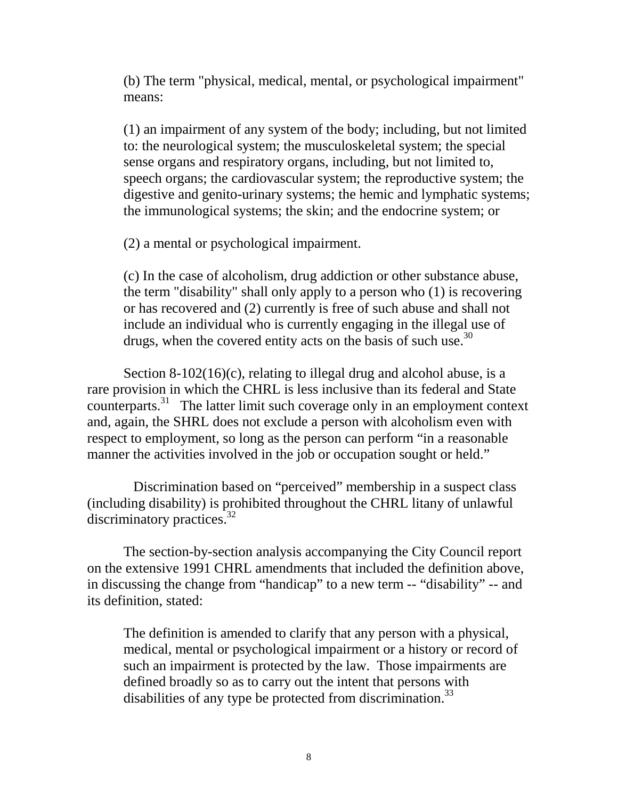(b) The term "physical, medical, mental, or psychological impairment" means:

(1) an impairment of any system of the body; including, but not limited to: the neurological system; the musculoskeletal system; the special sense organs and respiratory organs, including, but not limited to, speech organs; the cardiovascular system; the reproductive system; the digestive and genito-urinary systems; the hemic and lymphatic systems; the immunological systems; the skin; and the endocrine system; or

(2) a mental or psychological impairment.

(c) In the case of alcoholism, drug addiction or other substance abuse, the term "disability" shall only apply to a person who (1) is recovering or has recovered and (2) currently is free of such abuse and shall not include an individual who is currently engaging in the illegal use of drugs, when the covered entity acts on the basis of such use.<sup>30</sup>

Section 8-102(16)(c), relating to illegal drug and alcohol abuse, is a rare provision in which the CHRL is less inclusive than its federal and State counterparts.31 The latter limit such coverage only in an employment context and, again, the SHRL does not exclude a person with alcoholism even with respect to employment, so long as the person can perform "in a reasonable manner the activities involved in the job or occupation sought or held."

Discrimination based on "perceived" membership in a suspect class (including disability) is prohibited throughout the CHRL litany of unlawful discriminatory practices. $32$ 

The section-by-section analysis accompanying the City Council report on the extensive 1991 CHRL amendments that included the definition above, in discussing the change from "handicap" to a new term -- "disability" -- and its definition, stated:

The definition is amended to clarify that any person with a physical, medical, mental or psychological impairment or a history or record of such an impairment is protected by the law. Those impairments are defined broadly so as to carry out the intent that persons with disabilities of any type be protected from discrimination.<sup>33</sup>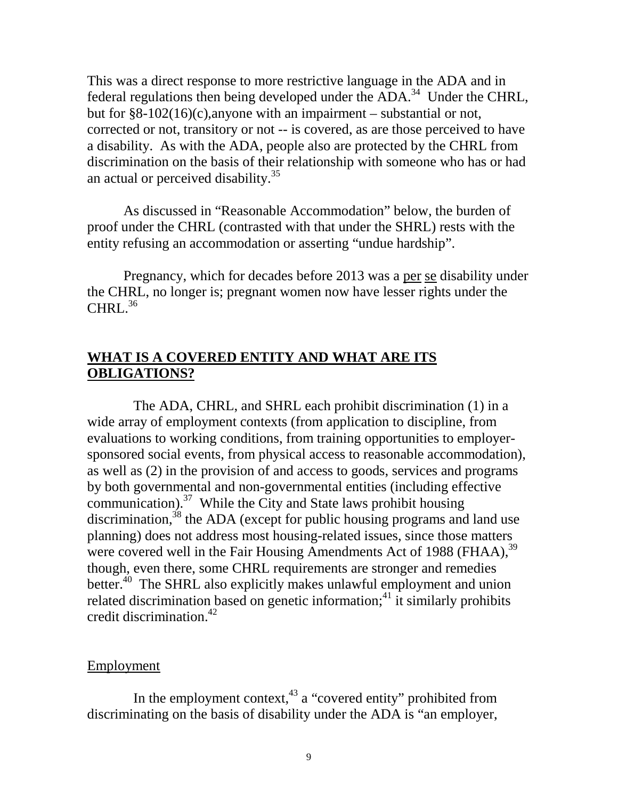This was a direct response to more restrictive language in the ADA and in federal regulations then being developed under the ADA.<sup>34</sup> Under the CHRL, but for §8-102(16)(c),anyone with an impairment – substantial or not, corrected or not, transitory or not -- is covered, as are those perceived to have a disability. As with the ADA, people also are protected by the CHRL from discrimination on the basis of their relationship with someone who has or had an actual or perceived disability.<sup>35</sup>

As discussed in "Reasonable Accommodation" below, the burden of proof under the CHRL (contrasted with that under the SHRL) rests with the entity refusing an accommodation or asserting "undue hardship".

Pregnancy, which for decades before 2013 was a per se disability under the CHRL, no longer is; pregnant women now have lesser rights under the  $CHRL<sup>36</sup>$ 

# **WHAT IS A COVERED ENTITY AND WHAT ARE ITS OBLIGATIONS?**

The ADA, CHRL, and SHRL each prohibit discrimination (1) in a wide array of employment contexts (from application to discipline, from evaluations to working conditions, from training opportunities to employersponsored social events, from physical access to reasonable accommodation), as well as (2) in the provision of and access to goods, services and programs by both governmental and non-governmental entities (including effective communication). $37$  While the City and State laws prohibit housing discrimination, $38$  the ADA (except for public housing programs and land use planning) does not address most housing-related issues, since those matters were covered well in the Fair Housing Amendments Act of 1988 (FHAA),<sup>39</sup> though, even there, some CHRL requirements are stronger and remedies better.<sup>40</sup> The SHRL also explicitly makes unlawful employment and union related discrimination based on genetic information;<sup>41</sup> it similarly prohibits credit discrimination.42

### Employment

In the employment context, $43$  a "covered entity" prohibited from discriminating on the basis of disability under the ADA is "an employer,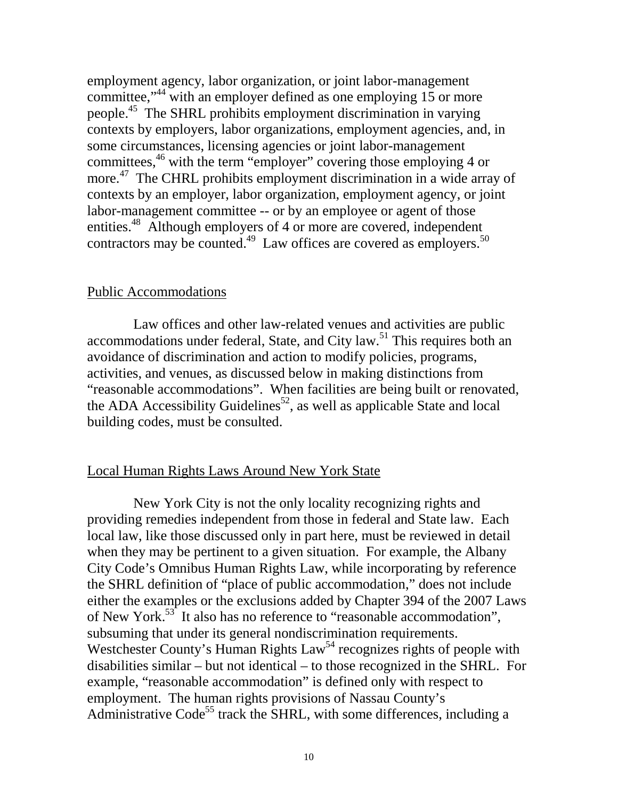employment agency, labor organization, or joint labor-management committee,<sup>"44</sup> with an employer defined as one employing 15 or more people.45 The SHRL prohibits employment discrimination in varying contexts by employers, labor organizations, employment agencies, and, in some circumstances, licensing agencies or joint labor-management committees,<sup>46</sup> with the term "employer" covering those employing 4 or more.<sup>47</sup> The CHRL prohibits employment discrimination in a wide array of contexts by an employer, labor organization, employment agency, or joint labor-management committee -- or by an employee or agent of those entities.<sup>48</sup> Although employers of 4 or more are covered, independent contractors may be counted.<sup>49</sup> Law offices are covered as employers.<sup>50</sup>

#### Public Accommodations

Law offices and other law-related venues and activities are public accommodations under federal, State, and City law.<sup>51</sup> This requires both an avoidance of discrimination and action to modify policies, programs, activities, and venues, as discussed below in making distinctions from "reasonable accommodations". When facilities are being built or renovated, the ADA Accessibility Guidelines<sup>52</sup>, as well as applicable State and local building codes, must be consulted.

### Local Human Rights Laws Around New York State

New York City is not the only locality recognizing rights and providing remedies independent from those in federal and State law. Each local law, like those discussed only in part here, must be reviewed in detail when they may be pertinent to a given situation. For example, the Albany City Code's Omnibus Human Rights Law, while incorporating by reference the SHRL definition of "place of public accommodation," does not include either the examples or the exclusions added by Chapter 394 of the 2007 Laws of New York.<sup>53</sup> It also has no reference to "reasonable accommodation", subsuming that under its general nondiscrimination requirements. Westchester County's Human Rights Law<sup>54</sup> recognizes rights of people with disabilities similar – but not identical – to those recognized in the SHRL. For example, "reasonable accommodation" is defined only with respect to employment. The human rights provisions of Nassau County's Administrative Code<sup>55</sup> track the SHRL, with some differences, including a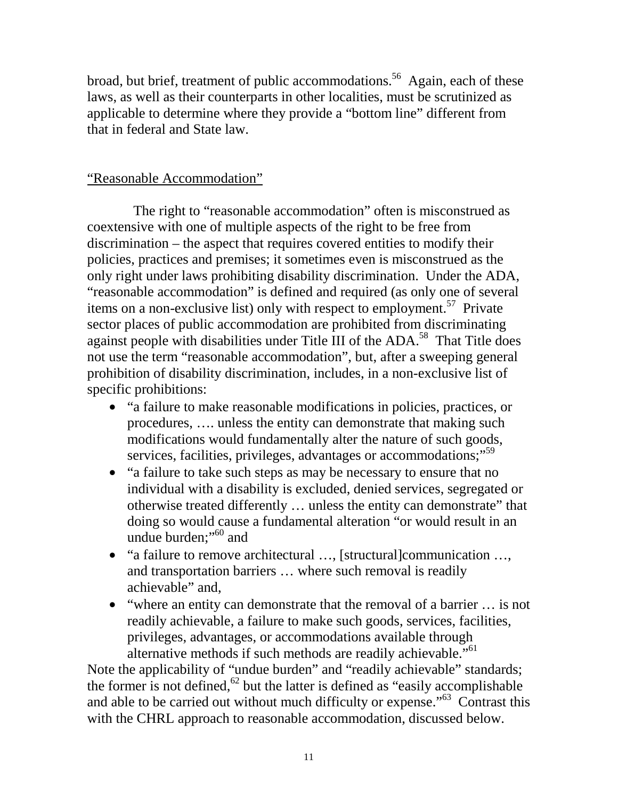broad, but brief, treatment of public accommodations.<sup>56</sup> Again, each of these laws, as well as their counterparts in other localities, must be scrutinized as applicable to determine where they provide a "bottom line" different from that in federal and State law.

# "Reasonable Accommodation"

The right to "reasonable accommodation" often is misconstrued as coextensive with one of multiple aspects of the right to be free from discrimination – the aspect that requires covered entities to modify their policies, practices and premises; it sometimes even is misconstrued as the only right under laws prohibiting disability discrimination. Under the ADA, "reasonable accommodation" is defined and required (as only one of several items on a non-exclusive list) only with respect to employment.<sup>57</sup> Private sector places of public accommodation are prohibited from discriminating against people with disabilities under Title III of the ADA.<sup>58</sup> That Title does not use the term "reasonable accommodation", but, after a sweeping general prohibition of disability discrimination, includes, in a non-exclusive list of specific prohibitions:

- "a failure to make reasonable modifications in policies, practices, or procedures, …. unless the entity can demonstrate that making such modifications would fundamentally alter the nature of such goods, services, facilities, privileges, advantages or accommodations;"<sup>59</sup>
- "a failure to take such steps as may be necessary to ensure that no individual with a disability is excluded, denied services, segregated or otherwise treated differently … unless the entity can demonstrate" that doing so would cause a fundamental alteration "or would result in an undue burden;"<sup>60</sup> and
- "a failure to remove architectural ..., [structural]communication ..., and transportation barriers … where such removal is readily achievable" and,
- "where an entity can demonstrate that the removal of a barrier ... is not readily achievable, a failure to make such goods, services, facilities, privileges, advantages, or accommodations available through alternative methods if such methods are readily achievable."<sup>61</sup>

Note the applicability of "undue burden" and "readily achievable" standards; the former is not defined, $62$  but the latter is defined as "easily accomplishable and able to be carried out without much difficulty or expense."63 Contrast this with the CHRL approach to reasonable accommodation, discussed below.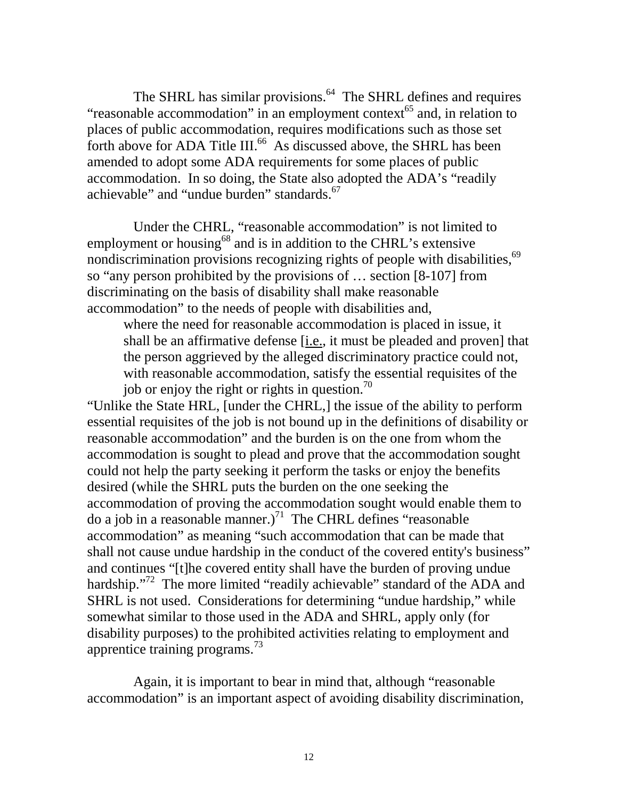The SHRL has similar provisions.<sup>64</sup> The SHRL defines and requires "reasonable accommodation" in an employment context $^{65}$  and, in relation to places of public accommodation, requires modifications such as those set forth above for ADA Title III.<sup>66</sup> As discussed above, the SHRL has been amended to adopt some ADA requirements for some places of public accommodation. In so doing, the State also adopted the ADA's "readily achievable" and "undue burden" standards.<sup>67</sup>

Under the CHRL, "reasonable accommodation" is not limited to employment or housing<sup>68</sup> and is in addition to the CHRL's extensive nondiscrimination provisions recognizing rights of people with disabilities, $69$ so "any person prohibited by the provisions of … section [8-107] from discriminating on the basis of disability shall make reasonable accommodation" to the needs of people with disabilities and,

where the need for reasonable accommodation is placed in issue, it shall be an affirmative defense [i.e., it must be pleaded and proven] that the person aggrieved by the alleged discriminatory practice could not, with reasonable accommodation, satisfy the essential requisites of the job or enjoy the right or rights in question.<sup>70</sup>

"Unlike the State HRL, [under the CHRL,] the issue of the ability to perform essential requisites of the job is not bound up in the definitions of disability or reasonable accommodation" and the burden is on the one from whom the accommodation is sought to plead and prove that the accommodation sought could not help the party seeking it perform the tasks or enjoy the benefits desired (while the SHRL puts the burden on the one seeking the accommodation of proving the accommodation sought would enable them to do a job in a reasonable manner.)<sup>71</sup> The CHRL defines "reasonable" accommodation" as meaning "such accommodation that can be made that shall not cause undue hardship in the conduct of the covered entity's business" and continues "[t]he covered entity shall have the burden of proving undue hardship."<sup>72</sup> The more limited "readily achievable" standard of the ADA and SHRL is not used. Considerations for determining "undue hardship," while somewhat similar to those used in the ADA and SHRL, apply only (for disability purposes) to the prohibited activities relating to employment and apprentice training programs. $^{73}$ 

Again, it is important to bear in mind that, although "reasonable accommodation" is an important aspect of avoiding disability discrimination,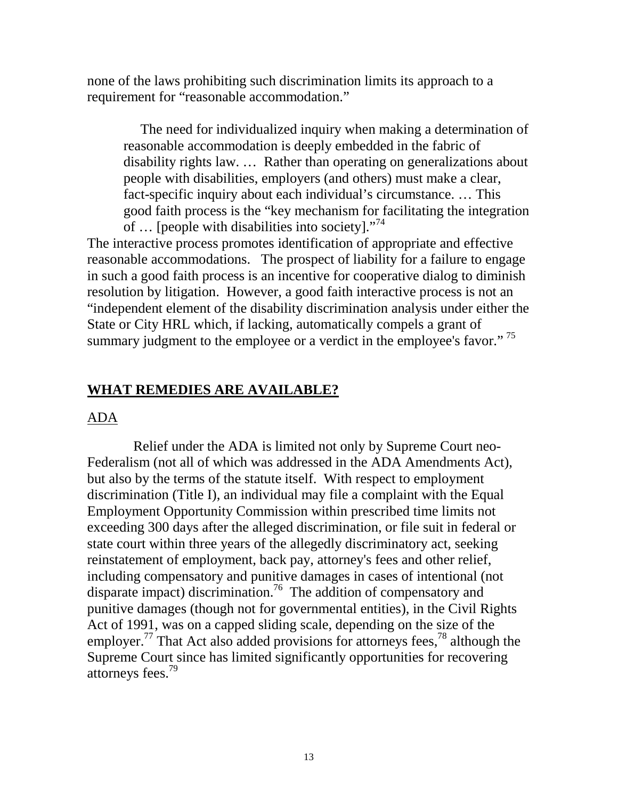none of the laws prohibiting such discrimination limits its approach to a requirement for "reasonable accommodation."

 The need for individualized inquiry when making a determination of reasonable accommodation is deeply embedded in the fabric of disability rights law. … Rather than operating on generalizations about people with disabilities, employers (and others) must make a clear, fact-specific inquiry about each individual's circumstance. … This good faith process is the "key mechanism for facilitating the integration of  $\ldots$  [people with disabilities into society]."<sup>74</sup>

The interactive process promotes identification of appropriate and effective reasonable accommodations. The prospect of liability for a failure to engage in such a good faith process is an incentive for cooperative dialog to diminish resolution by litigation. However, a good faith interactive process is not an "independent element of the disability discrimination analysis under either the State or City HRL which, if lacking, automatically compels a grant of summary judgment to the employee or a verdict in the employee's favor."<sup>75</sup>

# **WHAT REMEDIES ARE AVAILABLE?**

### ADA

Relief under the ADA is limited not only by Supreme Court neo-Federalism (not all of which was addressed in the ADA Amendments Act), but also by the terms of the statute itself. With respect to employment discrimination (Title I), an individual may file a complaint with the Equal Employment Opportunity Commission within prescribed time limits not exceeding 300 days after the alleged discrimination, or file suit in federal or state court within three years of the allegedly discriminatory act, seeking reinstatement of employment, back pay, attorney's fees and other relief, including compensatory and punitive damages in cases of intentional (not disparate impact) discrimination.<sup>76</sup> The addition of compensatory and punitive damages (though not for governmental entities), in the Civil Rights Act of 1991, was on a capped sliding scale, depending on the size of the employer.<sup>77</sup> That Act also added provisions for attorneys fees,<sup>78</sup> although the Supreme Court since has limited significantly opportunities for recovering attorneys fees.79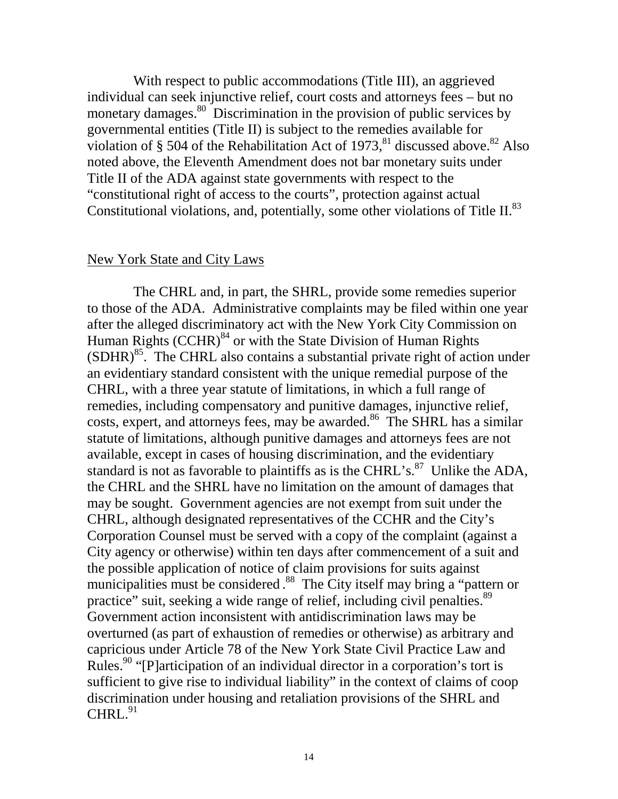With respect to public accommodations (Title III), an aggrieved individual can seek injunctive relief, court costs and attorneys fees – but no monetary damages.<sup>80</sup> Discrimination in the provision of public services by governmental entities (Title II) is subject to the remedies available for violation of § 504 of the Rehabilitation Act of  $1973$ ,<sup>81</sup> discussed above.<sup>82</sup> Also noted above, the Eleventh Amendment does not bar monetary suits under Title II of the ADA against state governments with respect to the "constitutional right of access to the courts", protection against actual Constitutional violations, and, potentially, some other violations of Title II.<sup>83</sup>

#### New York State and City Laws

The CHRL and, in part, the SHRL, provide some remedies superior to those of the ADA. Administrative complaints may be filed within one year after the alleged discriminatory act with the New York City Commission on Human Rights  $(CCHR)^{84}$  or with the State Division of Human Rights  $(SDHR)^{85}$ . The CHRL also contains a substantial private right of action under an evidentiary standard consistent with the unique remedial purpose of the CHRL, with a three year statute of limitations, in which a full range of remedies, including compensatory and punitive damages, injunctive relief, costs, expert, and attorneys fees, may be awarded.<sup>86</sup> The SHRL has a similar statute of limitations, although punitive damages and attorneys fees are not available, except in cases of housing discrimination, and the evidentiary standard is not as favorable to plaintiffs as is the CHRL's. $^{87}$  Unlike the ADA, the CHRL and the SHRL have no limitation on the amount of damages that may be sought. Government agencies are not exempt from suit under the CHRL, although designated representatives of the CCHR and the City's Corporation Counsel must be served with a copy of the complaint (against a City agency or otherwise) within ten days after commencement of a suit and the possible application of notice of claim provisions for suits against municipalities must be considered.<sup>88</sup> The City itself may bring a "pattern or practice" suit, seeking a wide range of relief, including civil penalties.<sup>89</sup> Government action inconsistent with antidiscrimination laws may be overturned (as part of exhaustion of remedies or otherwise) as arbitrary and capricious under Article 78 of the New York State Civil Practice Law and Rules.<sup>90</sup> "[P]articipation of an individual director in a corporation's tort is sufficient to give rise to individual liability" in the context of claims of coop discrimination under housing and retaliation provisions of the SHRL and  $CHRI.<sup>91</sup>$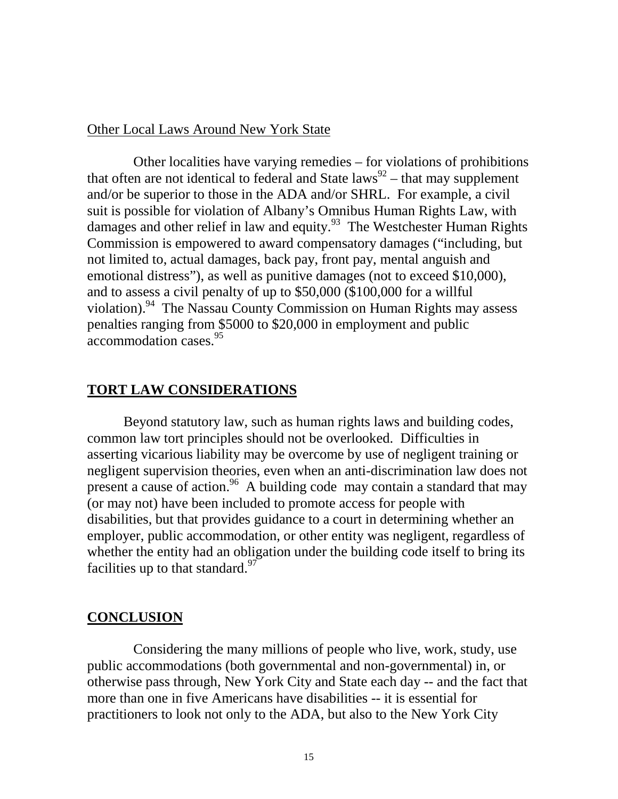### Other Local Laws Around New York State

Other localities have varying remedies – for violations of prohibitions that often are not identical to federal and State laws<sup>92</sup> – that may supplement and/or be superior to those in the ADA and/or SHRL. For example, a civil suit is possible for violation of Albany's Omnibus Human Rights Law, with damages and other relief in law and equity.<sup>93</sup> The Westchester Human Rights Commission is empowered to award compensatory damages ("including, but not limited to, actual damages, back pay, front pay, mental anguish and emotional distress"), as well as punitive damages (not to exceed \$10,000), and to assess a civil penalty of up to \$50,000 (\$100,000 for a willful violation).94 The Nassau County Commission on Human Rights may assess penalties ranging from \$5000 to \$20,000 in employment and public accommodation cases.<sup>95</sup>

# **TORT LAW CONSIDERATIONS**

Beyond statutory law, such as human rights laws and building codes, common law tort principles should not be overlooked. Difficulties in asserting vicarious liability may be overcome by use of negligent training or negligent supervision theories, even when an anti-discrimination law does not present a cause of action.<sup>96</sup> A building code may contain a standard that may (or may not) have been included to promote access for people with disabilities, but that provides guidance to a court in determining whether an employer, public accommodation, or other entity was negligent, regardless of whether the entity had an obligation under the building code itself to bring its facilities up to that standard.<sup>97</sup>

### **CONCLUSION**

Considering the many millions of people who live, work, study, use public accommodations (both governmental and non-governmental) in, or otherwise pass through, New York City and State each day -- and the fact that more than one in five Americans have disabilities -- it is essential for practitioners to look not only to the ADA, but also to the New York City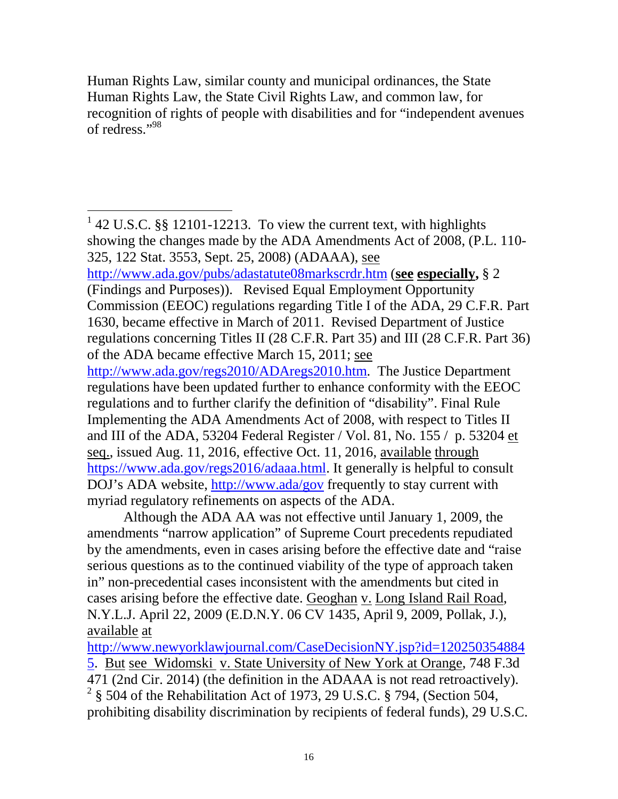Human Rights Law, similar county and municipal ordinances, the State Human Rights Law, the State Civil Rights Law, and common law, for recognition of rights of people with disabilities and for "independent avenues of redress."98

 $142$  U.S.C. §§ 12101-12213. To view the current text, with highlights showing the changes made by the ADA Amendments Act of 2008, (P.L. 110- 325, 122 Stat. 3553, Sept. 25, 2008) (ADAAA), see <http://www.ada.gov/pubs/adastatute08markscrdr.htm> (**see especially,** § 2 (Findings and Purposes)). Revised Equal Employment Opportunity Commission (EEOC) regulations regarding Title I of the ADA, 29 C.F.R. Part 1630, became effective in March of 2011. Revised Department of Justice regulations concerning Titles II (28 C.F.R. Part 35) and III (28 C.F.R. Part 36) of the ADA became effective March 15, 2011; see [http://www.ada.gov/regs2010/ADAregs2010.htm.](http://www.ada.gov/regs2010/ADAregs2010.htm) The Justice Department regulations have been updated further to enhance conformity with the EEOC regulations and to further clarify the definition of "disability". Final Rule Implementing the ADA Amendments Act of 2008, with respect to Titles II and III of the ADA, 53204 Federal Register / Vol. 81, No. 155 / p. 53204 et seq., issued Aug. 11, 2016, effective Oct. 11, 2016, available through [https://www.ada.gov/regs2016/adaaa.html.](https://www.ada.gov/regs2016/adaaa.html) It generally is helpful to consult DOJ's ADA website,<http://www.ada/gov> frequently to stay current with myriad regulatory refinements on aspects of the ADA.

Although the ADA AA was not effective until January 1, 2009, the amendments "narrow application" of Supreme Court precedents repudiated by the amendments, even in cases arising before the effective date and "raise serious questions as to the continued viability of the type of approach taken in" non-precedential cases inconsistent with the amendments but cited in cases arising before the effective date. Geoghan v. Long Island Rail Road, N.Y.L.J. April 22, 2009 (E.D.N.Y. 06 CV 1435, April 9, 2009, Pollak, J.), available at

[http://www.newyorklawjournal.com/CaseDecisionNY.jsp?id=120250354884](http://www.newyorklawjournal.com/CaseDecisionNY.jsp?id=1202503548845) [5.](http://www.newyorklawjournal.com/CaseDecisionNY.jsp?id=1202503548845) But see Widomski v. State University of New York at Orange, 748 F.3d 471 (2nd Cir. 2014) (the definition in the ADAAA is not read retroactively).  $2\frac{2}{3}$  504 of the Rehabilitation Act of 1973, 29 U.S.C. § 794, (Section 504, prohibiting disability discrimination by recipients of federal funds), 29 U.S.C.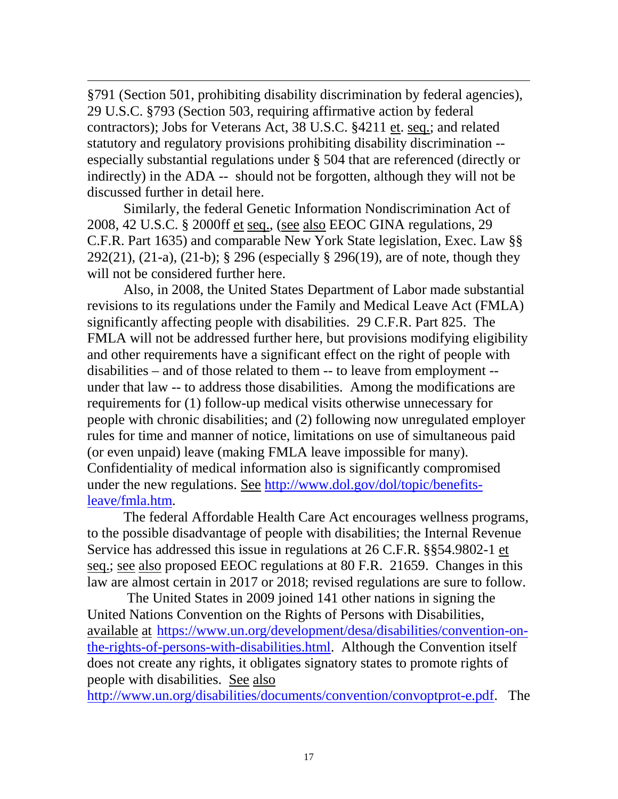$\overline{a}$ §791 (Section 501, prohibiting disability discrimination by federal agencies), 29 U.S.C. §793 (Section 503, requiring affirmative action by federal contractors); Jobs for Veterans Act, 38 U.S.C. §4211 et. seq.; and related statutory and regulatory provisions prohibiting disability discrimination - especially substantial regulations under § 504 that are referenced (directly or indirectly) in the ADA -- should not be forgotten, although they will not be discussed further in detail here.

Similarly, the federal Genetic Information Nondiscrimination Act of 2008, 42 U.S.C. § 2000ff et seq., (see also EEOC GINA regulations, 29 C.F.R. Part 1635) and comparable New York State legislation, Exec. Law §§ 292(21), (21-a), (21-b); § 296 (especially § 296(19), are of note, though they will not be considered further here.

Also, in 2008, the United States Department of Labor made substantial revisions to its regulations under the Family and Medical Leave Act (FMLA) significantly affecting people with disabilities. 29 C.F.R. Part 825. The FMLA will not be addressed further here, but provisions modifying eligibility and other requirements have a significant effect on the right of people with disabilities – and of those related to them -- to leave from employment - under that law -- to address those disabilities. Among the modifications are requirements for (1) follow-up medical visits otherwise unnecessary for people with chronic disabilities; and (2) following now unregulated employer rules for time and manner of notice, limitations on use of simultaneous paid (or even unpaid) leave (making FMLA leave impossible for many). Confidentiality of medical information also is significantly compromised under the new regulations. See [http://www.dol.gov/dol/topic/benefits](http://www.dol.gov/dol/topic/benefits-leave/fmla.htm)[leave/fmla.htm.](http://www.dol.gov/dol/topic/benefits-leave/fmla.htm)

The federal Affordable Health Care Act encourages wellness programs, to the possible disadvantage of people with disabilities; the Internal Revenue Service has addressed this issue in regulations at 26 C.F.R. §§54.9802-1 et seq.; see also proposed EEOC regulations at 80 F.R. 21659. Changes in this law are almost certain in 2017 or 2018; revised regulations are sure to follow.

The United States in 2009 joined 141 other nations in signing the United Nations Convention on the Rights of Persons with Disabilities, available at [https://www.un.org/development/desa/disabilities/convention-on](https://www.un.org/development/desa/disabilities/convention-on-the-rights-of-persons-with-disabilities.html)[the-rights-of-persons-with-disabilities.html.](https://www.un.org/development/desa/disabilities/convention-on-the-rights-of-persons-with-disabilities.html) Although the Convention itself does not create any rights, it obligates signatory states to promote rights of people with disabilities. See also

[http://www.un.org/disabilities/documents/convention/convoptprot-e.pdf.](http://www.un.org/disabilities/documents/convention/convoptprot-e.pdf) The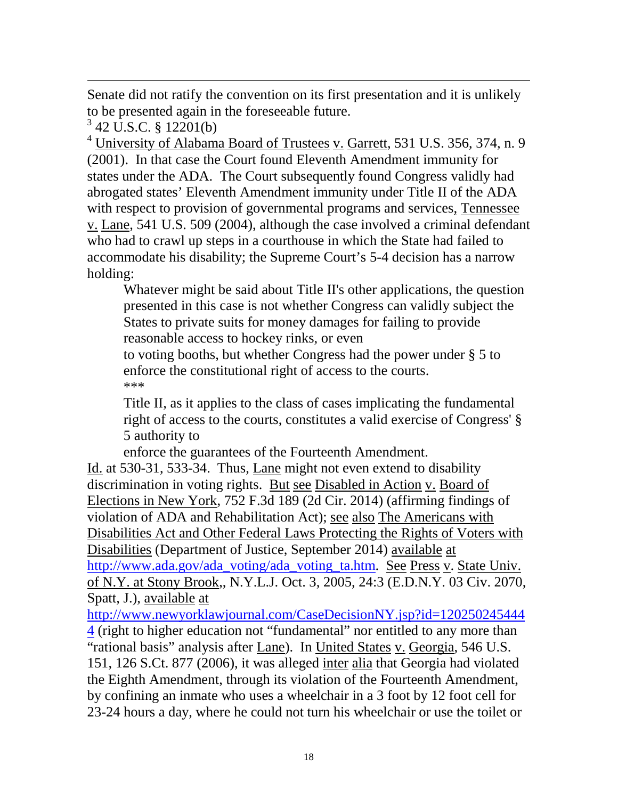Senate did not ratify the convention on its first presentation and it is unlikely to be presented again in the foreseeable future.

 $3$  42 U.S.C. § 12201(b)

 $\overline{a}$ 

<sup>4</sup> University of Alabama Board of Trustees v. Garrett, 531 U.S. 356, 374, n. 9 (2001). In that case the Court found Eleventh Amendment immunity for states under the ADA. The Court subsequently found Congress validly had abrogated states' Eleventh Amendment immunity under Title II of the ADA with respect to provision of governmental programs and services, Tennessee v. Lane, 541 U.S. 509 (2004), although the case involved a criminal defendant who had to crawl up steps in a courthouse in which the State had failed to accommodate his disability; the Supreme Court's 5-4 decision has a narrow holding:

Whatever might be said about Title II's other applications, the question presented in this case is not whether Congress can validly subject the States to private suits for money damages for failing to provide reasonable access to hockey rinks, or even

to voting booths, but whether Congress had the power under § 5 to enforce the constitutional right of access to the courts. \*\*\*

Title II, as it applies to the class of cases implicating the fundamental right of access to the courts, constitutes a valid exercise of Congress' § 5 authority to

enforce the guarantees of the Fourteenth Amendment.

Id. at 530-31, 533-34. Thus, Lane might not even extend to disability discrimination in voting rights. But see Disabled in Action v. Board of Elections in New York, 752 F.3d 189 (2d Cir. 2014) (affirming findings of violation of ADA and Rehabilitation Act); see also The Americans with Disabilities Act and Other Federal Laws Protecting the Rights of Voters with Disabilities (Department of Justice, September 2014) available at [http://www.ada.gov/ada\\_voting/ada\\_voting\\_ta.htm.](http://www.ada.gov/ada_voting/ada_voting_ta.htm) See Press v. State Univ. of N.Y. at Stony Brook,, N.Y.L.J. Oct. 3, 2005, 24:3 (E.D.N.Y. 03 Civ. 2070, Spatt, J.), available at

[http://www.newyorklawjournal.com/CaseDecisionNY.jsp?id=120250245444](http://www.newyorklawjournal.com/CaseDecisionNY.jsp?id=1202502454444) [4](http://www.newyorklawjournal.com/CaseDecisionNY.jsp?id=1202502454444) (right to higher education not "fundamental" nor entitled to any more than "rational basis" analysis after Lane). In United States v. Georgia, 546 U.S. 151, 126 S.Ct. 877 (2006), it was alleged inter alia that Georgia had violated the Eighth Amendment, through its violation of the Fourteenth Amendment, by confining an inmate who uses a wheelchair in a 3 foot by 12 foot cell for 23-24 hours a day, where he could not turn his wheelchair or use the toilet or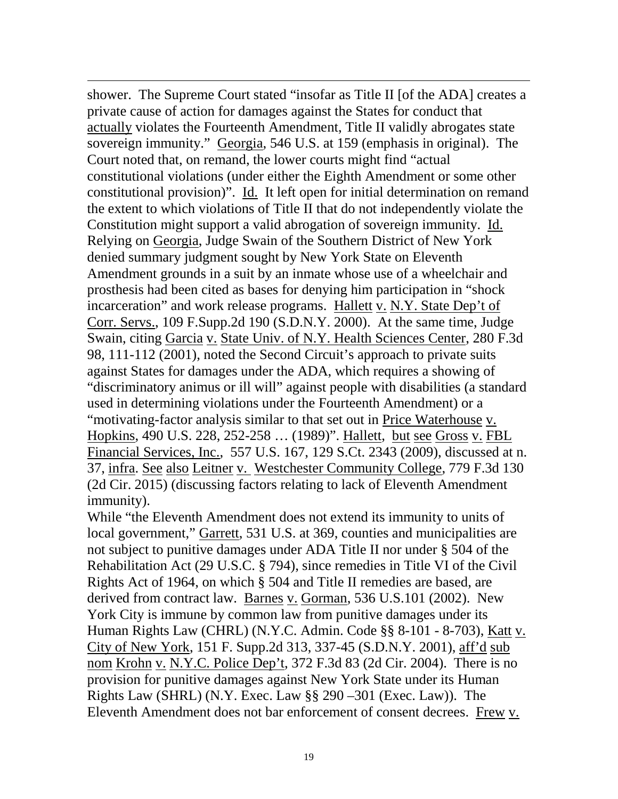$\overline{a}$ shower. The Supreme Court stated "insofar as Title II [of the ADA] creates a private cause of action for damages against the States for conduct that actually violates the Fourteenth Amendment, Title II validly abrogates state sovereign immunity." Georgia, 546 U.S. at 159 (emphasis in original). The Court noted that, on remand, the lower courts might find "actual constitutional violations (under either the Eighth Amendment or some other constitutional provision)". Id. It left open for initial determination on remand the extent to which violations of Title II that do not independently violate the Constitution might support a valid abrogation of sovereign immunity. Id. Relying on Georgia, Judge Swain of the Southern District of New York denied summary judgment sought by New York State on Eleventh Amendment grounds in a suit by an inmate whose use of a wheelchair and prosthesis had been cited as bases for denying him participation in "shock incarceration" and work release programs. Hallett v. N.Y. State Dep't of Corr. Servs., 109 F.Supp.2d 190 (S.D.N.Y. 2000). At the same time, Judge Swain, citing Garcia v. State Univ. of N.Y. Health Sciences Center, 280 F.3d 98, 111-112 (2001), noted the Second Circuit's approach to private suits against States for damages under the ADA, which requires a showing of "discriminatory animus or ill will" against people with disabilities (a standard used in determining violations under the Fourteenth Amendment) or a "motivating-factor analysis similar to that set out in Price Waterhouse v. Hopkins, 490 U.S. 228, 252-258 … (1989)". Hallett, but see Gross v. FBL Financial Services, Inc., 557 U.S. 167, 129 S.Ct. 2343 (2009), discussed at n. 37, infra. See also Leitner v. Westchester Community College, 779 F.3d 130 (2d Cir. 2015) (discussing factors relating to lack of Eleventh Amendment immunity).

While "the Eleventh Amendment does not extend its immunity to units of local government," Garrett, 531 U.S. at 369, counties and municipalities are not subject to punitive damages under ADA Title II nor under § 504 of the Rehabilitation Act (29 U.S.C. § 794), since remedies in Title VI of the Civil Rights Act of 1964, on which § 504 and Title II remedies are based, are derived from contract law. Barnes v. Gorman, 536 U.S.101 (2002). New York City is immune by common law from punitive damages under its Human Rights Law (CHRL) (N.Y.C. Admin. Code §§ 8-101 - 8-703), Katt v. City of New York, 151 F. Supp.2d 313, 337-45 (S.D.N.Y. 2001), aff'd sub nom Krohn v. N.Y.C. Police Dep't, 372 F.3d 83 (2d Cir. 2004). There is no provision for punitive damages against New York State under its Human Rights Law (SHRL) (N.Y. Exec. Law §§ 290 –301 (Exec. Law)). The Eleventh Amendment does not bar enforcement of consent decrees. Frew v.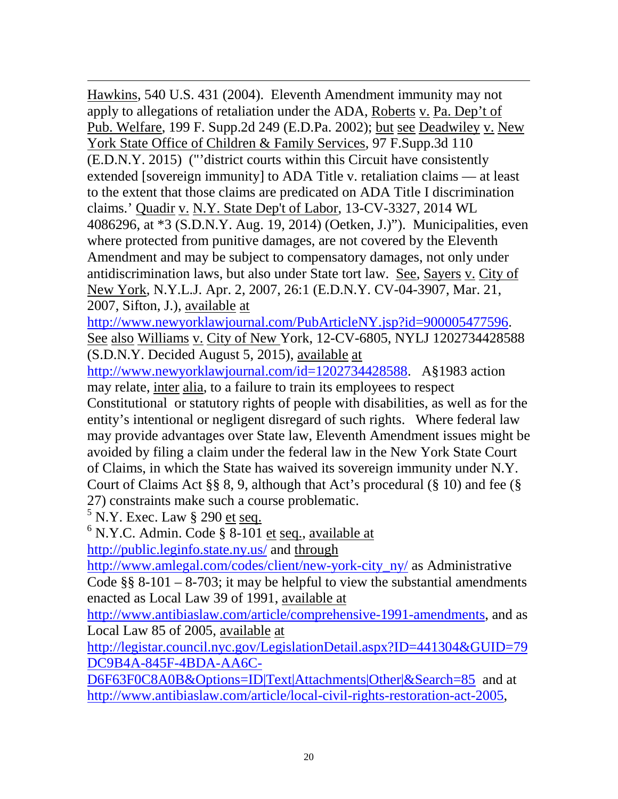$\overline{a}$ Hawkins, 540 U.S. 431 (2004). Eleventh Amendment immunity may not apply to allegations of retaliation under the ADA, Roberts v. Pa. Dep't of Pub. Welfare, 199 F. Supp.2d 249 (E.D.Pa. 2002); but see Deadwiley v. New York State Office of Children & Family Services, 97 F.Supp.3d 110 (E.D.N.Y. 2015) ("'district courts within this Circuit have consistently extended [sovereign immunity] to ADA Title v. retaliation claims — at least to the extent that those claims are predicated on ADA Title I discrimination claims.' Quadir v. N.Y. State Dep't of Labor, 13-CV-3327, 2014 WL 4086296, at \*3 (S.D.N.Y. Aug. 19, 2014) (Oetken, J.)"). Municipalities, even where protected from punitive damages, are not covered by the Eleventh Amendment and may be subject to compensatory damages, not only under antidiscrimination laws, but also under State tort law. See, Sayers v. City of New York, N.Y.L.J. Apr. 2, 2007, 26:1 (E.D.N.Y. CV-04-3907, Mar. 21, 2007, Sifton, J.), available at

[http://www.newyorklawjournal.com/PubArticleNY.jsp?id=900005477596.](http://www.newyorklawjournal.com/PubArticleNY.jsp?id=900005477596) See also Williams v. City of New York, 12-CV-6805, NYLJ 1202734428588 (S.D.N.Y. Decided August 5, 2015), available at

[http://www.newyorklawjournal.com/id=1202734428588.](http://www.newyorklawjournal.com/id=1202734428588) A§1983 action may relate, inter alia, to a failure to train its employees to respect Constitutional or statutory rights of people with disabilities, as well as for the entity's intentional or negligent disregard of such rights. Where federal law may provide advantages over State law, Eleventh Amendment issues might be avoided by filing a claim under the federal law in the New York State Court of Claims, in which the State has waived its sovereign immunity under N.Y. Court of Claims Act §§ 8, 9, although that Act's procedural (§ 10) and fee (§ 27) constraints make such a course problematic.<br> ${}^{5}$  N.Y. Exec. Law § 290 <u>et seq.</u>

 $6$  N.Y.C. Admin. Code § 8-101 et seq., available at

<http://public.leginfo.state.ny.us/> and through

[http://www.amlegal.com/codes/client/new-york-city\\_ny/](http://www.amlegal.com/codes/client/new-york-city_ny/) as Administrative Code  $\S$ § 8-101 – 8-703; it may be helpful to view the substantial amendments enacted as Local Law 39 of 1991, available at

[http://www.antibiaslaw.com/article/comprehensive-1991-amendments,](http://www.antibiaslaw.com/article/comprehensive-1991-amendments) and as Local Law 85 of 2005, available at

[http://legistar.council.nyc.gov/LegislationDetail.aspx?ID=441304&GUID=79](http://legistar.council.nyc.gov/LegislationDetail.aspx?ID=441304&GUID=79DC9B4A-845F-4BDA-AA6C-D6F63F0C8A0B&Options=ID|Text|Attachments|Other|&Search=85) [DC9B4A-845F-4BDA-AA6C-](http://legistar.council.nyc.gov/LegislationDetail.aspx?ID=441304&GUID=79DC9B4A-845F-4BDA-AA6C-D6F63F0C8A0B&Options=ID|Text|Attachments|Other|&Search=85)

[D6F63F0C8A0B&Options=ID|Text|Attachments|Other|&Search=85](http://legistar.council.nyc.gov/LegislationDetail.aspx?ID=441304&GUID=79DC9B4A-845F-4BDA-AA6C-D6F63F0C8A0B&Options=ID|Text|Attachments|Other|&Search=85) and at [http://www.antibiaslaw.com/article/local-civil-rights-restoration-act-2005,](http://www.antibiaslaw.com/article/local-civil-rights-restoration-act-2005)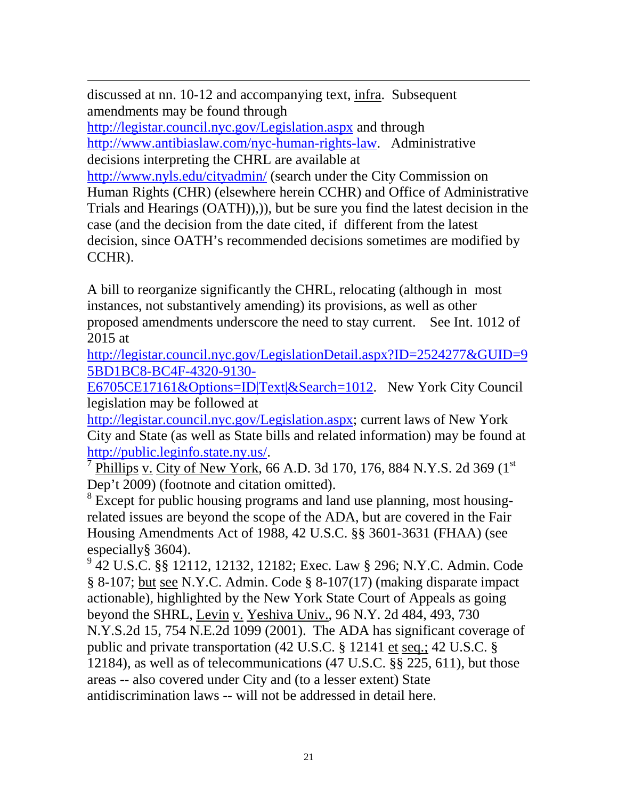$\overline{a}$ discussed at nn. 10-12 and accompanying text, infra. Subsequent amendments may be found through

<http://legistar.council.nyc.gov/Legislation.aspx> and through [http://www.antibiaslaw.com/nyc-human-rights-law.](http://www.antibiaslaw.com/nyc-human-rights-law) Administrative decisions interpreting the CHRL are available at

<http://www.nyls.edu/cityadmin/> (search under the City Commission on Human Rights (CHR) (elsewhere herein CCHR) and Office of Administrative Trials and Hearings (OATH)),)), but be sure you find the latest decision in the case (and the decision from the date cited, if different from the latest decision, since OATH's recommended decisions sometimes are modified by CCHR).

A bill to reorganize significantly the CHRL, relocating (although in most instances, not substantively amending) its provisions, as well as other proposed amendments underscore the need to stay current. See Int. 1012 of 2015 at

[http://legistar.council.nyc.gov/LegislationDetail.aspx?ID=2524277&GUID=9](http://legistar.council.nyc.gov/LegislationDetail.aspx?ID=2524277&GUID=95BD1BC8-BC4F-4320-9130-E6705CE17161&Options=ID|Text|&Search=1012) [5BD1BC8-BC4F-4320-9130-](http://legistar.council.nyc.gov/LegislationDetail.aspx?ID=2524277&GUID=95BD1BC8-BC4F-4320-9130-E6705CE17161&Options=ID|Text|&Search=1012)

[E6705CE17161&Options=ID|Text|&Search=1012.](http://legistar.council.nyc.gov/LegislationDetail.aspx?ID=2524277&GUID=95BD1BC8-BC4F-4320-9130-E6705CE17161&Options=ID|Text|&Search=1012) New York City Council legislation may be followed at

[http://legistar.council.nyc.gov/Legislation.aspx;](http://legistar.council.nyc.gov/Legislation.aspx) current laws of New York City and State (as well as State bills and related information) may be found at  $\frac{\text{http://public.leginfo.state.ny.us/}}{7}$  $\frac{\text{http://public.leginfo.state.ny.us/}}{7}$  $\frac{\text{http://public.leginfo.state.ny.us/}}{7}$ Phillips v. City of New York, 66 A.D. 3d 170, 176, 884 N.Y.S. 2d 369 (1st)

Dep't 2009) (footnote and citation omitted).

<sup>8</sup> Except for public housing programs and land use planning, most housingrelated issues are beyond the scope of the ADA, but are covered in the Fair Housing Amendments Act of 1988, 42 U.S.C. §§ 3601-3631 (FHAA) (see especially§ 3604).

<sup>9</sup> 42 U.S.C. §§ 12112, 12132, 12182; Exec. Law § 296; N.Y.C. Admin. Code § 8-107; but see N.Y.C. Admin. Code § 8-107(17) (making disparate impact actionable), highlighted by the New York State Court of Appeals as going beyond the SHRL, Levin v. Yeshiva Univ., 96 N.Y. 2d 484, 493, 730 N.Y.S.2d 15, 754 N.E.2d 1099 (2001). The ADA has significant coverage of public and private transportation (42 U.S.C. § 12141 et seq.; 42 U.S.C. § 12184), as well as of telecommunications (47 U.S.C. §§ 225, 611), but those areas -- also covered under City and (to a lesser extent) State antidiscrimination laws -- will not be addressed in detail here.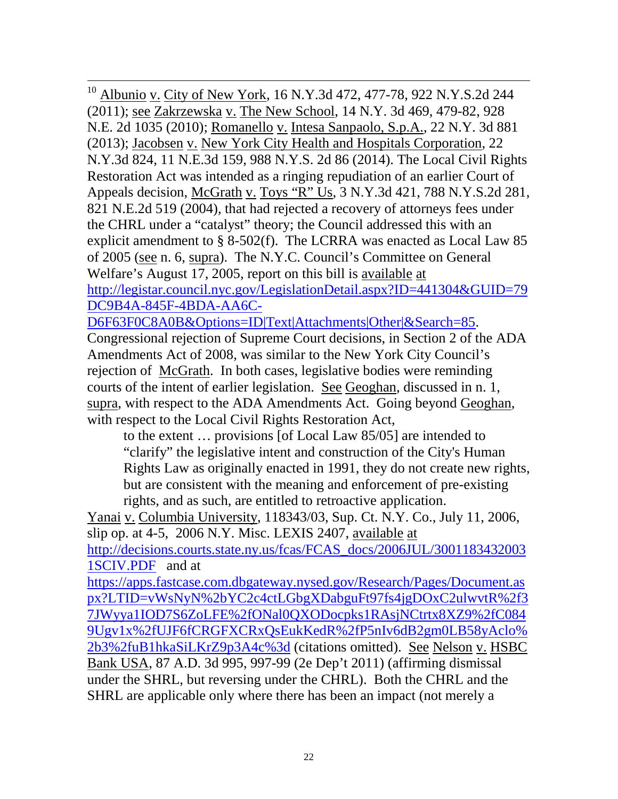<sup>10</sup> Albunio v. City of New York, 16 N.Y.3d 472, 477-78, 922 N.Y.S.2d 244 (2011); see Zakrzewska v. The New School, 14 N.Y. 3d 469, 479-82, 928 N.E. 2d 1035 (2010); Romanello v. Intesa Sanpaolo, S.p.A., 22 N.Y. 3d 881 (2013); Jacobsen v. New York City Health and Hospitals Corporation, 22 N.Y.3d 824, 11 N.E.3d 159, 988 N.Y.S. 2d 86 (2014). The Local Civil Rights Restoration Act was intended as a ringing repudiation of an earlier Court of Appeals decision, McGrath v. Toys "R" Us, 3 N.Y.3d 421, 788 N.Y.S.2d 281, 821 N.E.2d 519 (2004), that had rejected a recovery of attorneys fees under the CHRL under a "catalyst" theory; the Council addressed this with an explicit amendment to § 8-502(f). The LCRRA was enacted as Local Law 85 of 2005 (see n. 6, supra). The N.Y.C. Council's Committee on General Welfare's August 17, 2005, report on this bill is available at [http://legistar.council.nyc.gov/LegislationDetail.aspx?ID=441304&GUID=79](http://legistar.council.nyc.gov/LegislationDetail.aspx?ID=441304&GUID=79DC9B4A-845F-4BDA-AA6C-D6F63F0C8A0B&Options=ID|Text|Attachments|Other|&Search=85) [DC9B4A-845F-4BDA-AA6C-](http://legistar.council.nyc.gov/LegislationDetail.aspx?ID=441304&GUID=79DC9B4A-845F-4BDA-AA6C-D6F63F0C8A0B&Options=ID|Text|Attachments|Other|&Search=85)

[D6F63F0C8A0B&Options=ID|Text|Attachments|Other|&Search=85.](http://legistar.council.nyc.gov/LegislationDetail.aspx?ID=441304&GUID=79DC9B4A-845F-4BDA-AA6C-D6F63F0C8A0B&Options=ID|Text|Attachments|Other|&Search=85)

Congressional rejection of Supreme Court decisions, in Section 2 of the ADA Amendments Act of 2008, was similar to the New York City Council's rejection of McGrath. In both cases, legislative bodies were reminding courts of the intent of earlier legislation. See Geoghan, discussed in n. 1, supra, with respect to the ADA Amendments Act. Going beyond Geoghan, with respect to the Local Civil Rights Restoration Act,

to the extent … provisions [of Local Law 85/05] are intended to "clarify" the legislative intent and construction of the City's Human Rights Law as originally enacted in 1991, they do not create new rights, but are consistent with the meaning and enforcement of pre-existing rights, and as such, are entitled to retroactive application.

Yanai v. Columbia University, 118343/03, Sup. Ct. N.Y. Co., July 11, 2006, slip op. at 4-5, 2006 N.Y. Misc. LEXIS 2407, available at

[http://decisions.courts.state.ny.us/fcas/FCAS\\_docs/2006JUL/3001183432003](http://decisions.courts.state.ny.us/fcas/FCAS_docs/2006JUL/30011834320031SCIV.PDF) [1SCIV.PDF](http://decisions.courts.state.ny.us/fcas/FCAS_docs/2006JUL/30011834320031SCIV.PDF) and at

[https://apps.fastcase.com.dbgateway.nysed.gov/Research/Pages/Document.as](https://apps.fastcase.com.dbgateway.nysed.gov/Research/Pages/Document.aspx?LTID=vWsNyN%2bYC2c4ctLGbgXDabguFt97fs4jgDOxC2ulwvtR%2f37JWyya1IOD7S6ZoLFE%2fONal0QXODocpks1RAsjNCtrtx8XZ9%2fC0849Ugv1x%2fUJF6fCRGFXCRxQsEukKedR%2fP5nIv6dB2gm0LB58yAclo%2b3%2fuB1hkaSiLKrZ9p3A4c%3d) [px?LTID=vWsNyN%2bYC2c4ctLGbgXDabguFt97fs4jgDOxC2ulwvtR%2f3](https://apps.fastcase.com.dbgateway.nysed.gov/Research/Pages/Document.aspx?LTID=vWsNyN%2bYC2c4ctLGbgXDabguFt97fs4jgDOxC2ulwvtR%2f37JWyya1IOD7S6ZoLFE%2fONal0QXODocpks1RAsjNCtrtx8XZ9%2fC0849Ugv1x%2fUJF6fCRGFXCRxQsEukKedR%2fP5nIv6dB2gm0LB58yAclo%2b3%2fuB1hkaSiLKrZ9p3A4c%3d) [7JWyya1IOD7S6ZoLFE%2fONal0QXODocpks1RAsjNCtrtx8XZ9%2fC084](https://apps.fastcase.com.dbgateway.nysed.gov/Research/Pages/Document.aspx?LTID=vWsNyN%2bYC2c4ctLGbgXDabguFt97fs4jgDOxC2ulwvtR%2f37JWyya1IOD7S6ZoLFE%2fONal0QXODocpks1RAsjNCtrtx8XZ9%2fC0849Ugv1x%2fUJF6fCRGFXCRxQsEukKedR%2fP5nIv6dB2gm0LB58yAclo%2b3%2fuB1hkaSiLKrZ9p3A4c%3d) [9Ugv1x%2fUJF6fCRGFXCRxQsEukKedR%2fP5nIv6dB2gm0LB58yAclo%](https://apps.fastcase.com.dbgateway.nysed.gov/Research/Pages/Document.aspx?LTID=vWsNyN%2bYC2c4ctLGbgXDabguFt97fs4jgDOxC2ulwvtR%2f37JWyya1IOD7S6ZoLFE%2fONal0QXODocpks1RAsjNCtrtx8XZ9%2fC0849Ugv1x%2fUJF6fCRGFXCRxQsEukKedR%2fP5nIv6dB2gm0LB58yAclo%2b3%2fuB1hkaSiLKrZ9p3A4c%3d) [2b3%2fuB1hkaSiLKrZ9p3A4c%3d](https://apps.fastcase.com.dbgateway.nysed.gov/Research/Pages/Document.aspx?LTID=vWsNyN%2bYC2c4ctLGbgXDabguFt97fs4jgDOxC2ulwvtR%2f37JWyya1IOD7S6ZoLFE%2fONal0QXODocpks1RAsjNCtrtx8XZ9%2fC0849Ugv1x%2fUJF6fCRGFXCRxQsEukKedR%2fP5nIv6dB2gm0LB58yAclo%2b3%2fuB1hkaSiLKrZ9p3A4c%3d) (citations omitted). See Nelson v. HSBC Bank USA, 87 A.D. 3d 995, 997-99 (2e Dep't 2011) (affirming dismissal under the SHRL, but reversing under the CHRL). Both the CHRL and the SHRL are applicable only where there has been an impact (not merely a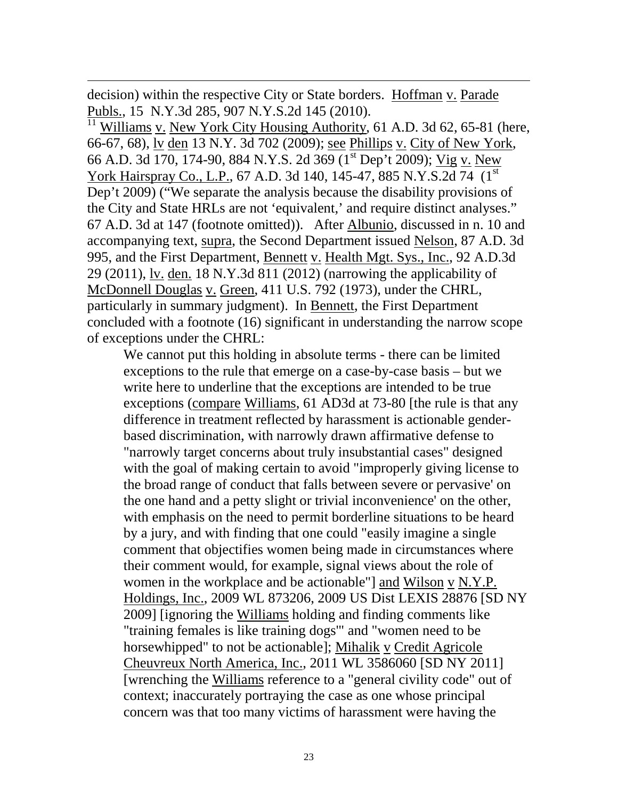decision) within the respective City or State borders. Hoffman v. Parade Publs., 15 N.Y.3d 285, 907 N.Y.S.2d 145 (2010).

 $\overline{a}$ 

Williams v. New York City Housing Authority, 61 A.D. 3d 62, 65-81 (here, 66-67, 68), lv den 13 N.Y. 3d 702 (2009); see Phillips v. City of New York, 66 A.D. 3d 170, 174-90, 884 N.Y.S. 2d 369 (1<sup>st</sup> Dep't 2009); Vig v. New York Hairspray Co., L.P., 67 A.D. 3d 140, 145-47, 885 N.Y.S.2d 74 (1st) Dep't 2009) ("We separate the analysis because the disability provisions of the City and State HRLs are not 'equivalent,' and require distinct analyses." 67 A.D. 3d at 147 (footnote omitted)). After Albunio, discussed in n. 10 and accompanying text, supra, the Second Department issued Nelson, 87 A.D. 3d 995, and the First Department, Bennett v. Health Mgt. Sys., Inc., 92 A.D.3d 29 (2011), lv. den. 18 N.Y.3d 811 (2012) (narrowing the applicability of McDonnell Douglas v. Green, 411 U.S. 792 (1973), under the CHRL, particularly in summary judgment). In Bennett, the First Department concluded with a footnote (16) significant in understanding the narrow scope of exceptions under the CHRL:

We cannot put this holding in absolute terms - there can be limited exceptions to the rule that emerge on a case-by-case basis – but we write here to underline that the exceptions are intended to be true exceptions (compare Williams, 61 AD3d at 73-80 [the rule is that any difference in treatment reflected by harassment is actionable genderbased discrimination, with narrowly drawn affirmative defense to "narrowly target concerns about truly insubstantial cases" designed with the goal of making certain to avoid "improperly giving license to the broad range of conduct that falls between severe or pervasive' on the one hand and a petty slight or trivial inconvenience' on the other, with emphasis on the need to permit borderline situations to be heard by a jury, and with finding that one could "easily imagine a single comment that objectifies women being made in circumstances where their comment would, for example, signal views about the role of women in the workplace and be actionable"] and Wilson v N.Y.P. Holdings, Inc., 2009 WL 873206, 2009 US Dist LEXIS 28876 [SD NY 2009] [ignoring the Williams holding and finding comments like "training females is like training dogs'" and "women need to be horsewhipped" to not be actionable]; Mihalik v Credit Agricole Cheuvreux North America, Inc., 2011 WL 3586060 [SD NY 2011] [wrenching the Williams reference to a "general civility code" out of context; inaccurately portraying the case as one whose principal concern was that too many victims of harassment were having the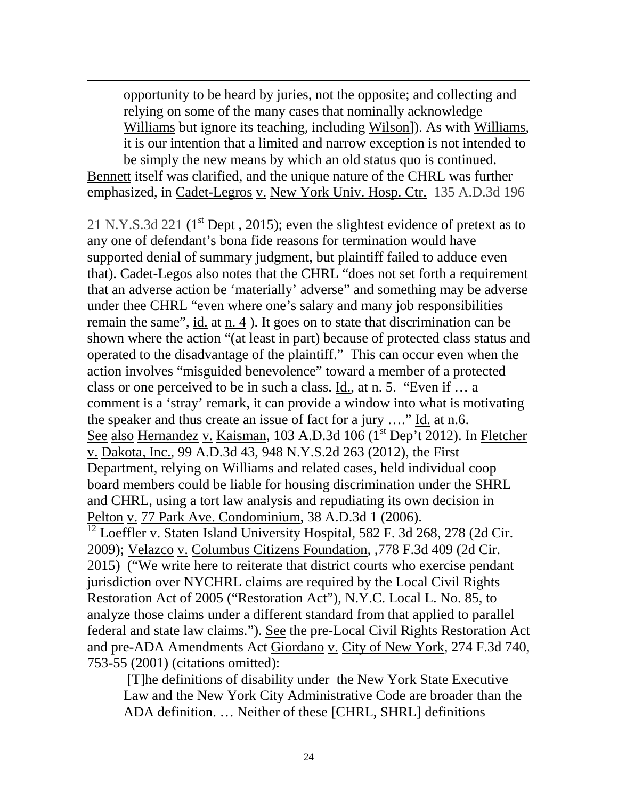opportunity to be heard by juries, not the opposite; and collecting and relying on some of the many cases that nominally acknowledge Williams but ignore its teaching, including Wilson]). As with Williams, it is our intention that a limited and narrow exception is not intended to be simply the new means by which an old status quo is continued. Bennett itself was clarified, and the unique nature of the CHRL was further

emphasized, in Cadet-Legros v. New York Univ. Hosp. Ctr. 135 A.D.3d 196

 $\overline{a}$ 

21 N.Y.S.3d 221 ( $1<sup>st</sup>$  Dept, 2015); even the slightest evidence of pretext as to any one of defendant's bona fide reasons for termination would have supported denial of summary judgment, but plaintiff failed to adduce even that). Cadet-Legos also notes that the CHRL "does not set forth a requirement that an adverse action be 'materially' adverse" and something may be adverse under thee CHRL "even where one's salary and many job responsibilities remain the same", id. at n. 4 ). It goes on to state that discrimination can be shown where the action "(at least in part) because of protected class status and operated to the disadvantage of the plaintiff." This can occur even when the action involves "misguided benevolence" toward a member of a protected class or one perceived to be in such a class. Id., at n. 5. "Even if … a comment is a 'stray' remark, it can provide a window into what is motivating the speaker and thus create an issue of fact for a jury  $\dots$ " Id. at n.6. See also Hernandez v. Kaisman, 103 A.D.3d 106 (1<sup>st</sup> Dep't 2012). In Fletcher v. Dakota, Inc., 99 A.D.3d 43, 948 N.Y.S.2d 263 (2012), the First Department, relying on Williams and related cases, held individual coop board members could be liable for housing discrimination under the SHRL and CHRL, using a tort law analysis and repudiating its own decision in Pelton v. 77 Park Ave. Condominium, 38 A.D.3d 1 (2006).

 $12$  Loeffler v. Staten Island University Hospital, 582 F. 3d 268, 278 (2d Cir. 2009); Velazco v. Columbus Citizens Foundation, ,778 F.3d 409 (2d Cir. 2015) ("We write here to reiterate that district courts who exercise pendant jurisdiction over NYCHRL claims are required by the Local Civil Rights Restoration Act of 2005 ("Restoration Act"), N.Y.C. Local L. No. 85, to analyze those claims under a different standard from that applied to parallel federal and state law claims."). See the pre-Local Civil Rights Restoration Act and pre-ADA Amendments Act Giordano v. City of New York, 274 F.3d 740, 753-55 (2001) (citations omitted):

[T]he definitions of disability under the New York State Executive Law and the New York City Administrative Code are broader than the ADA definition. … Neither of these [CHRL, SHRL] definitions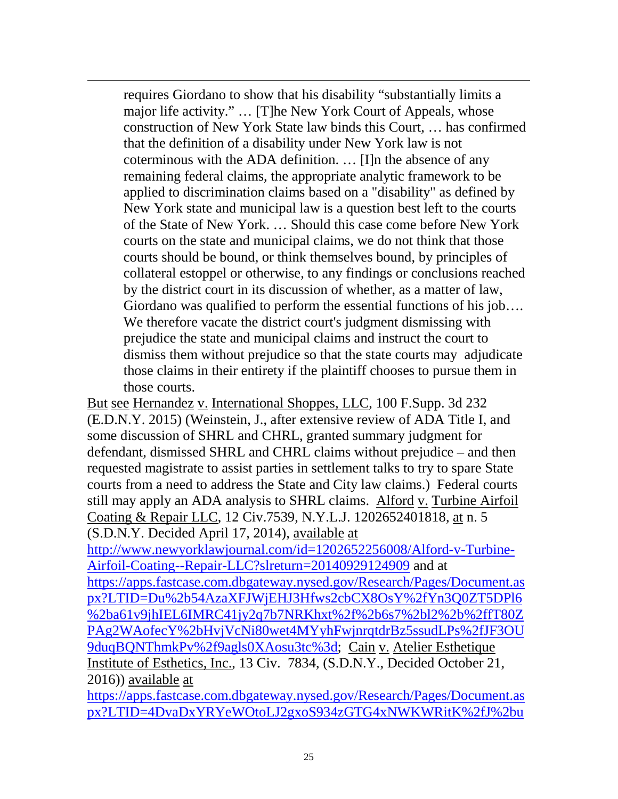requires Giordano to show that his disability "substantially limits a major life activity." … [T]he New York Court of Appeals, whose construction of New York State law binds this Court, … has confirmed that the definition of a disability under New York law is not coterminous with the ADA definition. … [I]n the absence of any remaining federal claims, the appropriate analytic framework to be applied to discrimination claims based on a "disability" as defined by New York state and municipal law is a question best left to the courts of the State of New York. … Should this case come before New York courts on the state and municipal claims, we do not think that those courts should be bound, or think themselves bound, by principles of collateral estoppel or otherwise, to any findings or conclusions reached by the district court in its discussion of whether, as a matter of law, Giordano was qualified to perform the essential functions of his job…. We therefore vacate the district court's judgment dismissing with prejudice the state and municipal claims and instruct the court to dismiss them without prejudice so that the state courts may adjudicate those claims in their entirety if the plaintiff chooses to pursue them in those courts.

 $\overline{a}$ 

But see Hernandez v. International Shoppes, LLC, 100 F.Supp. 3d 232 (E.D.N.Y. 2015) (Weinstein, J., after extensive review of ADA Title I, and some discussion of SHRL and CHRL, granted summary judgment for defendant, dismissed SHRL and CHRL claims without prejudice – and then requested magistrate to assist parties in settlement talks to try to spare State courts from a need to address the State and City law claims.) Federal courts still may apply an ADA analysis to SHRL claims. Alford v. Turbine Airfoil Coating & Repair LLC, 12 Civ.7539, N.Y.L.J. 1202652401818, at n. 5 (S.D.N.Y. Decided April 17, 2014), available at

[http://www.newyorklawjournal.com/id=1202652256008/Alford-v-Turbine-](http://www.newyorklawjournal.com/id=1202652256008/Alford-v-Turbine-Airfoil-Coating--Repair-LLC?slreturn=20140929124909)[Airfoil-Coating--Repair-LLC?slreturn=20140929124909](http://www.newyorklawjournal.com/id=1202652256008/Alford-v-Turbine-Airfoil-Coating--Repair-LLC?slreturn=20140929124909) and at [https://apps.fastcase.com.dbgateway.nysed.gov/Research/Pages/Document.as](https://apps.fastcase.com.dbgateway.nysed.gov/Research/Pages/Document.aspx?LTID=Du%2b54AzaXFJWjEHJ3Hfws2cbCX8OsY%2fYn3Q0ZT5DPl6%2ba61v9jhIEL6IMRC41jy2q7b7NRKhxt%2f%2b6s7%2bl2%2b%2ffT80ZPAg2WAofecY%2bHvjVcNi80wet4MYyhFwjnrqtdrBz5ssudLPs%2fJF3OU9duqBQNThmkPv%2f9agls0XAosu3tc%3d) [px?LTID=Du%2b54AzaXFJWjEHJ3Hfws2cbCX8OsY%2fYn3Q0ZT5DPl6](https://apps.fastcase.com.dbgateway.nysed.gov/Research/Pages/Document.aspx?LTID=Du%2b54AzaXFJWjEHJ3Hfws2cbCX8OsY%2fYn3Q0ZT5DPl6%2ba61v9jhIEL6IMRC41jy2q7b7NRKhxt%2f%2b6s7%2bl2%2b%2ffT80ZPAg2WAofecY%2bHvjVcNi80wet4MYyhFwjnrqtdrBz5ssudLPs%2fJF3OU9duqBQNThmkPv%2f9agls0XAosu3tc%3d) [%2ba61v9jhIEL6IMRC41jy2q7b7NRKhxt%2f%2b6s7%2bl2%2b%2ffT80Z](https://apps.fastcase.com.dbgateway.nysed.gov/Research/Pages/Document.aspx?LTID=Du%2b54AzaXFJWjEHJ3Hfws2cbCX8OsY%2fYn3Q0ZT5DPl6%2ba61v9jhIEL6IMRC41jy2q7b7NRKhxt%2f%2b6s7%2bl2%2b%2ffT80ZPAg2WAofecY%2bHvjVcNi80wet4MYyhFwjnrqtdrBz5ssudLPs%2fJF3OU9duqBQNThmkPv%2f9agls0XAosu3tc%3d) [PAg2WAofecY%2bHvjVcNi80wet4MYyhFwjnrqtdrBz5ssudLPs%2fJF3OU](https://apps.fastcase.com.dbgateway.nysed.gov/Research/Pages/Document.aspx?LTID=Du%2b54AzaXFJWjEHJ3Hfws2cbCX8OsY%2fYn3Q0ZT5DPl6%2ba61v9jhIEL6IMRC41jy2q7b7NRKhxt%2f%2b6s7%2bl2%2b%2ffT80ZPAg2WAofecY%2bHvjVcNi80wet4MYyhFwjnrqtdrBz5ssudLPs%2fJF3OU9duqBQNThmkPv%2f9agls0XAosu3tc%3d) [9duqBQNThmkPv%2f9agls0XAosu3tc%3d;](https://apps.fastcase.com.dbgateway.nysed.gov/Research/Pages/Document.aspx?LTID=Du%2b54AzaXFJWjEHJ3Hfws2cbCX8OsY%2fYn3Q0ZT5DPl6%2ba61v9jhIEL6IMRC41jy2q7b7NRKhxt%2f%2b6s7%2bl2%2b%2ffT80ZPAg2WAofecY%2bHvjVcNi80wet4MYyhFwjnrqtdrBz5ssudLPs%2fJF3OU9duqBQNThmkPv%2f9agls0XAosu3tc%3d) Cain v. Atelier Esthetique Institute of Esthetics, Inc., 13 Civ. 7834, (S.D.N.Y., Decided October 21, 2016)) available at

[https://apps.fastcase.com.dbgateway.nysed.gov/Research/Pages/Document.as](https://apps.fastcase.com.dbgateway.nysed.gov/Research/Pages/Document.aspx?LTID=4DvaDxYRYeWOtoLJ2gxoS934zGTG4xNWKWRitK%2fJ%2bu%2flTPcn3N052e6iAVMYPkfrS%2fhJGviTUQdTqAIwRDUAzkPKc%2fpGXoP1xoZ2L1iC1trpFIBY%2fFZnmC3dh1KGP0zbTkxLo8HCdOS4WwG04EfAHutmeQ87lGL1Sstu0SjgDIs%3d) [px?LTID=4DvaDxYRYeWOtoLJ2gxoS934zGTG4xNWKWRitK%2fJ%2bu](https://apps.fastcase.com.dbgateway.nysed.gov/Research/Pages/Document.aspx?LTID=4DvaDxYRYeWOtoLJ2gxoS934zGTG4xNWKWRitK%2fJ%2bu%2flTPcn3N052e6iAVMYPkfrS%2fhJGviTUQdTqAIwRDUAzkPKc%2fpGXoP1xoZ2L1iC1trpFIBY%2fFZnmC3dh1KGP0zbTkxLo8HCdOS4WwG04EfAHutmeQ87lGL1Sstu0SjgDIs%3d)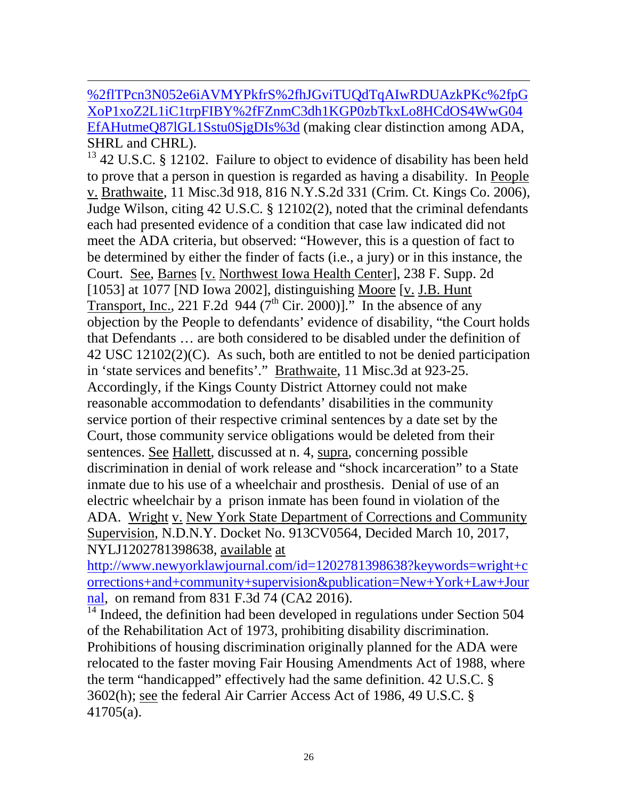$\overline{a}$ [%2flTPcn3N052e6iAVMYPkfrS%2fhJGviTUQdTqAIwRDUAzkPKc%2fpG](https://apps.fastcase.com.dbgateway.nysed.gov/Research/Pages/Document.aspx?LTID=4DvaDxYRYeWOtoLJ2gxoS934zGTG4xNWKWRitK%2fJ%2bu%2flTPcn3N052e6iAVMYPkfrS%2fhJGviTUQdTqAIwRDUAzkPKc%2fpGXoP1xoZ2L1iC1trpFIBY%2fFZnmC3dh1KGP0zbTkxLo8HCdOS4WwG04EfAHutmeQ87lGL1Sstu0SjgDIs%3d) [XoP1xoZ2L1iC1trpFIBY%2fFZnmC3dh1KGP0zbTkxLo8HCdOS4WwG04](https://apps.fastcase.com.dbgateway.nysed.gov/Research/Pages/Document.aspx?LTID=4DvaDxYRYeWOtoLJ2gxoS934zGTG4xNWKWRitK%2fJ%2bu%2flTPcn3N052e6iAVMYPkfrS%2fhJGviTUQdTqAIwRDUAzkPKc%2fpGXoP1xoZ2L1iC1trpFIBY%2fFZnmC3dh1KGP0zbTkxLo8HCdOS4WwG04EfAHutmeQ87lGL1Sstu0SjgDIs%3d) [EfAHutmeQ87lGL1Sstu0SjgDIs%3d](https://apps.fastcase.com.dbgateway.nysed.gov/Research/Pages/Document.aspx?LTID=4DvaDxYRYeWOtoLJ2gxoS934zGTG4xNWKWRitK%2fJ%2bu%2flTPcn3N052e6iAVMYPkfrS%2fhJGviTUQdTqAIwRDUAzkPKc%2fpGXoP1xoZ2L1iC1trpFIBY%2fFZnmC3dh1KGP0zbTkxLo8HCdOS4WwG04EfAHutmeQ87lGL1Sstu0SjgDIs%3d) (making clear distinction among ADA, SHRL and CHRL).

 $13$  42 U.S.C. § 12102. Failure to object to evidence of disability has been held to prove that a person in question is regarded as having a disability. In People v. Brathwaite, 11 Misc.3d 918, 816 N.Y.S.2d 331 (Crim. Ct. Kings Co. 2006), Judge Wilson, citing 42 U.S.C. § 12102(2), noted that the criminal defendants each had presented evidence of a condition that case law indicated did not meet the ADA criteria, but observed: "However, this is a question of fact to be determined by either the finder of facts (i.e., a jury) or in this instance, the Court. See, Barnes [v. Northwest Iowa Health Center], 238 F. Supp. 2d [1053] at 1077 [ND Iowa 2002], distinguishing Moore [v. J.B. Hunt Transport, Inc., 221 F.2d 944 ( $7<sup>th</sup>$  Cir. 2000)]." In the absence of any objection by the People to defendants' evidence of disability, "the Court holds that Defendants … are both considered to be disabled under the definition of 42 USC 12102(2)(C). As such, both are entitled to not be denied participation in 'state services and benefits'." Brathwaite, 11 Misc.3d at 923-25. Accordingly, if the Kings County District Attorney could not make reasonable accommodation to defendants' disabilities in the community service portion of their respective criminal sentences by a date set by the Court, those community service obligations would be deleted from their sentences. See Hallett, discussed at n. 4, supra, concerning possible discrimination in denial of work release and "shock incarceration" to a State inmate due to his use of a wheelchair and prosthesis. Denial of use of an electric wheelchair by a prison inmate has been found in violation of the ADA. Wright v. New York State Department of Corrections and Community Supervision, N.D.N.Y. Docket No. 913CV0564, Decided March 10, 2017, NYLJ1202781398638, available at

[http://www.newyorklawjournal.com/id=1202781398638?keywords=wright+c](http://www.newyorklawjournal.com/id=1202781398638?keywords=wright+corrections+and+community+supervision&publication=New+York+Law+Journal) [orrections+and+community+supervision&publication=New+York+Law+Jour](http://www.newyorklawjournal.com/id=1202781398638?keywords=wright+corrections+and+community+supervision&publication=New+York+Law+Journal) [nal,](http://www.newyorklawjournal.com/id=1202781398638?keywords=wright+corrections+and+community+supervision&publication=New+York+Law+Journal) on remand from 831 F.3d 74 (CA2 2016).

 $\overline{^{14}}$  Indeed, the definition had been developed in regulations under Section 504 of the Rehabilitation Act of 1973, prohibiting disability discrimination. Prohibitions of housing discrimination originally planned for the ADA were relocated to the faster moving Fair Housing Amendments Act of 1988, where the term "handicapped" effectively had the same definition. 42 U.S.C. § 3602(h); see the federal Air Carrier Access Act of 1986, 49 U.S.C. § 41705(a).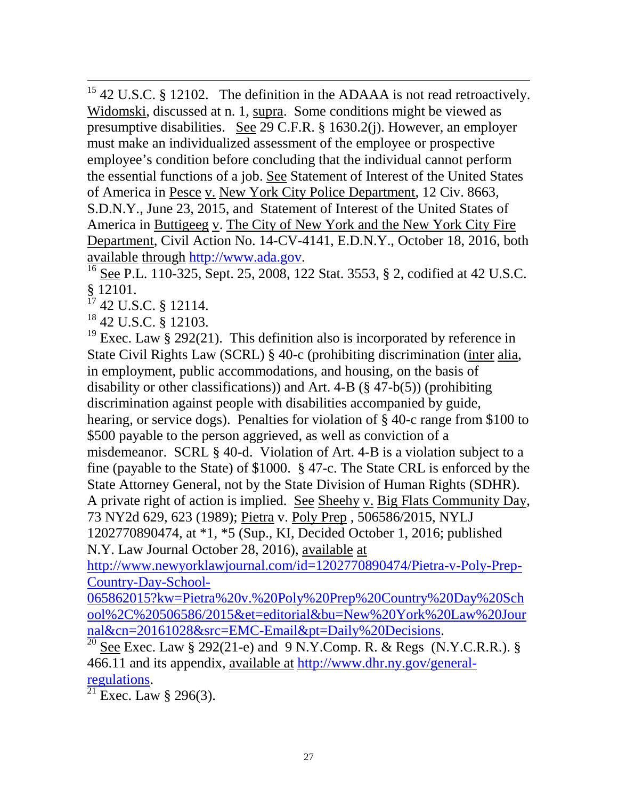<sup>15</sup> 42 U.S.C. § 12102. The definition in the ADAAA is not read retroactively. Widomski, discussed at n. 1, supra. Some conditions might be viewed as presumptive disabilities. See 29 C.F.R. § 1630.2(j). However, an employer must make an individualized assessment of the employee or prospective employee's condition before concluding that the individual cannot perform the essential functions of a job. See Statement of Interest of the United States of America in Pesce v. New York City Police Department, 12 Civ. 8663, S.D.N.Y., June 23, 2015, and Statement of Interest of the United States of America in Buttigeeg v. The City of New York and the New York City Fire Department, Civil Action No. 14-CV-4141, E.D.N.Y., October 18, 2016, both

available through [http://www.ada.gov.](http://www.ada.gov/)<br> $\frac{16}{16}$  See P.L. 110-325, Sept. 25, 2008, 122 Stat. 3553, § 2, codified at 42 U.S.C. § 12101.

<sup>17</sup> 42 U.S.C. § 12114.

<sup>18</sup> 42 U.S.C. § 12103.

<sup>19</sup> Exec. Law § 292(21). This definition also is incorporated by reference in State Civil Rights Law (SCRL) § 40-c (prohibiting discrimination (inter alia, in employment, public accommodations, and housing, on the basis of disability or other classifications)) and Art. 4-B  $(\S 47-b(5))$  (prohibiting discrimination against people with disabilities accompanied by guide, hearing, or service dogs). Penalties for violation of § 40-c range from \$100 to \$500 payable to the person aggrieved, as well as conviction of a misdemeanor. SCRL § 40-d. Violation of Art. 4-B is a violation subject to a fine (payable to the State) of \$1000. § 47-c. The State CRL is enforced by the State Attorney General, not by the State Division of Human Rights (SDHR). A private right of action is implied. See Sheehy v. Big Flats Community Day, 73 NY2d 629, 623 (1989); Pietra v. Poly Prep , 506586/2015, NYLJ 1202770890474, at \*1, \*5 (Sup., KI, Decided October 1, 2016; published N.Y. Law Journal October 28, 2016), available at

[http://www.newyorklawjournal.com/id=1202770890474/Pietra-v-Poly-Prep-](http://www.newyorklawjournal.com/id=1202770890474/Pietra-v-Poly-Prep-Country-Day-School-065862015?kw=Pietra%20v.%20Poly%20Prep%20Country%20Day%20School%2C%20506586/2015&et=editorial&bu=New%20York%20Law%20Journal&cn=20161028&src=EMC-Email&pt=Daily%20Decisions)[Country-Day-School-](http://www.newyorklawjournal.com/id=1202770890474/Pietra-v-Poly-Prep-Country-Day-School-065862015?kw=Pietra%20v.%20Poly%20Prep%20Country%20Day%20School%2C%20506586/2015&et=editorial&bu=New%20York%20Law%20Journal&cn=20161028&src=EMC-Email&pt=Daily%20Decisions)

[065862015?kw=Pietra%20v.%20Poly%20Prep%20Country%20Day%20Sch](http://www.newyorklawjournal.com/id=1202770890474/Pietra-v-Poly-Prep-Country-Day-School-065862015?kw=Pietra%20v.%20Poly%20Prep%20Country%20Day%20School%2C%20506586/2015&et=editorial&bu=New%20York%20Law%20Journal&cn=20161028&src=EMC-Email&pt=Daily%20Decisions) [ool%2C%20506586/2015&et=editorial&bu=New%20York%20Law%20Jour](http://www.newyorklawjournal.com/id=1202770890474/Pietra-v-Poly-Prep-Country-Day-School-065862015?kw=Pietra%20v.%20Poly%20Prep%20Country%20Day%20School%2C%20506586/2015&et=editorial&bu=New%20York%20Law%20Journal&cn=20161028&src=EMC-Email&pt=Daily%20Decisions)

[nal&cn=20161028&src=EMC-Email&pt=Daily%20Decisions.](http://www.newyorklawjournal.com/id=1202770890474/Pietra-v-Poly-Prep-Country-Day-School-065862015?kw=Pietra%20v.%20Poly%20Prep%20Country%20Day%20School%2C%20506586/2015&et=editorial&bu=New%20York%20Law%20Journal&cn=20161028&src=EMC-Email&pt=Daily%20Decisions)<br><sup>20</sup> See Exec. Law § 292(21-e) and 9 N.Y.Comp. R. & Regs (N.Y.C.R.R.). § 466.11 and its appendix, available at [http://www.dhr.ny.gov/general](http://www.dhr.ny.gov/general-regulations)[regulations.](http://www.dhr.ny.gov/general-regulations)<br><sup>21</sup> Exec. Law § 296(3).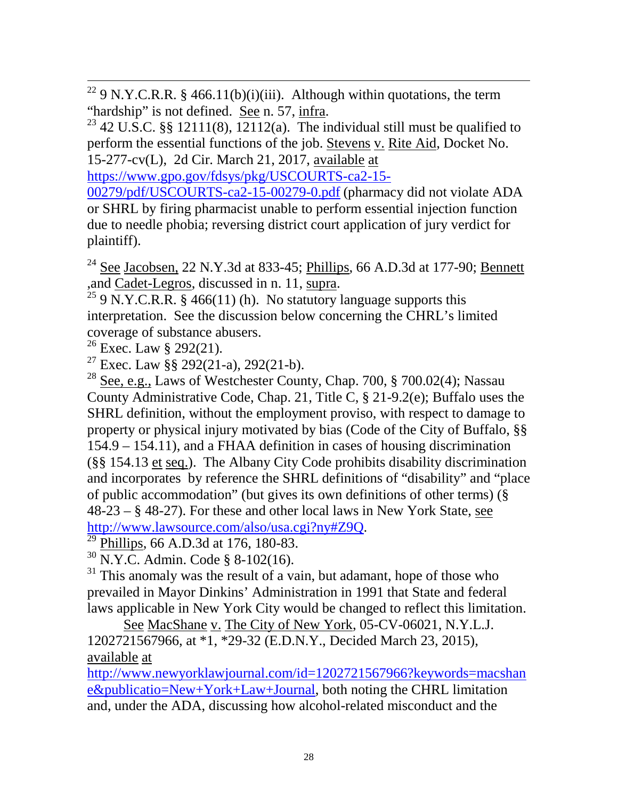<sup>22</sup> 9 N.Y.C.R.R. § 466.11(b)(i)(iii). Although within quotations, the term "hardship" is not defined. <u>See</u> n. 57, <u>infra</u>.<br><sup>23</sup> 42 U.S.C. §§ 12111(8), 12112(a). The individual still must be qualified to

perform the essential functions of the job. Stevens v. Rite Aid, Docket No. 15-277-cv(L), 2d Cir. March 21, 2017, available at

[https://www.gpo.gov/fdsys/pkg/USCOURTS-ca2-15-](https://www.gpo.gov/fdsys/pkg/USCOURTS-ca2-15-00279/pdf/USCOURTS-ca2-15-00279-0.pdf)

[00279/pdf/USCOURTS-ca2-15-00279-0.pdf](https://www.gpo.gov/fdsys/pkg/USCOURTS-ca2-15-00279/pdf/USCOURTS-ca2-15-00279-0.pdf) (pharmacy did not violate ADA or SHRL by firing pharmacist unable to perform essential injection function due to needle phobia; reversing district court application of jury verdict for plaintiff).

<sup>24</sup> See Jacobsen, 22 N.Y.3d at 833-45; *Phillips*, 66 A.D.3d at 177-90; *Bennett* ,and Cadet-Legros, discussed in n. 11, supra.<br><sup>25</sup> 9 N.Y.C.R.R. § 466(11) (h). No statutory language supports this

interpretation. See the discussion below concerning the CHRL's limited coverage of substance abusers.

<sup>26</sup> Exec. Law § 292(21).

<sup>27</sup> Exec. Law §§ 292(21-a), 292(21-b).

<sup>28</sup> See, e.g., Laws of Westchester County, Chap. 700, § 700.02(4); Nassau County Administrative Code, Chap. 21, Title C, § 21-9.2(e); Buffalo uses the SHRL definition, without the employment proviso, with respect to damage to property or physical injury motivated by bias (Code of the City of Buffalo, §§ 154.9 – 154.11), and a FHAA definition in cases of housing discrimination (§§ 154.13 et seq.). The Albany City Code prohibits disability discrimination and incorporates by reference the SHRL definitions of "disability" and "place of public accommodation" (but gives its own definitions of other terms) (§ 48-23 – § 48-27). For these and other local laws in New York State, see [http://www.lawsource.com/also/usa.cgi?ny#Z9Q.](http://www.lawsource.com/also/usa.cgi?ny#Z9Q)<br><sup>29</sup> Phillips, 66 A.D.3d at 176, 180-83.

 $30$  N.Y.C. Admin. Code § 8-102(16).

 $31$  This anomaly was the result of a vain, but adamant, hope of those who prevailed in Mayor Dinkins' Administration in 1991 that State and federal laws applicable in New York City would be changed to reflect this limitation.

See MacShane v. The City of New York, 05-CV-06021, N.Y.L.J. 1202721567966, at \*1, \*29-32 (E.D.N.Y., Decided March 23, 2015), available at

[http://www.newyorklawjournal.com/id=1202721567966?keywords=macshan](http://www.newyorklawjournal.com/id=1202721567966?keywords=macshane&publication=New+York+Law+Journal) [e&publicatio=New+York+Law+Journal,](http://www.newyorklawjournal.com/id=1202721567966?keywords=macshane&publication=New+York+Law+Journal) both noting the CHRL limitation and, under the ADA, discussing how alcohol-related misconduct and the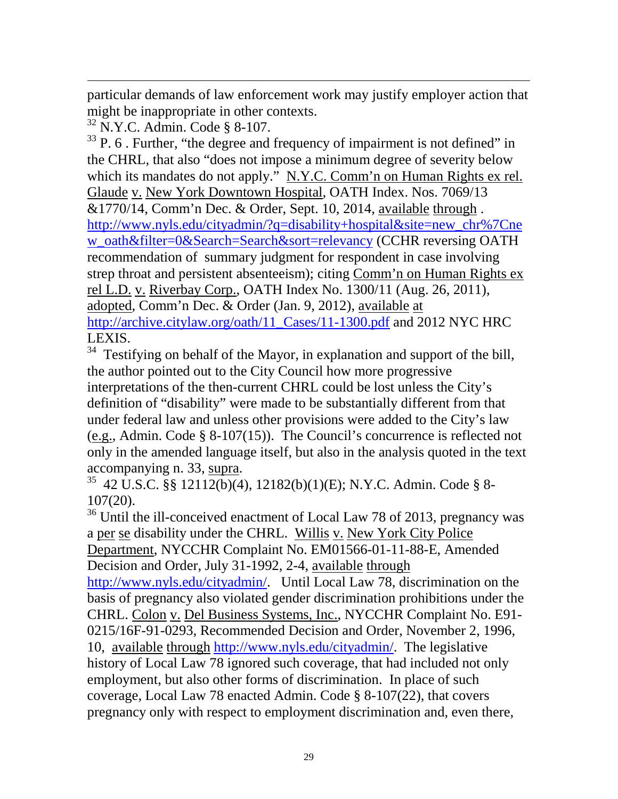$\overline{a}$ particular demands of law enforcement work may justify employer action that might be inappropriate in other contexts.

<sup>32</sup> N.Y.C. Admin. Code § 8-107.

 $33$  P. 6. Further, "the degree and frequency of impairment is not defined" in the CHRL, that also "does not impose a minimum degree of severity below which its mandates do not apply." N.Y.C. Comm'n on Human Rights ex rel. Glaude v. New York Downtown Hospital, OATH Index. Nos. 7069/13 &1770/14, Comm'n Dec. & Order, Sept. 10, 2014, available through . [http://www.nyls.edu/cityadmin/?q=disability+hospital&site=new\\_chr%7Cne](http://www.nyls.edu/cityadmin/?q=disability+hospital&site=new_chr%7Cnew_oath&filter=0&Search=Search&sort=relevancy) [w\\_oath&filter=0&Search=Search&sort=relevancy](http://www.nyls.edu/cityadmin/?q=disability+hospital&site=new_chr%7Cnew_oath&filter=0&Search=Search&sort=relevancy) (CCHR reversing OATH recommendation of summary judgment for respondent in case involving strep throat and persistent absenteeism); citing Comm'n on Human Rights ex rel L.D. v. Riverbay Corp., OATH Index No. 1300/11 (Aug. 26, 2011), adopted, Comm'n Dec. & Order (Jan. 9, 2012), available at [http://archive.citylaw.org/oath/11\\_Cases/11-1300.pdf](http://archive.citylaw.org/oath/11_Cases/11-1300.pdf) and 2012 NYC HRC LEXIS.

<sup>34</sup> Testifying on behalf of the Mayor, in explanation and support of the bill, the author pointed out to the City Council how more progressive interpretations of the then-current CHRL could be lost unless the City's definition of "disability" were made to be substantially different from that under federal law and unless other provisions were added to the City's law (e.g., Admin. Code § 8-107(15)). The Council's concurrence is reflected not only in the amended language itself, but also in the analysis quoted in the text

accompanying n. 33, supra.<br><sup>35</sup> 42 U.S.C. §§ 12112(b)(4), 12182(b)(1)(E); N.Y.C. Admin. Code § 8-107(20).

<sup>36</sup> Until the ill-conceived enactment of Local Law 78 of 2013, pregnancy was a per se disability under the CHRL. Willis v. New York City Police Department, NYCCHR Complaint No. EM01566-01-11-88-E, Amended Decision and Order, July 31-1992, 2-4, available through [http://www.nyls.edu/cityadmin/.](http://www.nyls.edu/cityadmin/) Until Local Law 78, discrimination on the basis of pregnancy also violated gender discrimination prohibitions under the CHRL. Colon v. Del Business Systems, Inc., NYCCHR Complaint No. E91- 0215/16F-91-0293, Recommended Decision and Order, November 2, 1996, 10, available through [http://www.nyls.edu/cityadmin/.](http://www.nyls.edu/cityadmin/) The legislative history of Local Law 78 ignored such coverage, that had included not only employment, but also other forms of discrimination. In place of such coverage, Local Law 78 enacted Admin. Code § 8-107(22), that covers pregnancy only with respect to employment discrimination and, even there,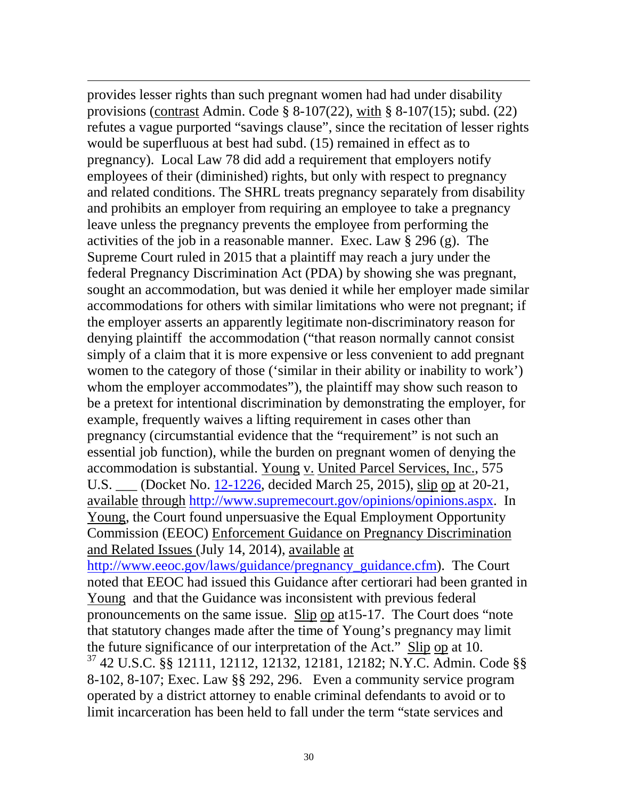provides lesser rights than such pregnant women had had under disability provisions (contrast Admin. Code § 8-107(22), with § 8-107(15); subd. (22) refutes a vague purported "savings clause", since the recitation of lesser rights would be superfluous at best had subd. (15) remained in effect as to pregnancy). Local Law 78 did add a requirement that employers notify employees of their (diminished) rights, but only with respect to pregnancy and related conditions. The SHRL treats pregnancy separately from disability and prohibits an employer from requiring an employee to take a pregnancy leave unless the pregnancy prevents the employee from performing the activities of the job in a reasonable manner. Exec. Law § 296 (g). The Supreme Court ruled in 2015 that a plaintiff may reach a jury under the federal Pregnancy Discrimination Act (PDA) by showing she was pregnant, sought an accommodation, but was denied it while her employer made similar accommodations for others with similar limitations who were not pregnant; if the employer asserts an apparently legitimate non-discriminatory reason for denying plaintiff the accommodation ("that reason normally cannot consist simply of a claim that it is more expensive or less convenient to add pregnant women to the category of those ('similar in their ability or inability to work') whom the employer accommodates"), the plaintiff may show such reason to be a pretext for intentional discrimination by demonstrating the employer, for example, frequently waives a lifting requirement in cases other than pregnancy (circumstantial evidence that the "requirement" is not such an essential job function), while the burden on pregnant women of denying the accommodation is substantial. Young v. United Parcel Services, Inc., 575 U.S. \_\_\_ (Docket No. [12-1226,](http://www.supremecourt.gov/Search.aspx?FileName=/docketfiles/12-1226.htm) decided March 25, 2015), slip op at 20-21, available through [http://www.supremecourt.gov/opinions/opinions.aspx.](http://www.supremecourt.gov/opinions/opinions.aspx) In Young, the Court found unpersuasive the Equal Employment Opportunity Commission (EEOC) Enforcement Guidance on Pregnancy Discrimination and Related Issues (July 14, 2014), available at [http://www.eeoc.gov/laws/guidance/pregnancy\\_guidance.cfm\)](http://www.eeoc.gov/laws/guidance/pregnancy_guidance.cfm). The Court noted that EEOC had issued this Guidance after certiorari had been granted in Young and that the Guidance was inconsistent with previous federal pronouncements on the same issue. Slip op at15-17. The Court does "note that statutory changes made after the time of Young's pregnancy may limit the future significance of our interpretation of the Act." Slip op at 10. <sup>37</sup> 42 U.S.C. §§ 12111, 12112, 12132, 12181, 12182; N.Y.C. Admin. Code §§ 8-102, 8-107; Exec. Law §§ 292, 296. Even a community service program operated by a district attorney to enable criminal defendants to avoid or to limit incarceration has been held to fall under the term "state services and

 $\overline{a}$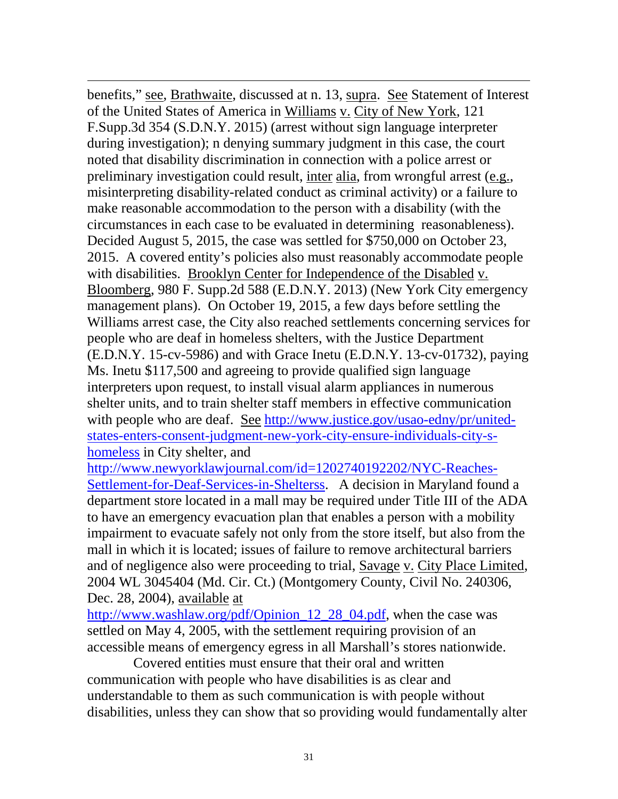$\overline{a}$ benefits," see, Brathwaite, discussed at n. 13, supra. See Statement of Interest of the United States of America in Williams v. City of New York, 121 F.Supp.3d 354 (S.D.N.Y. 2015) (arrest without sign language interpreter during investigation); n denying summary judgment in this case, the court noted that disability discrimination in connection with a police arrest or preliminary investigation could result, inter alia, from wrongful arrest (e.g., misinterpreting disability-related conduct as criminal activity) or a failure to make reasonable accommodation to the person with a disability (with the circumstances in each case to be evaluated in determining reasonableness). Decided August 5, 2015, the case was settled for \$750,000 on October 23, 2015. A covered entity's policies also must reasonably accommodate people with disabilities. Brooklyn Center for Independence of the Disabled v. Bloomberg, 980 F. Supp.2d 588 (E.D.N.Y. 2013) (New York City emergency management plans). On October 19, 2015, a few days before settling the Williams arrest case, the City also reached settlements concerning services for people who are deaf in homeless shelters, with the Justice Department (E.D.N.Y. 15-cv-5986) and with Grace Inetu (E.D.N.Y. 13-cv-01732), paying Ms. Inetu \$117,500 and agreeing to provide qualified sign language interpreters upon request, to install visual alarm appliances in numerous shelter units, and to train shelter staff members in effective communication with people who are deaf. See [http://www.justice.gov/usao-edny/pr/united](http://www.justice.gov/usao-edny/pr/united-states-enters-consent-judgment-new-york-city-ensure-individuals-city-s-homeless)[states-enters-consent-judgment-new-york-city-ensure-individuals-city-s](http://www.justice.gov/usao-edny/pr/united-states-enters-consent-judgment-new-york-city-ensure-individuals-city-s-homeless)[homeless](http://www.justice.gov/usao-edny/pr/united-states-enters-consent-judgment-new-york-city-ensure-individuals-city-s-homeless) in City shelter, and

[http://www.newyorklawjournal.com/id=1202740192202/NYC-Reaches-](http://www.newyorklawjournal.com/id=1202740192202/NYC-Reaches-Settlement-for-Deaf-Services-in-Shelterss)[Settlement-for-Deaf-Services-in-Shelterss.](http://www.newyorklawjournal.com/id=1202740192202/NYC-Reaches-Settlement-for-Deaf-Services-in-Shelterss) A decision in Maryland found a department store located in a mall may be required under Title III of the ADA to have an emergency evacuation plan that enables a person with a mobility impairment to evacuate safely not only from the store itself, but also from the mall in which it is located; issues of failure to remove architectural barriers and of negligence also were proceeding to trial, Savage v. City Place Limited, 2004 WL 3045404 (Md. Cir. Ct.) (Montgomery County, Civil No. 240306, Dec. 28, 2004), available at

[http://www.washlaw.org/pdf/Opinion\\_12\\_28\\_04.pdf,](http://www.washlaw.org/pdf/Opinion_12_28_04.pdf) when the case was settled on May 4, 2005, with the settlement requiring provision of an accessible means of emergency egress in all Marshall's stores nationwide.

Covered entities must ensure that their oral and written communication with people who have disabilities is as clear and understandable to them as such communication is with people without disabilities, unless they can show that so providing would fundamentally alter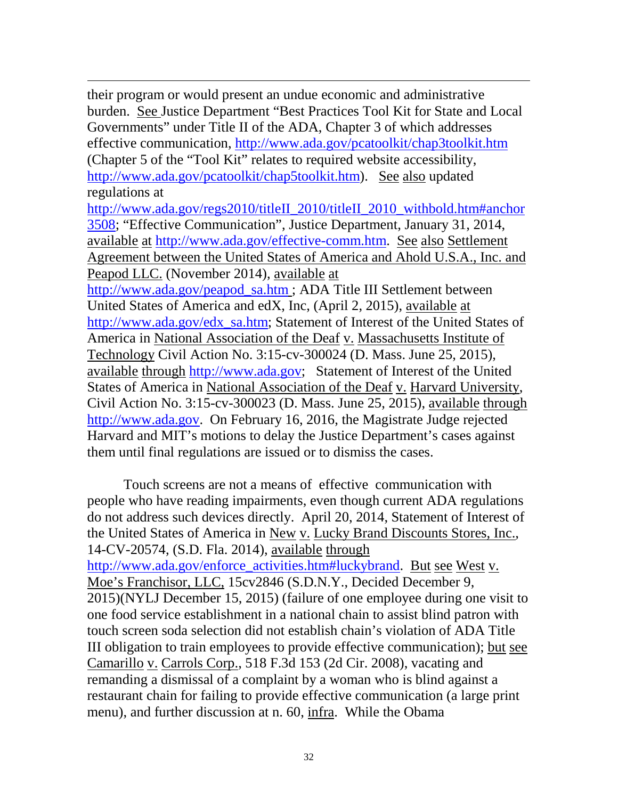their program or would present an undue economic and administrative burden. See Justice Department "Best Practices Tool Kit for State and Local Governments" under Title II of the ADA, Chapter 3 of which addresses effective communication,<http://www.ada.gov/pcatoolkit/chap3toolkit.htm> (Chapter 5 of the "Tool Kit" relates to required website accessibility, [http://www.ada.gov/pcatoolkit/chap5toolkit.htm\)](http://www.ada.gov/pcatoolkit/chap5toolkit.htm). See also updated regulations at [http://www.ada.gov/regs2010/titleII\\_2010/titleII\\_2010\\_withbold.htm#anchor](http://www.ada.gov/regs2010/titleII_2010/titleII_2010_withbold.htm#anchor3508) [3508;](http://www.ada.gov/regs2010/titleII_2010/titleII_2010_withbold.htm#anchor3508) "Effective Communication", Justice Department, January 31, 2014, available at [http://www.ada.gov/effective-comm.htm.](http://www.ada.gov/effective-comm.htm) See also Settlement Agreement between the United States of America and Ahold U.S.A., Inc. and Peapod LLC. (November 2014), available at [http://www.ada.gov/peapod\\_sa.htm](http://www.ada.gov/peapod_sa.htm) ; ADA Title III Settlement between United States of America and edX, Inc, (April 2, 2015), available at [http://www.ada.gov/edx\\_sa.htm;](http://www.ada.gov/edx_sa.htm) Statement of Interest of the United States of America in National Association of the Deaf v. Massachusetts Institute of Technology Civil Action No. 3:15-cv-300024 (D. Mass. June 25, 2015), available through [http://www.ada.gov;](http://www.ada.gov/) Statement of Interest of the United States of America in National Association of the Deaf v. Harvard University, Civil Action No. 3:15-cv-300023 (D. Mass. June 25, 2015), available through [http://www.ada.gov.](http://www.ada.gov/) On February 16, 2016, the Magistrate Judge rejected Harvard and MIT's motions to delay the Justice Department's cases against them until final regulations are issued or to dismiss the cases.

 $\overline{a}$ 

Touch screens are not a means of effective communication with people who have reading impairments, even though current ADA regulations do not address such devices directly. April 20, 2014, Statement of Interest of the United States of America in New v. Lucky Brand Discounts Stores, Inc., 14-CV-20574, (S.D. Fla. 2014), available through [http://www.ada.gov/enforce\\_activities.htm#luckybrand.](http://www.ada.gov/enforce_activities.htm#luckybrand) But see West v. Moe's Franchisor, LLC, 15cv2846 (S.D.N.Y., Decided December 9, 2015)(NYLJ December 15, 2015) (failure of one employee during one visit to one food service establishment in a national chain to assist blind patron with touch screen soda selection did not establish chain's violation of ADA Title III obligation to train employees to provide effective communication); but see Camarillo v. Carrols Corp., 518 F.3d 153 (2d Cir. 2008), vacating and remanding a dismissal of a complaint by a woman who is blind against a restaurant chain for failing to provide effective communication (a large print menu), and further discussion at n. 60, infra. While the Obama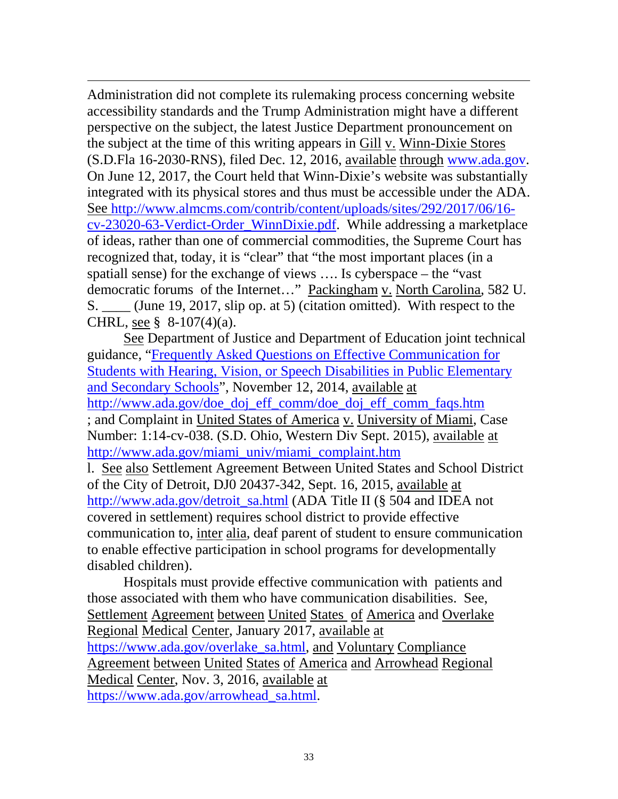$\overline{a}$ Administration did not complete its rulemaking process concerning website accessibility standards and the Trump Administration might have a different perspective on the subject, the latest Justice Department pronouncement on the subject at the time of this writing appears in Gill v. Winn-Dixie Stores (S.D.Fla 16-2030-RNS), filed Dec. 12, 2016, available through [www.ada.gov.](http://www.ada.gov/) On June 12, 2017, the Court held that Winn-Dixie's website was substantially integrated with its physical stores and thus must be accessible under the ADA. See [http://www.almcms.com/contrib/content/uploads/sites/292/2017/06/16](http://www.almcms.com/contrib/content/uploads/sites/292/2017/06/16-cv-23020-63-Verdict-Order_WinnDixie.pdf) [cv-23020-63-Verdict-Order\\_WinnDixie.pdf.](http://www.almcms.com/contrib/content/uploads/sites/292/2017/06/16-cv-23020-63-Verdict-Order_WinnDixie.pdf) While addressing a marketplace of ideas, rather than one of commercial commodities, the Supreme Court has recognized that, today, it is "clear" that "the most important places (in a spatiall sense) for the exchange of views …. Is cyberspace – the "vast democratic forums of the Internet…" Packingham v. North Carolina, 582 U. S. \_\_\_\_ (June 19, 2017, slip op. at 5) (citation omitted). With respect to the CHRL, see  $§$  8-107(4)(a).

See Department of Justice and Department of Education joint technical guidance, ["Frequently Asked Questions on Effective Communication for](http://www.ada.gov/doe_doj_eff_comm/doe_doj_eff_comm_faqs.htm)  [Students with Hearing, Vision, or Speech Disabilities in Public Elementary](http://www.ada.gov/doe_doj_eff_comm/doe_doj_eff_comm_faqs.htm)  [and Secondary Schools"](http://www.ada.gov/doe_doj_eff_comm/doe_doj_eff_comm_faqs.htm), November 12, 2014, available at [http://www.ada.gov/doe\\_doj\\_eff\\_comm/doe\\_doj\\_eff\\_comm\\_faqs.htm](http://www.ada.gov/doe_doj_eff_comm/doe_doj_eff_comm_faqs.htm) ; and Complaint in United States of America v. University of Miami, Case Number: 1:14-cv-038. (S.D. Ohio, Western Div Sept. 2015), available at [http://www.ada.gov/miami\\_univ/miami\\_complaint.htm](http://www.ada.gov/miami_univ/miami_complaint.htm) l. See also Settlement Agreement Between United States and School District of the City of Detroit, DJ0 20437-342, Sept. 16, 2015, available at [http://www.ada.gov/detroit\\_sa.html](http://www.ada.gov/detroit_sa.html) (ADA Title II (§ 504 and IDEA not covered in settlement) requires school district to provide effective communication to, inter alia, deaf parent of student to ensure communication to enable effective participation in school programs for developmentally disabled children).

Hospitals must provide effective communication with patients and those associated with them who have communication disabilities. See, Settlement Agreement between United States of America and Overlake Regional Medical Center, January 2017, available at [https://www.ada.gov/overlake\\_sa.html,](https://www.ada.gov/overlake_sa.html) and Voluntary Compliance Agreement between United States of America and Arrowhead Regional Medical Center, Nov. 3, 2016, available at [https://www.ada.gov/arrowhead\\_sa.html.](https://www.ada.gov/arrowhead_sa.html)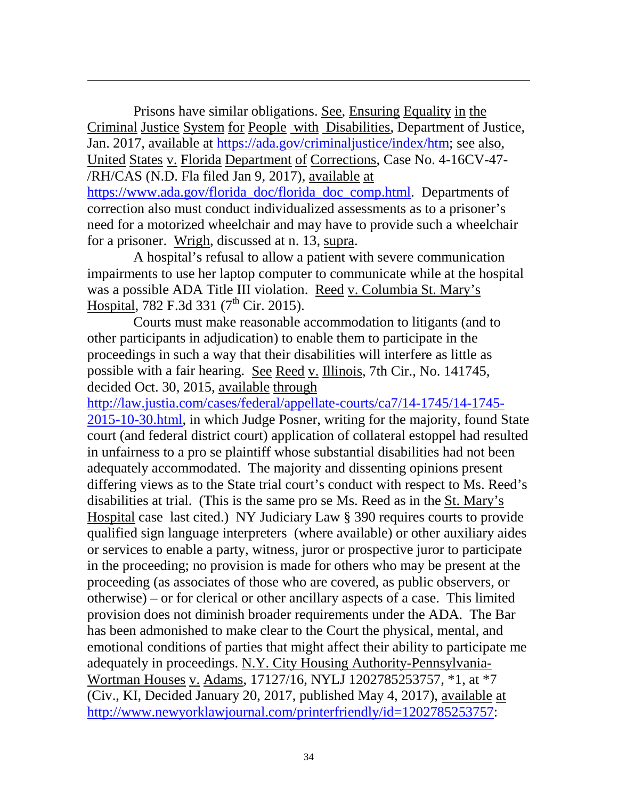Prisons have similar obligations. See, Ensuring Equality in the Criminal Justice System for People with Disabilities, Department of Justice, Jan. 2017, available at [https://ada.gov/criminaljustice/index/htm;](https://ada.gov/criminaljustice/index/htm) see also, United States v. Florida Department of Corrections, Case No. 4-16CV-47- /RH/CAS (N.D. Fla filed Jan 9, 2017), available at

 $\overline{a}$ 

[https://www.ada.gov/florida\\_doc/florida\\_doc\\_comp.html.](https://www.ada.gov/florida_doc/florida_doc_comp.html) Departments of correction also must conduct individualized assessments as to a prisoner's need for a motorized wheelchair and may have to provide such a wheelchair for a prisoner. Wrigh, discussed at n. 13, supra.

A hospital's refusal to allow a patient with severe communication impairments to use her laptop computer to communicate while at the hospital was a possible ADA Title III violation. Reed v. Columbia St. Mary's Hospital, 782 F.3d 331  $(7<sup>th</sup>$  Cir. 2015).

Courts must make reasonable accommodation to litigants (and to other participants in adjudication) to enable them to participate in the proceedings in such a way that their disabilities will interfere as little as possible with a fair hearing. See Reed v. Illinois, 7th Cir., No. 141745, decided Oct. 30, 2015, available through

[http://law.justia.com/cases/federal/appellate-courts/ca7/14-1745/14-1745-](http://law.justia.com/cases/federal/appellate-courts/ca7/14-1745/14-1745-2015-10-30.html) [2015-10-30.html,](http://law.justia.com/cases/federal/appellate-courts/ca7/14-1745/14-1745-2015-10-30.html) in which Judge Posner, writing for the majority, found State court (and federal district court) application of collateral estoppel had resulted in unfairness to a pro se plaintiff whose substantial disabilities had not been adequately accommodated. The majority and dissenting opinions present differing views as to the State trial court's conduct with respect to Ms. Reed's disabilities at trial. (This is the same pro se Ms. Reed as in the St. Mary's Hospital case last cited.) NY Judiciary Law § 390 requires courts to provide qualified sign language interpreters (where available) or other auxiliary aides or services to enable a party, witness, juror or prospective juror to participate in the proceeding; no provision is made for others who may be present at the proceeding (as associates of those who are covered, as public observers, or otherwise) – or for clerical or other ancillary aspects of a case. This limited provision does not diminish broader requirements under the ADA. The Bar has been admonished to make clear to the Court the physical, mental, and emotional conditions of parties that might affect their ability to participate me adequately in proceedings. N.Y. City Housing Authority-Pennsylvania-Wortman Houses v. Adams, 17127/16, NYLJ 1202785253757, \*1, at \*7 (Civ., KI, Decided January 20, 2017, published May 4, 2017), available at [http://www.newyorklawjournal.com/printerfriendly/id=1202785253757:](http://www.newyorklawjournal.com/printerfriendly/id=1202785253757)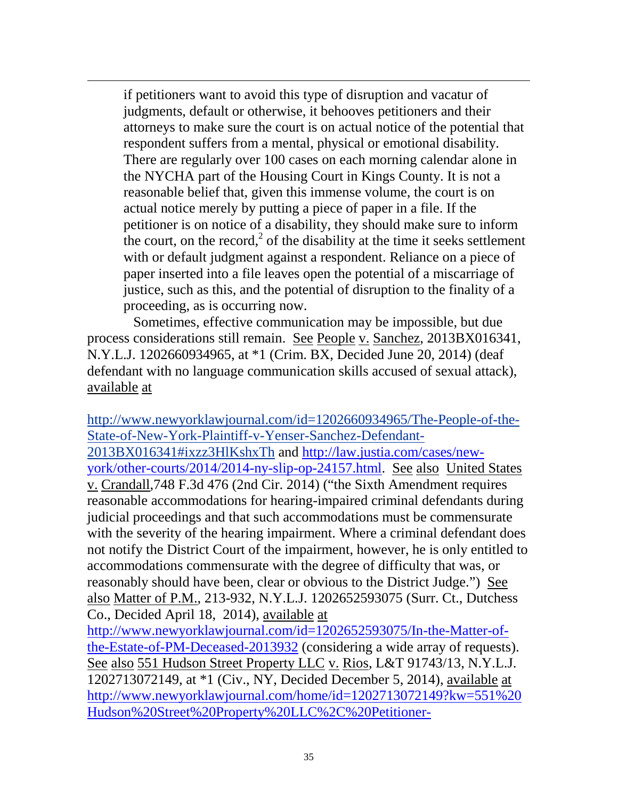if petitioners want to avoid this type of disruption and vacatur of judgments, default or otherwise, it behooves petitioners and their attorneys to make sure the court is on actual notice of the potential that respondent suffers from a mental, physical or emotional disability. There are regularly over 100 cases on each morning calendar alone in the NYCHA part of the Housing Court in Kings County. It is not a reasonable belief that, given this immense volume, the court is on actual notice merely by putting a piece of paper in a file. If the petitioner is on notice of a disability, they should make sure to inform the court, on the record, $2$  of the disability at the time it seeks settlement with or default judgment against a respondent. Reliance on a piece of paper inserted into a file leaves open the potential of a miscarriage of justice, such as this, and the potential of disruption to the finality of a proceeding, as is occurring now.

 $\overline{a}$ 

Sometimes, effective communication may be impossible, but due process considerations still remain. See People v. Sanchez, 2013BX016341, N.Y.L.J. 1202660934965, at \*1 (Crim. BX, Decided June 20, 2014) (deaf defendant with no language communication skills accused of sexual attack), available at

[http://www.newyorklawjournal.com/id=1202660934965/The-People-of-the-](http://www.newyorklawjournal.com/id=1202660934965/The-People-of-the-State-of-New-York-Plaintiff-v-Yenser-Sanchez-Defendant-2013BX016341#ixzz3HlKshxTh)[State-of-New-York-Plaintiff-v-Yenser-Sanchez-Defendant-](http://www.newyorklawjournal.com/id=1202660934965/The-People-of-the-State-of-New-York-Plaintiff-v-Yenser-Sanchez-Defendant-2013BX016341#ixzz3HlKshxTh)[2013BX016341#ixzz3HlKshxTh](http://www.newyorklawjournal.com/id=1202660934965/The-People-of-the-State-of-New-York-Plaintiff-v-Yenser-Sanchez-Defendant-2013BX016341#ixzz3HlKshxTh) and [http://law.justia.com/cases/new](http://law.justia.com/cases/new-york/other-courts/2014/2014-ny-slip-op-24157.html)[york/other-courts/2014/2014-ny-slip-op-24157.html.](http://law.justia.com/cases/new-york/other-courts/2014/2014-ny-slip-op-24157.html) See also United States v. Crandall,748 F.3d 476 (2nd Cir. 2014) ("the Sixth Amendment requires reasonable accommodations for hearing-impaired criminal defendants during judicial proceedings and that such accommodations must be commensurate with the severity of the hearing impairment. Where a criminal defendant does not notify the District Court of the impairment, however, he is only entitled to accommodations commensurate with the degree of difficulty that was, or reasonably should have been, clear or obvious to the District Judge.") See also Matter of P.M., 213-932, N.Y.L.J. 1202652593075 (Surr. Ct., Dutchess Co., Decided April 18, 2014), available at [http://www.newyorklawjournal.com/id=1202652593075/In-the-Matter-of](http://www.newyorklawjournal.com/id=1202652593075/In-the-Matter-of-the-Estate-of-PM-Deceased-2013932)[the-Estate-of-PM-Deceased-2013932](http://www.newyorklawjournal.com/id=1202652593075/In-the-Matter-of-the-Estate-of-PM-Deceased-2013932) (considering a wide array of requests). See also 551 Hudson Street Property LLC v. Rios, L&T 91743/13, N.Y.L.J. 1202713072149, at \*1 (Civ., NY, Decided December 5, 2014), available at

[http://www.newyorklawjournal.com/home/id=1202713072149?kw=551%20](http://www.newyorklawjournal.com/home/id=1202713072149?kw=551%20Hudson%20Street%20Property%20LLC%2C%20Petitioner-Landlord%20v.%20Antonio%20Rios%2C%20et%20al.%2C%20Respondents-Tenants%2C%20L%26amp%3BT%2091743%2F13&et=editorial&bu=New%20York%20Law%20Journal&cn=20141224&src=EMC-Email&pt=Daily%20Decisions) [Hudson%20Street%20Property%20LLC%2C%20Petitioner-](http://www.newyorklawjournal.com/home/id=1202713072149?kw=551%20Hudson%20Street%20Property%20LLC%2C%20Petitioner-Landlord%20v.%20Antonio%20Rios%2C%20et%20al.%2C%20Respondents-Tenants%2C%20L%26amp%3BT%2091743%2F13&et=editorial&bu=New%20York%20Law%20Journal&cn=20141224&src=EMC-Email&pt=Daily%20Decisions)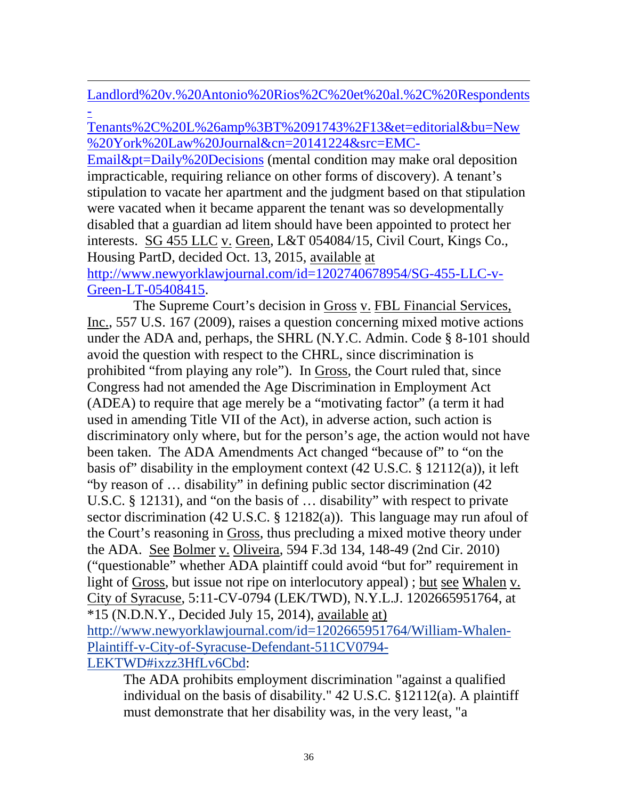$\overline{a}$ [Landlord%20v.%20Antonio%20Rios%2C%20et%20al.%2C%20Respondents](http://www.newyorklawjournal.com/home/id=1202713072149?kw=551%20Hudson%20Street%20Property%20LLC%2C%20Petitioner-Landlord%20v.%20Antonio%20Rios%2C%20et%20al.%2C%20Respondents-Tenants%2C%20L%26amp%3BT%2091743%2F13&et=editorial&bu=New%20York%20Law%20Journal&cn=20141224&src=EMC-Email&pt=Daily%20Decisions) [-](http://www.newyorklawjournal.com/home/id=1202713072149?kw=551%20Hudson%20Street%20Property%20LLC%2C%20Petitioner-Landlord%20v.%20Antonio%20Rios%2C%20et%20al.%2C%20Respondents-Tenants%2C%20L%26amp%3BT%2091743%2F13&et=editorial&bu=New%20York%20Law%20Journal&cn=20141224&src=EMC-Email&pt=Daily%20Decisions)

[Tenants%2C%20L%26amp%3BT%2091743%2F13&et=editorial&bu=New](http://www.newyorklawjournal.com/home/id=1202713072149?kw=551%20Hudson%20Street%20Property%20LLC%2C%20Petitioner-Landlord%20v.%20Antonio%20Rios%2C%20et%20al.%2C%20Respondents-Tenants%2C%20L%26amp%3BT%2091743%2F13&et=editorial&bu=New%20York%20Law%20Journal&cn=20141224&src=EMC-Email&pt=Daily%20Decisions) [%20York%20Law%20Journal&cn=20141224&src=EMC-](http://www.newyorklawjournal.com/home/id=1202713072149?kw=551%20Hudson%20Street%20Property%20LLC%2C%20Petitioner-Landlord%20v.%20Antonio%20Rios%2C%20et%20al.%2C%20Respondents-Tenants%2C%20L%26amp%3BT%2091743%2F13&et=editorial&bu=New%20York%20Law%20Journal&cn=20141224&src=EMC-Email&pt=Daily%20Decisions)

[Email&pt=Daily%20Decisions](http://www.newyorklawjournal.com/home/id=1202713072149?kw=551%20Hudson%20Street%20Property%20LLC%2C%20Petitioner-Landlord%20v.%20Antonio%20Rios%2C%20et%20al.%2C%20Respondents-Tenants%2C%20L%26amp%3BT%2091743%2F13&et=editorial&bu=New%20York%20Law%20Journal&cn=20141224&src=EMC-Email&pt=Daily%20Decisions) (mental condition may make oral deposition impracticable, requiring reliance on other forms of discovery). A tenant's stipulation to vacate her apartment and the judgment based on that stipulation were vacated when it became apparent the tenant was so developmentally disabled that a guardian ad litem should have been appointed to protect her interests. SG 455 LLC v. Green, L&T 054084/15, Civil Court, Kings Co., Housing PartD, decided Oct. 13, 2015, available at [http://www.newyorklawjournal.com/id=1202740678954/SG-455-LLC-v-](http://www.newyorklawjournal.com/id=1202740678954/SG-455-LLC-v-Green-LT-05408415)

[Green-LT-05408415.](http://www.newyorklawjournal.com/id=1202740678954/SG-455-LLC-v-Green-LT-05408415)

The Supreme Court's decision in Gross v. FBL Financial Services, Inc., 557 U.S. 167 (2009), raises a question concerning mixed motive actions under the ADA and, perhaps, the SHRL (N.Y.C. Admin. Code § 8-101 should avoid the question with respect to the CHRL, since discrimination is prohibited "from playing any role"). In Gross, the Court ruled that, since Congress had not amended the Age Discrimination in Employment Act (ADEA) to require that age merely be a "motivating factor" (a term it had used in amending Title VII of the Act), in adverse action, such action is discriminatory only where, but for the person's age, the action would not have been taken. The ADA Amendments Act changed "because of" to "on the basis of" disability in the employment context (42 U.S.C. § 12112(a)), it left "by reason of … disability" in defining public sector discrimination (42 U.S.C. § 12131), and "on the basis of … disability" with respect to private sector discrimination (42 U.S.C. § 12182(a)). This language may run afoul of the Court's reasoning in Gross, thus precluding a mixed motive theory under the ADA. See Bolmer v. Oliveira, 594 F.3d 134, 148-49 (2nd Cir. 2010) ("questionable" whether ADA plaintiff could avoid "but for" requirement in light of Gross, but issue not ripe on interlocutory appeal) ; but see Whalen v. City of Syracuse, 5:11-CV-0794 (LEK/TWD), N.Y.L.J. 1202665951764, at \*15 (N.D.N.Y., Decided July 15, 2014), available at) [http://www.newyorklawjournal.com/id=1202665951764/William-Whalen-](http://www.newyorklawjournal.com/id=1202665951764/William-Whalen-Plaintiff-v-City-of-Syracuse-Defendant-511CV0794-LEKTWD#ixzz3HfLv6Cbd)[Plaintiff-v-City-of-Syracuse-Defendant-511CV0794-](http://www.newyorklawjournal.com/id=1202665951764/William-Whalen-Plaintiff-v-City-of-Syracuse-Defendant-511CV0794-LEKTWD#ixzz3HfLv6Cbd) [LEKTWD#ixzz3HfLv6Cbd:](http://www.newyorklawjournal.com/id=1202665951764/William-Whalen-Plaintiff-v-City-of-Syracuse-Defendant-511CV0794-LEKTWD#ixzz3HfLv6Cbd)

The ADA prohibits employment discrimination "against a qualified individual on the basis of disability." 42 U.S.C. §12112(a). A plaintiff must demonstrate that her disability was, in the very least, "a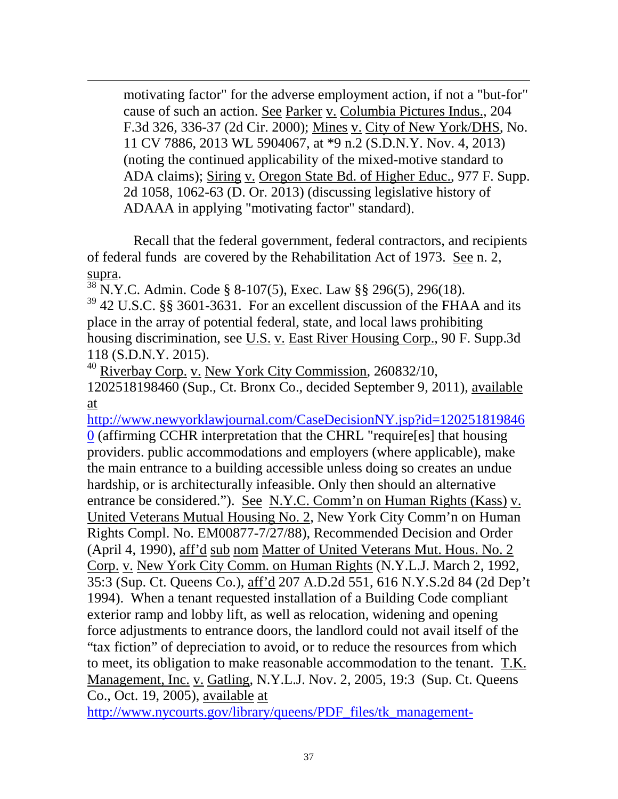motivating factor" for the adverse employment action, if not a "but-for" cause of such an action. See Parker v. Columbia Pictures Indus., 204 F.3d 326, 336-37 (2d Cir. 2000); Mines v. City of New York/DHS, No. 11 CV 7886, 2013 WL 5904067, at \*9 n.2 (S.D.N.Y. Nov. 4, 2013) (noting the continued applicability of the mixed-motive standard to ADA claims); Siring v. Oregon State Bd. of Higher Educ., 977 F. Supp. 2d 1058, 1062-63 (D. Or. 2013) (discussing legislative history of ADAAA in applying "motivating factor" standard).

Recall that the federal government, federal contractors, and recipients of federal funds are covered by the Rehabilitation Act of 1973. See n. 2,

supra.<br><sup>38</sup> N.Y.C. Admin. Code § 8-107(5), Exec. Law §§ 296(5), 296(18).

 $\overline{a}$ 

<sup>39</sup> 42 U.S.C. §§ 3601-3631. For an excellent discussion of the FHAA and its place in the array of potential federal, state, and local laws prohibiting housing discrimination, see U.S. v. East River Housing Corp., 90 F. Supp.3d 118 (S.D.N.Y. 2015).

 $40$  Riverbay Corp. v. New York City Commission, 260832/10,

1202518198460 (Sup., Ct. Bronx Co., decided September 9, 2011), available at

[http://www.newyorklawjournal.com/CaseDecisionNY.jsp?id=120251819846](http://www.newyorklawjournal.com/CaseDecisionNY.jsp?id=1202518198460) [0](http://www.newyorklawjournal.com/CaseDecisionNY.jsp?id=1202518198460) (affirming CCHR interpretation that the CHRL "require[es] that housing providers. public accommodations and employers (where applicable), make the main entrance to a building accessible unless doing so creates an undue hardship, or is architecturally infeasible. Only then should an alternative entrance be considered."). See N.Y.C. Comm'n on Human Rights (Kass) v. United Veterans Mutual Housing No. 2, New York City Comm'n on Human Rights Compl. No. EM00877-7/27/88), Recommended Decision and Order (April 4, 1990), aff'd sub nom Matter of United Veterans Mut. Hous. No. 2 Corp. v. New York City Comm. on Human Rights (N.Y.L.J. March 2, 1992, 35:3 (Sup. Ct. Queens Co.), aff'd 207 A.D.2d 551, 616 N.Y.S.2d 84 (2d Dep't 1994). When a tenant requested installation of a Building Code compliant exterior ramp and lobby lift, as well as relocation, widening and opening force adjustments to entrance doors, the landlord could not avail itself of the "tax fiction" of depreciation to avoid, or to reduce the resources from which to meet, its obligation to make reasonable accommodation to the tenant. T.K. Management, Inc. v. Gatling, N.Y.L.J. Nov. 2, 2005, 19:3 (Sup. Ct. Queens Co., Oct. 19, 2005), available at

[http://www.nycourts.gov/library/queens/PDF\\_files/tk\\_management-](http://www.nycourts.gov/library/queens/PDF_files/tk_management-gatling.pdf)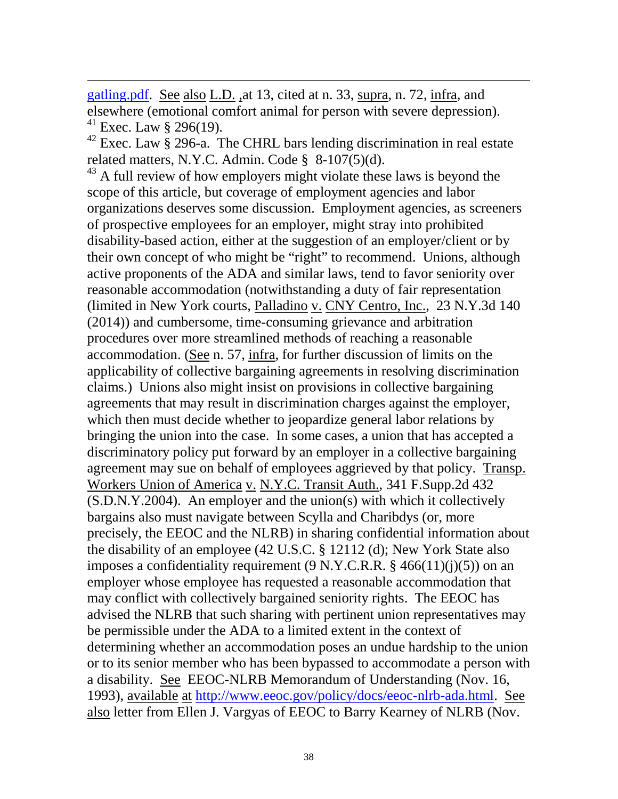[gatling.pdf.](http://www.nycourts.gov/library/queens/PDF_files/tk_management-gatling.pdf) See also L.D. ,at 13, cited at n. 33, supra, n. 72, infra, and elsewhere (emotional comfort animal for person with severe depression). <sup>41</sup> Exec. Law § 296(19).

 $\overline{a}$ 

 $42$  Exec. Law § 296-a. The CHRL bars lending discrimination in real estate related matters, N.Y.C. Admin. Code § 8-107(5)(d).

<sup>43</sup> A full review of how employers might violate these laws is beyond the scope of this article, but coverage of employment agencies and labor organizations deserves some discussion. Employment agencies, as screeners of prospective employees for an employer, might stray into prohibited disability-based action, either at the suggestion of an employer/client or by their own concept of who might be "right" to recommend. Unions, although active proponents of the ADA and similar laws, tend to favor seniority over reasonable accommodation (notwithstanding a duty of fair representation (limited in New York courts, Palladino v. CNY Centro, Inc., 23 N.Y.3d 140 (2014)) and cumbersome, time-consuming grievance and arbitration procedures over more streamlined methods of reaching a reasonable accommodation. (See n. 57, infra, for further discussion of limits on the applicability of collective bargaining agreements in resolving discrimination claims.) Unions also might insist on provisions in collective bargaining agreements that may result in discrimination charges against the employer, which then must decide whether to jeopardize general labor relations by bringing the union into the case. In some cases, a union that has accepted a discriminatory policy put forward by an employer in a collective bargaining agreement may sue on behalf of employees aggrieved by that policy. Transp. Workers Union of America v. N.Y.C. Transit Auth., 341 F.Supp.2d 432 (S.D.N.Y.2004). An employer and the union(s) with which it collectively bargains also must navigate between Scylla and Charibdys (or, more precisely, the EEOC and the NLRB) in sharing confidential information about the disability of an employee (42 U.S.C. § 12112 (d); New York State also imposes a confidentiality requirement  $(9 \text{ N.Y.C.R.R.} \$ § 466(11)(j)(5)) on an employer whose employee has requested a reasonable accommodation that may conflict with collectively bargained seniority rights. The EEOC has advised the NLRB that such sharing with pertinent union representatives may be permissible under the ADA to a limited extent in the context of determining whether an accommodation poses an undue hardship to the union or to its senior member who has been bypassed to accommodate a person with a disability. See EEOC-NLRB Memorandum of Understanding (Nov. 16, 1993), available at [http://www.eeoc.gov/policy/docs/eeoc-nlrb-ada.html.](http://www.eeoc.gov/policy/docs/eeoc-nlrb-ada.html) See also letter from Ellen J. Vargyas of EEOC to Barry Kearney of NLRB (Nov.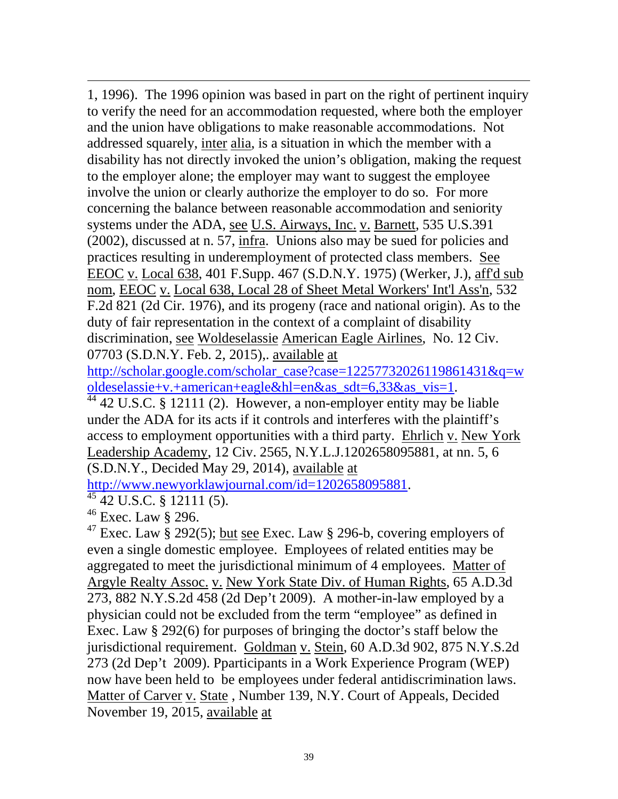$\overline{a}$ 1, 1996). The 1996 opinion was based in part on the right of pertinent inquiry to verify the need for an accommodation requested, where both the employer and the union have obligations to make reasonable accommodations. Not addressed squarely, inter alia, is a situation in which the member with a disability has not directly invoked the union's obligation, making the request to the employer alone; the employer may want to suggest the employee involve the union or clearly authorize the employer to do so. For more concerning the balance between reasonable accommodation and seniority systems under the ADA, see U.S. Airways, Inc. v. Barnett, 535 U.S.391 (2002), discussed at n. 57, infra. Unions also may be sued for policies and practices resulting in underemployment of protected class members. See EEOC v. Local 638, 401 F.Supp. 467 (S.D.N.Y. 1975) (Werker, J.), aff'd sub nom, EEOC v. Local 638, Local 28 of Sheet Metal Workers' Int'l Ass'n, [532](javascript:docLink()  [F.2d 821](javascript:docLink() (2d Cir. 1976), and its progeny (race and national origin). As to the duty of fair representation in the context of a complaint of disability discrimination, see Woldeselassie American Eagle Airlines, No. 12 Civ. 07703 (S.D.N.Y. Feb. 2, 2015),. available at

[http://scholar.google.com/scholar\\_case?case=12257732026119861431&q=w](http://scholar.google.com/scholar_case?case=12257732026119861431&q=woldeselassie+v.+american+eagle&hl=en&as_sdt=6,33&as_vis=1)

 $\frac{\text{oldesselassie+v.+american+eagle&hl=en&as\_sdt=6,33&as\_vis=1}}{44,42 \text{ U.S.C. § } 12111 (2). \text{ However, a non-emptyer entity may be liable}}$ under the ADA for its acts if it controls and interferes with the plaintiff's access to employment opportunities with a third party. Ehrlich v. New York Leadership Academy, 12 Civ. 2565, N.Y.L.J.1202658095881, at nn. 5, 6 (S.D.N.Y., Decided May 29, 2014), available at

[http://www.newyorklawjournal.com/id=1202658095881.](http://www.newyorklawjournal.com/id=1202658095881)<br><sup>45</sup> 42 U.S.C. § 12111 (5).

 $46$  Exec. Law § 296.

<sup>47</sup> Exec. Law § 292(5); but see Exec. Law § 296-b, covering employers of even a single domestic employee. Employees of related entities may be aggregated to meet the jurisdictional minimum of 4 employees. Matter of Argyle Realty Assoc. v. New York State Div. of Human Rights, [65 A.D.3d](https://webmail.nyc.gov/exchweb/bin/redir.asp?URL=http://www.courts.state.ny.us/reporter/3dseries/2009/2009_05544.htm)  [273, 882 N.Y.S.2d 458 \(2d Dep't 2009\).](https://webmail.nyc.gov/exchweb/bin/redir.asp?URL=http://www.courts.state.ny.us/reporter/3dseries/2009/2009_05544.htm) A mother-in-law employed by a physician could not be excluded from the term "employee" as defined in Exec. Law § 292(6) for purposes of bringing the doctor's staff below the jurisdictional requirement. Goldman v. Stein, 60 A.D.3d 902, 875 N.Y.S.2d 273 (2d Dep't 2009). Pparticipants in a Work Experience Program (WEP) now have been held to be employees under federal antidiscrimination laws. Matter of Carver v. State, Number 139, N.Y. Court of Appeals, Decided November 19, 2015, available at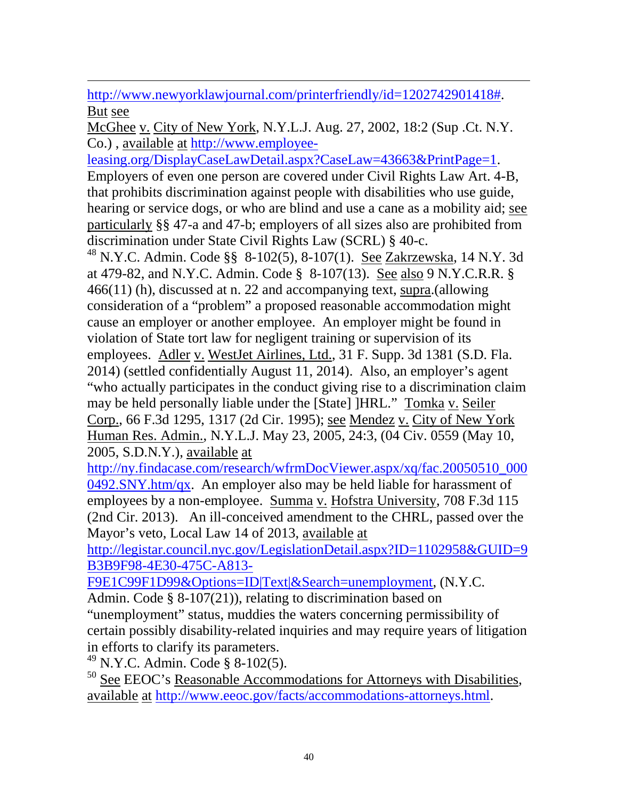$\overline{a}$ [http://www.newyorklawjournal.com/printerfriendly/id=1202742901418#.](http://www.newyorklawjournal.com/printerfriendly/id=1202742901418) But see

McGhee v. City of New York, N.Y.L.J. Aug. 27, 2002, 18:2 (Sup .Ct. N.Y. Co.) , available at [http://www.employee-](http://www.employee-leasing.org/DisplayCaseLawDetail.aspx?CaseLaw=43663&PrintPage=1)

[leasing.org/DisplayCaseLawDetail.aspx?CaseLaw=43663&PrintPage=1.](http://www.employee-leasing.org/DisplayCaseLawDetail.aspx?CaseLaw=43663&PrintPage=1) Employers of even one person are covered under Civil Rights Law Art. 4-B, that prohibits discrimination against people with disabilities who use guide, hearing or service dogs, or who are blind and use a cane as a mobility aid; see particularly §§ 47-a and 47-b; employers of all sizes also are prohibited from discrimination under State Civil Rights Law (SCRL) § 40-c.

<sup>48</sup> N.Y.C. Admin. Code §§ 8-102(5), 8-107(1). See Zakrzewska, 14 N.Y. 3d at 479-82, and N.Y.C. Admin. Code § 8-107(13). See also 9 N.Y.C.R.R. § 466(11) (h), discussed at n. 22 and accompanying text, supra.(allowing consideration of a "problem" a proposed reasonable accommodation might cause an employer or another employee. An employer might be found in violation of State tort law for negligent training or supervision of its employees. Adler v. WestJet Airlines, Ltd., 31 F. Supp. 3d 1381 (S.D. Fla. 2014) (settled confidentially August 11, 2014). Also, an employer's agent "who actually participates in the conduct giving rise to a discrimination claim may be held personally liable under the [State] ]HRL." Tomka v. Seiler Corp., 66 F.3d 1295, 1317 (2d Cir. 1995); see Mendez v. City of New York Human Res. Admin., N.Y.L.J. May 23, 2005, 24:3, (04 Civ. 0559 (May 10, 2005, S.D.N.Y.), available at

[http://ny.findacase.com/research/wfrmDocViewer.aspx/xq/fac.20050510\\_000](http://ny.findacase.com/research/wfrmDocViewer.aspx/xq/fac.20050510_0000492.SNY.htm/qx) [0492.SNY.htm/qx.](http://ny.findacase.com/research/wfrmDocViewer.aspx/xq/fac.20050510_0000492.SNY.htm/qx) An employer also may be held liable for harassment of employees by a non-employee. Summa v. Hofstra University, 708 F.3d 115 (2nd Cir. 2013). An ill-conceived amendment to the CHRL, passed over the Mayor's veto, Local Law 14 of 2013, available at

[http://legistar.council.nyc.gov/LegislationDetail.aspx?ID=1102958&GUID=9](http://legistar.council.nyc.gov/LegislationDetail.aspx?ID=1102958&GUID=9B3B9F98-4E30-475C-A813-F9E1C99F1D99&Options=ID|Text|&Search=unemployment) [B3B9F98-4E30-475C-A813-](http://legistar.council.nyc.gov/LegislationDetail.aspx?ID=1102958&GUID=9B3B9F98-4E30-475C-A813-F9E1C99F1D99&Options=ID|Text|&Search=unemployment)

[F9E1C99F1D99&Options=ID|Text|&Search=unemployment,](http://legistar.council.nyc.gov/LegislationDetail.aspx?ID=1102958&GUID=9B3B9F98-4E30-475C-A813-F9E1C99F1D99&Options=ID|Text|&Search=unemployment) (N.Y.C.

Admin. Code § 8-107(21)), relating to discrimination based on

"unemployment" status, muddies the waters concerning permissibility of certain possibly disability-related inquiries and may require years of litigation in efforts to clarify its parameters.

<sup>49</sup> N.Y.C. Admin. Code § 8-102(5).

 $50$  See EEOC's Reasonable Accommodations for Attorneys with Disabilities, available at [http://www.eeoc.gov/facts/accommodations-attorneys.html.](http://www.eeoc.gov/facts/accommodations-attorneys.html)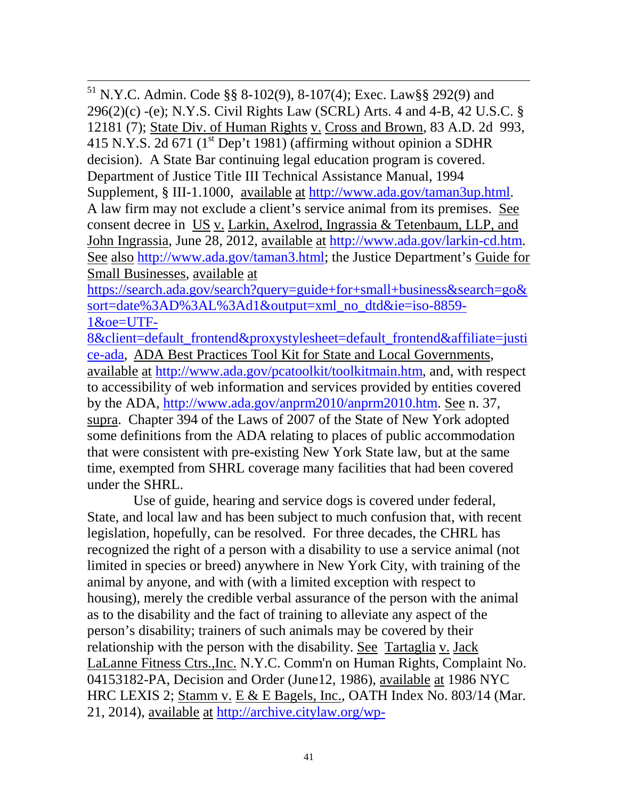51 N.Y.C. Admin. Code §§ 8-102(9), 8-107(4); Exec. Law§§ 292(9) and 296(2)(c) -(e); N.Y.S. Civil Rights Law (SCRL) Arts. 4 and 4-B, 42 U.S.C.  $\S$ 12181 (7); State Div. of Human Rights v. Cross and Brown, 83 A.D. 2d 993, 415 N.Y.S. 2d 671 ( $1^{\text{st}}$  Dep't 1981) (affirming without opinion a SDHR decision). A State Bar continuing legal education program is covered. Department of Justice Title III Technical Assistance Manual, 1994 Supplement, § III-1.1000, available at [http://www.ada.gov/taman3up.html.](http://www.ada.gov/taman3up.html) A law firm may not exclude a client's service animal from its premises. See consent decree in US v. Larkin, Axelrod, Ingrassia & Tetenbaum, LLP, and John Ingrassia, June 28, 2012, available at [http://www.ada.gov/larkin-cd.htm.](http://www.ada.gov/larkin-cd.htm) See also [http://www.ada.gov/taman3.html;](http://www.ada.gov/taman3.html) the Justice Department's Guide for Small Businesses, available at

[https://search.ada.gov/search?query=guide+for+small+business&search=go&](https://search.ada.gov/search?query=guide+for+small+business&search=go&sort=date%3AD%3AL%3Ad1&output=xml_no_dtd&ie=iso-8859-1&oe=UTF-8&client=default_frontend&proxystylesheet=default_frontend&affiliate=justice-ada) [sort=date%3AD%3AL%3Ad1&output=xml\\_no\\_dtd&ie=iso-8859-](https://search.ada.gov/search?query=guide+for+small+business&search=go&sort=date%3AD%3AL%3Ad1&output=xml_no_dtd&ie=iso-8859-1&oe=UTF-8&client=default_frontend&proxystylesheet=default_frontend&affiliate=justice-ada) [1&oe=UTF-](https://search.ada.gov/search?query=guide+for+small+business&search=go&sort=date%3AD%3AL%3Ad1&output=xml_no_dtd&ie=iso-8859-1&oe=UTF-8&client=default_frontend&proxystylesheet=default_frontend&affiliate=justice-ada)

[8&client=default\\_frontend&proxystylesheet=default\\_frontend&affiliate=justi](https://search.ada.gov/search?query=guide+for+small+business&search=go&sort=date%3AD%3AL%3Ad1&output=xml_no_dtd&ie=iso-8859-1&oe=UTF-8&client=default_frontend&proxystylesheet=default_frontend&affiliate=justice-ada) [ce-ada,](https://search.ada.gov/search?query=guide+for+small+business&search=go&sort=date%3AD%3AL%3Ad1&output=xml_no_dtd&ie=iso-8859-1&oe=UTF-8&client=default_frontend&proxystylesheet=default_frontend&affiliate=justice-ada) ADA Best Practices Tool Kit for State and Local Governments, available at [http://www.ada.gov/pcatoolkit/toolkitmain.htm,](http://www.ada.gov/pcatoolkit/toolkitmain.htm) and, with respect to [accessibility of web information and services provided by entities covered](http://www.ada.gov/anprm2010/web%20anprm_2010.htm)  [by the ADA,](http://www.ada.gov/anprm2010/web%20anprm_2010.htm) [http://www.ada.gov/anprm2010/anprm2010.htm.](http://www.ada.gov/anprm2010/anprm2010.htm) See n. 37, supra. Chapter 394 of the Laws of 2007 of the State of New York adopted some definitions from the ADA relating to places of public accommodation that were consistent with pre-existing New York State law, but at the same time, exempted from SHRL coverage many facilities that had been covered under the SHRL.

Use of guide, hearing and service dogs is covered under federal, State, and local law and has been subject to much confusion that, with recent legislation, hopefully, can be resolved. For three decades, the CHRL has recognized the right of a person with a disability to use a service animal (not limited in species or breed) anywhere in New York City, with training of the animal by anyone, and with (with a limited exception with respect to housing), merely the credible verbal assurance of the person with the animal as to the disability and the fact of training to alleviate any aspect of the person's disability; trainers of such animals may be covered by their relationship with the person with the disability. See Tartaglia v. Jack LaLanne Fitness Ctrs.,Inc. N.Y.C. Comm'n on Human Rights, Complaint No. 04153182-PA, Decision and Order (June12, 1986), available at 1986 NYC HRC LEXIS 2; Stamm v. E & E Bagels, Inc., OATH Index No. 803/14 (Mar. 21, 2014), available at [http://archive.citylaw.org/wp-](http://archive.citylaw.org/wp-content/uploads/sites/17/oath/00_Cases/14-803.pdf)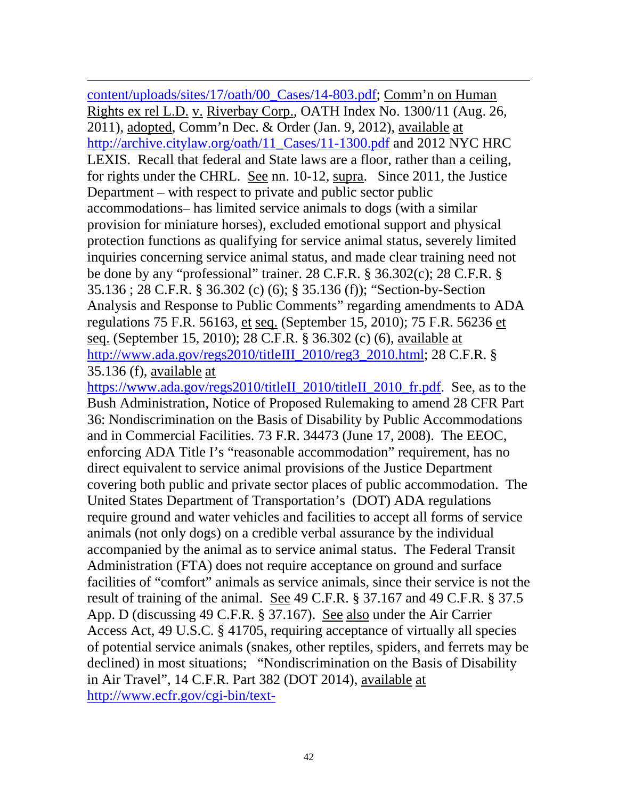$\overline{a}$ [content/uploads/sites/17/oath/00\\_Cases/14-803.pdf;](http://archive.citylaw.org/wp-content/uploads/sites/17/oath/00_Cases/14-803.pdf) Comm'n on Human Rights ex rel L.D. v. Riverbay Corp., OATH Index No. 1300/11 (Aug. 26, 2011), adopted, Comm'n Dec. & Order (Jan. 9, 2012), available at [http://archive.citylaw.org/oath/11\\_Cases/11-1300.pdf](http://archive.citylaw.org/oath/11_Cases/11-1300.pdf) and 2012 NYC HRC LEXIS. Recall that federal and State laws are a floor, rather than a ceiling, for rights under the CHRL. See nn. 10-12, supra. Since 2011, the Justice Department – with respect to private and public sector public accommodations– has limited service animals to dogs (with a similar provision for miniature horses), excluded emotional support and physical protection functions as qualifying for service animal status, severely limited inquiries concerning service animal status, and made clear training need not be done by any "professional" trainer. 28 C.F.R. § 36.302(c); 28 C.F.R. § 35.136 ; 28 C.F.R. § 36.302 (c) (6); § 35.136 (f)); "Section-by-Section Analysis and Response to Public Comments" regarding amendments to ADA regulations 75 F.R. 56163, et seq. (September 15, 2010); 75 F.R. 56236 et seq. (September 15, 2010); 28 C.F.R. § 36.302 (c) (6), available at http://www.ada.gov/regs2010/titleIII\_2010/reg3\_2010.html; 28 C.F.R. § 35.136 (f), available at

[https://www.ada.gov/regs2010/titleII\\_2010/titleII\\_2010\\_fr.pdf.](https://www.ada.gov/regs2010/titleII_2010/titleII_2010_fr.pdf) See, as to the Bush Administration, Notice of Proposed Rulemaking to amend 28 CFR Part 36: Nondiscrimination on the Basis of Disability by Public Accommodations and in Commercial Facilities. 73 F.R. 34473 (June 17, 2008). The EEOC, enforcing ADA Title I's "reasonable accommodation" requirement, has no direct equivalent to service animal provisions of the Justice Department covering both public and private sector places of public accommodation. The United States Department of Transportation's (DOT) ADA regulations require ground and water vehicles and facilities to accept all forms of service animals (not only dogs) on a credible verbal assurance by the individual accompanied by the animal as to service animal status. The Federal Transit Administration (FTA) does not require acceptance on ground and surface facilities of "comfort" animals as service animals, since their service is not the result of training of the animal. See 49 C.F.R. § 37.167 and 49 C.F.R. § 37.5 App. D (discussing 49 C.F.R. § 37.167). See also under the Air Carrier Access Act, 49 U.S.C. § 41705, requiring acceptance of virtually all species of potential service animals (snakes, other reptiles, spiders, and ferrets may be declined) in most situations; "Nondiscrimination on the Basis of Disability in Air Travel", 14 C.F.R. Part 382 (DOT 2014), available at [http://www.ecfr.gov/cgi-bin/text-](http://www.ecfr.gov/cgi-bin/text-idx?SID=aa072804eed9a56532223335f92e6b87&node=pt14.4.382&rgn=div5)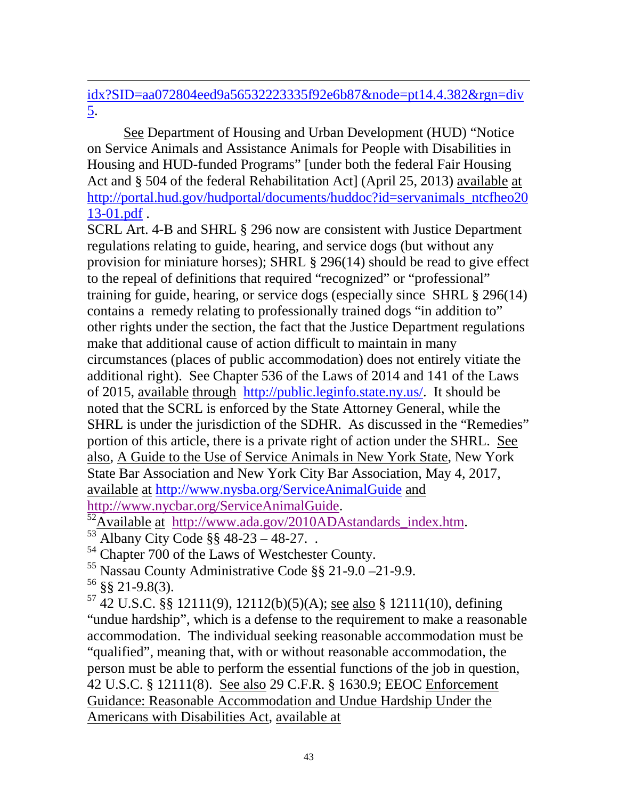$\overline{a}$ [idx?SID=aa072804eed9a56532223335f92e6b87&node=pt14.4.382&rgn=div](http://www.ecfr.gov/cgi-bin/text-idx?SID=aa072804eed9a56532223335f92e6b87&node=pt14.4.382&rgn=div5) [5.](http://www.ecfr.gov/cgi-bin/text-idx?SID=aa072804eed9a56532223335f92e6b87&node=pt14.4.382&rgn=div5)

See Department of Housing and Urban Development (HUD) "Notice on Service Animals and Assistance Animals for People with Disabilities in Housing and HUD-funded Programs" [under both the federal Fair Housing Act and § 504 of the federal Rehabilitation Act] (April 25, 2013) available at [http://portal.hud.gov/hudportal/documents/huddoc?id=servanimals\\_ntcfheo20](http://portal.hud.gov/hudportal/documents/huddoc?id=servanimals_ntcfheo2013-01.pdf) [13-01.pdf](http://portal.hud.gov/hudportal/documents/huddoc?id=servanimals_ntcfheo2013-01.pdf) .

SCRL Art. 4-B and SHRL § 296 now are consistent with Justice Department regulations relating to guide, hearing, and service dogs (but without any provision for miniature horses); SHRL § 296(14) should be read to give effect to the repeal of definitions that required "recognized" or "professional" training for guide, hearing, or service dogs (especially since SHRL § 296(14) contains a remedy relating to professionally trained dogs "in addition to" other rights under the section, the fact that the Justice Department regulations make that additional cause of action difficult to maintain in many circumstances (places of public accommodation) does not entirely vitiate the additional right). See Chapter 536 of the Laws of 2014 and 141 of the Laws of 2015, available through [http://public.leginfo.state.ny.us/.](http://public.leginfo.state.ny.us/navigate.cgi) It should be noted that the SCRL is enforced by the State Attorney General, while the SHRL is under the jurisdiction of the SDHR. As discussed in the "Remedies" portion of this article, there is a private right of action under the SHRL. See also, A Guide to the Use of Service Animals in New York State, New York State Bar Association and New York City Bar Association, May 4, 2017, available at <http://www.nysba.org/ServiceAnimalGuide> and

[http://www.nycbar.org/ServiceAnimalGuide.](http://www.nycbar.org/ServiceAnimalGuide)<br><sup>52</sup>Available at [http://www.ada.gov/2010ADAstandards\\_index.htm.](http://www.ada.gov/2010ADAstandards_index.htm)<br><sup>53</sup> Albany City Code §§ 48-23 – 48-27. .

<sup>54</sup> Chapter 700 of the Laws of Westchester County.

<sup>55</sup> Nassau County Administrative Code §§ 21-9.0 –21-9.9.

<sup>56</sup> §§ 21-9.8(3).

 $57$  42 U.S.C. §§ 12111(9), 12112(b)(5)(A); see also § 12111(10), defining "undue hardship", which is a defense to the requirement to make a reasonable accommodation. The individual seeking reasonable accommodation must be "qualified", meaning that, with or without reasonable accommodation, the person must be able to perform the essential functions of the job in question, 42 U.S.C. § 12111(8). See also 29 C.F.R. § 1630.9; EEOC Enforcement Guidance: Reasonable Accommodation and Undue Hardship Under the Americans with Disabilities Act, available at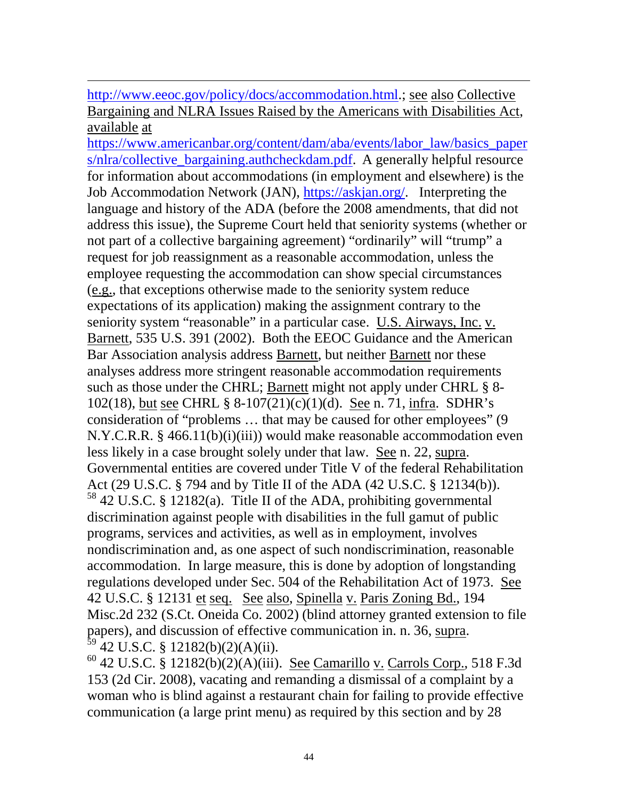[http://www.eeoc.gov/policy/docs/accommodation.html.](http://www.eeoc.gov/policy/docs/accommodation.html); see also Collective Bargaining and NLRA Issues Raised by the Americans with Disabilities Act, available at

 $\overline{a}$ 

[https://www.americanbar.org/content/dam/aba/events/labor\\_law/basics\\_paper](https://www.americanbar.org/content/dam/aba/events/labor_law/basics_papers/nlra/collective_bargaining.authcheckdam.pdf) [s/nlra/collective\\_bargaining.authcheckdam.pdf.](https://www.americanbar.org/content/dam/aba/events/labor_law/basics_papers/nlra/collective_bargaining.authcheckdam.pdf) A generally helpful resource for information about accommodations (in employment and elsewhere) is the Job Accommodation Network (JAN), [https://askjan.org/.](https://askjan.org/) Interpreting the language and history of the ADA (before the 2008 amendments, that did not address this issue), the Supreme Court held that seniority systems (whether or not part of a collective bargaining agreement) "ordinarily" will "trump" a request for job reassignment as a reasonable accommodation, unless the employee requesting the accommodation can show special circumstances (e.g., that exceptions otherwise made to the seniority system reduce expectations of its application) making the assignment contrary to the seniority system "reasonable" in a particular case. U.S. Airways, Inc. v. Barnett, 535 U.S. 391 (2002). Both the EEOC Guidance and the American Bar Association analysis address Barnett, but neither Barnett nor these analyses address more stringent reasonable accommodation requirements such as those under the CHRL; Barnett might not apply under CHRL § 8- 102(18), but see CHRL § 8-107(21)(c)(1)(d). See n. 71, infra. SDHR's consideration of "problems … that may be caused for other employees" (9 N.Y.C.R.R. § 466.11(b)(i)(iii)) would make reasonable accommodation even less likely in a case brought solely under that law. See n. 22, supra. Governmental entities are covered under Title V of the federal Rehabilitation Act (29 U.S.C. § 794 and by Title II of the ADA (42 U.S.C. § 12134(b)).  $58$  42 U.S.C. § 12182(a). Title II of the ADA, prohibiting governmental discrimination against people with disabilities in the full gamut of public programs, services and activities, as well as in employment, involves nondiscrimination and, as one aspect of such nondiscrimination, reasonable accommodation. In large measure, this is done by adoption of longstanding regulations developed under Sec. 504 of the Rehabilitation Act of 1973. See 42 U.S.C. § 12131 et seq. See also, Spinella v. Paris Zoning Bd., 194 Misc.2d 232 (S.Ct. Oneida Co. 2002) (blind attorney granted extension to file papers), and discussion of effective communication in. n. 36, supra.<br><sup>59</sup> 42 U.S.C. § 12182(b)(2)(A)(ii).

 $^{60}$  42 U.S.C. § 12182(b)(2)(A)(iii). See Camarillo v. Carrols Corp., 518 F.3d 153 (2d Cir. 2008), vacating and remanding a dismissal of a complaint by a woman who is blind against a restaurant chain for failing to provide effective communication (a large print menu) as required by this section and by 28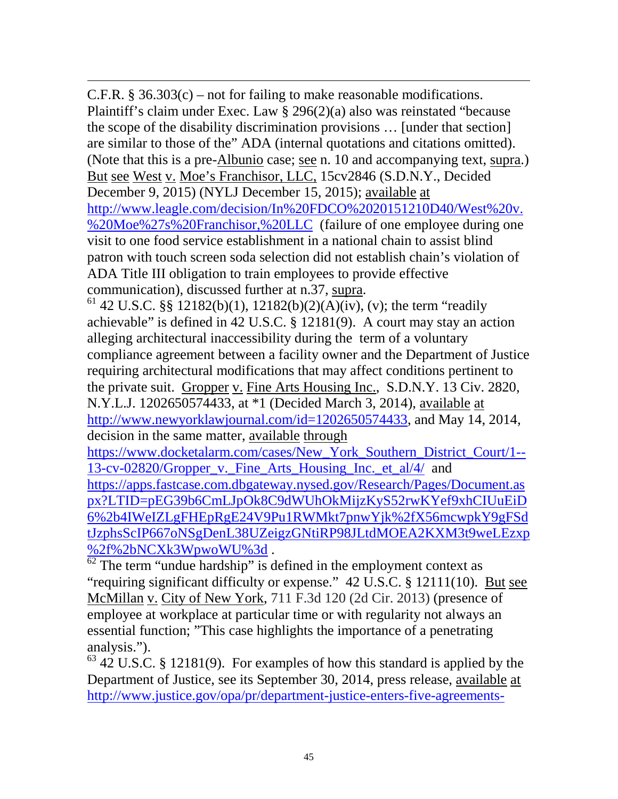$\overline{a}$ C.F.R.  $§$  36.303(c) – not for failing to make reasonable modifications. Plaintiff's claim under Exec. Law § 296(2)(a) also was reinstated "because the scope of the disability discrimination provisions … [under that section] are similar to those of the" ADA (internal quotations and citations omitted). (Note that this is a pre-Albunio case; see n. 10 and accompanying text, supra.) But see West v. Moe's Franchisor, LLC, 15cv2846 (S.D.N.Y., Decided December 9, 2015) (NYLJ December 15, 2015); available at [http://www.leagle.com/decision/In%20FDCO%2020151210D40/West%20v.](http://www.leagle.com/decision/In%20FDCO%2020151210D40/West%20v.%20Moe%27s%20Franchisor,%20LLC) [%20Moe%27s%20Franchisor,%20LLC](http://www.leagle.com/decision/In%20FDCO%2020151210D40/West%20v.%20Moe%27s%20Franchisor,%20LLC) (failure of one employee during one visit to one food service establishment in a national chain to assist blind patron with touch screen soda selection did not establish chain's violation of ADA Title III obligation to train employees to provide effective communication), discussed further at n.37, supra.<br><sup>61</sup> 42 U.S.C. §§ 12182(b)(1), 12182(b)(2)(A)(iv), (v); the term "readily

achievable" is defined in 42 U.S.C. § 12181(9). A court may stay an action alleging architectural inaccessibility during the term of a voluntary compliance agreement between a facility owner and the Department of Justice requiring architectural modifications that may affect conditions pertinent to the private suit. Gropper v. Fine Arts Housing Inc., S.D.N.Y. 13 Civ. 2820, N.Y.L.J. 1202650574433, at \*1 (Decided March 3, 2014), available at [http://www.newyorklawjournal.com/id=1202650574433,](http://www.newyorklawjournal.com/id=1202650574433) and May 14, 2014, decision in the same matter, available through

[https://www.docketalarm.com/cases/New\\_York\\_Southern\\_District\\_Court/1--](https://www.docketalarm.com/cases/New_York_Southern_District_Court/1--13-cv-02820/Gropper_v._Fine_Arts_Housing_Inc._et_al/4/) [13-cv-02820/Gropper\\_v.\\_Fine\\_Arts\\_Housing\\_Inc.\\_et\\_al/4/](https://www.docketalarm.com/cases/New_York_Southern_District_Court/1--13-cv-02820/Gropper_v._Fine_Arts_Housing_Inc._et_al/4/) and [https://apps.fastcase.com.dbgateway.nysed.gov/Research/Pages/Document.as](https://apps.fastcase.com.dbgateway.nysed.gov/Research/Pages/Document.aspx?LTID=pEG39b6CmLJpOk8C9dWUhOkMijzKyS52rwKYef9xhCIUuEiD6%2b4IWeIZLgFHEpRgE24V9Pu1RWMkt7pnwYjk%2fX56mcwpkY9gFSdtJzphsScIP667oNSgDenL38UZeigzGNtiRP98JLtdMOEA2KXM3t9weLEzxp%2f%2bNCXk3WpwoWU%3d) [px?LTID=pEG39b6CmLJpOk8C9dWUhOkMijzKyS52rwKYef9xhCIUuEiD](https://apps.fastcase.com.dbgateway.nysed.gov/Research/Pages/Document.aspx?LTID=pEG39b6CmLJpOk8C9dWUhOkMijzKyS52rwKYef9xhCIUuEiD6%2b4IWeIZLgFHEpRgE24V9Pu1RWMkt7pnwYjk%2fX56mcwpkY9gFSdtJzphsScIP667oNSgDenL38UZeigzGNtiRP98JLtdMOEA2KXM3t9weLEzxp%2f%2bNCXk3WpwoWU%3d) [6%2b4IWeIZLgFHEpRgE24V9Pu1RWMkt7pnwYjk%2fX56mcwpkY9gFSd](https://apps.fastcase.com.dbgateway.nysed.gov/Research/Pages/Document.aspx?LTID=pEG39b6CmLJpOk8C9dWUhOkMijzKyS52rwKYef9xhCIUuEiD6%2b4IWeIZLgFHEpRgE24V9Pu1RWMkt7pnwYjk%2fX56mcwpkY9gFSdtJzphsScIP667oNSgDenL38UZeigzGNtiRP98JLtdMOEA2KXM3t9weLEzxp%2f%2bNCXk3WpwoWU%3d) [tJzphsScIP667oNSgDenL38UZeigzGNtiRP98JLtdMOEA2KXM3t9weLEzxp](https://apps.fastcase.com.dbgateway.nysed.gov/Research/Pages/Document.aspx?LTID=pEG39b6CmLJpOk8C9dWUhOkMijzKyS52rwKYef9xhCIUuEiD6%2b4IWeIZLgFHEpRgE24V9Pu1RWMkt7pnwYjk%2fX56mcwpkY9gFSdtJzphsScIP667oNSgDenL38UZeigzGNtiRP98JLtdMOEA2KXM3t9weLEzxp%2f%2bNCXk3WpwoWU%3d)<br>%2f%2bNCXk3WpwoWU%3d.

 $\frac{62}{62}$  The term "undue hardship" is defined in the employment context as "requiring significant difficulty or expense." 42 U.S.C. § 12111(10). But see McMillan v. City of New York, 711 F.3d 120 (2d Cir. 2013) (presence of employee at workplace at particular time or with regularity not always an essential function; "This case highlights the importance of a penetrating analysis.").

 $63$  42 U.S.C. § 12181(9). For examples of how this standard is applied by the Department of Justice, see its September 30, 2014, press release, available at [http://www.justice.gov/opa/pr/department-justice-enters-five-agreements-](http://www.justice.gov/opa/pr/department-justice-enters-five-agreements-ensure-small-businesses-provide-people-disabilities)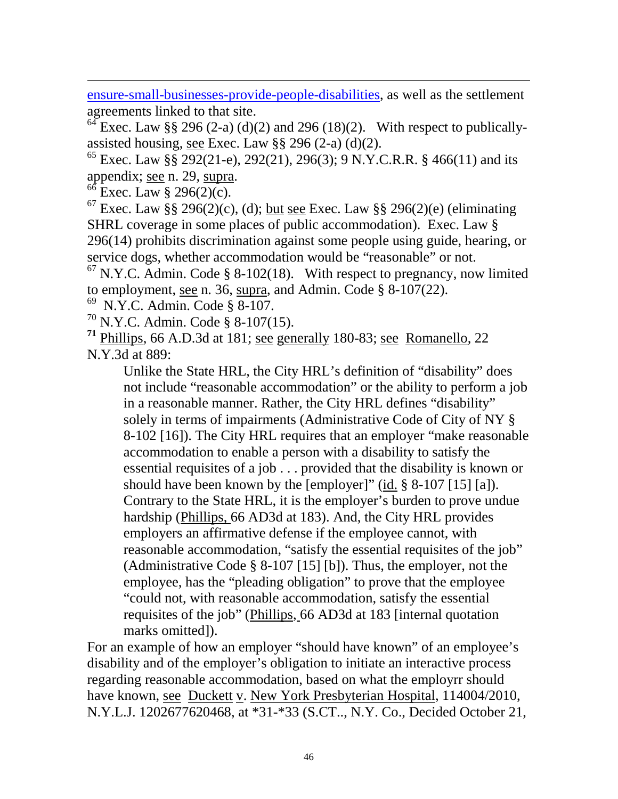[ensure-small-businesses-provide-people-disabilities,](http://www.justice.gov/opa/pr/department-justice-enters-five-agreements-ensure-small-businesses-provide-people-disabilities) as well as the settlement agreements linked to that site.

<sup>64</sup> Exec. Law §§ 296 (2-a) (d)(2) and 296 (18)(2). With respect to publicallyassisted housing, see Exec. Law  $\S$ § 296 (2-a) (d)(2).

<sup>65</sup> Exec. Law §§ 292(21-e), 292(21), 296(3); 9 N.Y.C.R.R. § 466(11) and its appendix; <u>see</u> n. 29, supra.<br><sup>66</sup> Exec. Law § 296(2)(c).

 $\overline{a}$ 

 $67$  Exec. Law §§ 296(2)(c), (d); but see Exec. Law §§ 296(2)(e) (eliminating SHRL coverage in some places of public accommodation). Exec. Law § 296(14) prohibits discrimination against some people using guide, hearing, or service dogs, whether accommodation would be "reasonable" or not.

 $67$  N.Y.C. Admin. Code § 8-102(18). With respect to pregnancy, now limited to employment, see n. 36, supra, and Admin. Code § 8-107(22).

69 N.Y.C. Admin. Code § 8-107.

<sup>70</sup> N.Y.C. Admin. Code § 8-107(15).

**<sup>71</sup>** Phillips, 66 A.D.3d at 181; see generally 180-83; see Romanello, 22 N.Y.3d at 889:

Unlike the State HRL, the City HRL's definition of "disability" does not include "reasonable accommodation" or the ability to perform a job in a reasonable manner. Rather, the City HRL defines "disability" solely in terms of impairments (Administrative Code of City of NY § 8-102 [16]). The City HRL requires that an employer "make reasonable accommodation to enable a person with a disability to satisfy the essential requisites of a job . . . provided that the disability is known or should have been known by the [employer]" (id. § 8-107 [15] [a]). Contrary to the State HRL, it is the employer's burden to prove undue hardship (Phillips, 66 AD3d at 183). And, the City HRL provides employers an affirmative defense if the employee cannot, with reasonable accommodation, "satisfy the essential requisites of the job" (Administrative Code § 8-107 [15] [b]). Thus, the employer, not the employee, has the "pleading obligation" to prove that the employee "could not, with reasonable accommodation, satisfy the essential requisites of the job" (Phillips, 66 AD3d at 183 [internal quotation marks omitted]).

For an example of how an employer "should have known" of an employee's disability and of the employer's obligation to initiate an interactive process regarding reasonable accommodation, based on what the employrr should have known, see Duckett v. New York Presbyterian Hospital, 114004/2010, N.Y.L.J. 1202677620468, at \*31-\*33 (S.CT.., N.Y. Co., Decided October 21,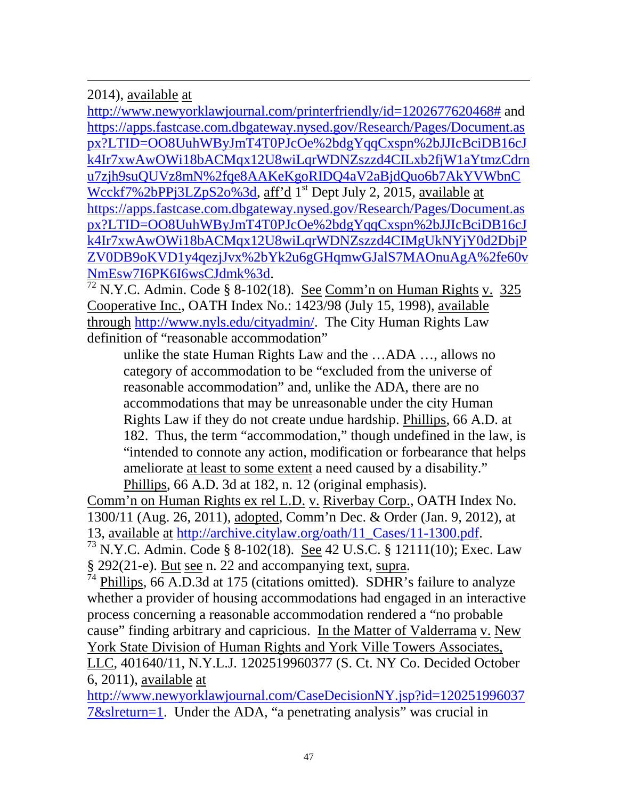2014), available at

 $\overline{a}$ 

[http://www.newyorklawjournal.com/printerfriendly/id=1202677620468#](http://www.newyorklawjournal.com/printerfriendly/id=1202677620468) and [https://apps.fastcase.com.dbgateway.nysed.gov/Research/Pages/Document.as](https://apps.fastcase.com.dbgateway.nysed.gov/Research/Pages/Document.aspx?LTID=OO8UuhWByJmT4T0PJcOe%2bdgYqqCxspn%2bJJIcBciDB16cJk4Ir7xwAwOWi18bACMqx12U8wiLqrWDNZszzd4CILxb2fjW1aYtmzCdrnu7zjh9suQUVz8mN%2fqe8AAKeKgoRIDQ4aV2aBjdQuo6b7AkYVWbnCWcckf7%2bPPj3LZpS2o%3d) [px?LTID=OO8UuhWByJmT4T0PJcOe%2bdgYqqCxspn%2bJJIcBciDB16cJ](https://apps.fastcase.com.dbgateway.nysed.gov/Research/Pages/Document.aspx?LTID=OO8UuhWByJmT4T0PJcOe%2bdgYqqCxspn%2bJJIcBciDB16cJk4Ir7xwAwOWi18bACMqx12U8wiLqrWDNZszzd4CILxb2fjW1aYtmzCdrnu7zjh9suQUVz8mN%2fqe8AAKeKgoRIDQ4aV2aBjdQuo6b7AkYVWbnCWcckf7%2bPPj3LZpS2o%3d) [k4Ir7xwAwOWi18bACMqx12U8wiLqrWDNZszzd4CILxb2fjW1aYtmzCdrn](https://apps.fastcase.com.dbgateway.nysed.gov/Research/Pages/Document.aspx?LTID=OO8UuhWByJmT4T0PJcOe%2bdgYqqCxspn%2bJJIcBciDB16cJk4Ir7xwAwOWi18bACMqx12U8wiLqrWDNZszzd4CILxb2fjW1aYtmzCdrnu7zjh9suQUVz8mN%2fqe8AAKeKgoRIDQ4aV2aBjdQuo6b7AkYVWbnCWcckf7%2bPPj3LZpS2o%3d) [u7zjh9suQUVz8mN%2fqe8AAKeKgoRIDQ4aV2aBjdQuo6b7AkYVWbnC](https://apps.fastcase.com.dbgateway.nysed.gov/Research/Pages/Document.aspx?LTID=OO8UuhWByJmT4T0PJcOe%2bdgYqqCxspn%2bJJIcBciDB16cJk4Ir7xwAwOWi18bACMqx12U8wiLqrWDNZszzd4CILxb2fjW1aYtmzCdrnu7zjh9suQUVz8mN%2fqe8AAKeKgoRIDQ4aV2aBjdQuo6b7AkYVWbnCWcckf7%2bPPj3LZpS2o%3d) [Wcckf7%2bPPj3LZpS2o%3d,](https://apps.fastcase.com.dbgateway.nysed.gov/Research/Pages/Document.aspx?LTID=OO8UuhWByJmT4T0PJcOe%2bdgYqqCxspn%2bJJIcBciDB16cJk4Ir7xwAwOWi18bACMqx12U8wiLqrWDNZszzd4CILxb2fjW1aYtmzCdrnu7zjh9suQUVz8mN%2fqe8AAKeKgoRIDQ4aV2aBjdQuo6b7AkYVWbnCWcckf7%2bPPj3LZpS2o%3d) aff'd 1<sup>st</sup> Dept July 2, 2015, available at [https://apps.fastcase.com.dbgateway.nysed.gov/Research/Pages/Document.as](https://apps.fastcase.com.dbgateway.nysed.gov/Research/Pages/Document.aspx?LTID=OO8UuhWByJmT4T0PJcOe%2bdgYqqCxspn%2bJJIcBciDB16cJk4Ir7xwAwOWi18bACMqx12U8wiLqrWDNZszzd4CIMgUkNYjY0d2DbjPZV0DB9oKVD1y4qezjJvx%2bYk2u6gGHqmwGJalS7MAOnuAgA%2fe60vNmEsw7I6PK6I6wsCJdmk%3d) [px?LTID=OO8UuhWByJmT4T0PJcOe%2bdgYqqCxspn%2bJJIcBciDB16cJ](https://apps.fastcase.com.dbgateway.nysed.gov/Research/Pages/Document.aspx?LTID=OO8UuhWByJmT4T0PJcOe%2bdgYqqCxspn%2bJJIcBciDB16cJk4Ir7xwAwOWi18bACMqx12U8wiLqrWDNZszzd4CIMgUkNYjY0d2DbjPZV0DB9oKVD1y4qezjJvx%2bYk2u6gGHqmwGJalS7MAOnuAgA%2fe60vNmEsw7I6PK6I6wsCJdmk%3d) [k4Ir7xwAwOWi18bACMqx12U8wiLqrWDNZszzd4CIMgUkNYjY0d2DbjP](https://apps.fastcase.com.dbgateway.nysed.gov/Research/Pages/Document.aspx?LTID=OO8UuhWByJmT4T0PJcOe%2bdgYqqCxspn%2bJJIcBciDB16cJk4Ir7xwAwOWi18bACMqx12U8wiLqrWDNZszzd4CIMgUkNYjY0d2DbjPZV0DB9oKVD1y4qezjJvx%2bYk2u6gGHqmwGJalS7MAOnuAgA%2fe60vNmEsw7I6PK6I6wsCJdmk%3d) [ZV0DB9oKVD1y4qezjJvx%2bYk2u6gGHqmwGJalS7MAOnuAgA%2fe60v](https://apps.fastcase.com.dbgateway.nysed.gov/Research/Pages/Document.aspx?LTID=OO8UuhWByJmT4T0PJcOe%2bdgYqqCxspn%2bJJIcBciDB16cJk4Ir7xwAwOWi18bACMqx12U8wiLqrWDNZszzd4CIMgUkNYjY0d2DbjPZV0DB9oKVD1y4qezjJvx%2bYk2u6gGHqmwGJalS7MAOnuAgA%2fe60vNmEsw7I6PK6I6wsCJdmk%3d)<br>NmEsw7I6PK6I6wsCJdmk%3d.

 $\frac{72 \text{ N.Y.C. } \text{Admin.} \text{Code } \S \text{ 8-102}(18). \text{ See } \text{Comm'n on Human Rights } v. \text{ 325}$ Cooperative Inc., OATH Index No.: 1423/98 (July 15, 1998), available through [http://www.nyls.edu/cityadmin/.](http://www.nyls.edu/cityadmin/) The City Human Rights Law definition of "reasonable accommodation"

unlike the state Human Rights Law and the …ADA …, allows no category of accommodation to be "excluded from the universe of reasonable accommodation" and, unlike the ADA, there are no accommodations that may be unreasonable under the city Human Rights Law if they do not create undue hardship. Phillips, 66 A.D. at 182. Thus, the term "accommodation," though undefined in the law, is "intended to connote any action, modification or forbearance that helps ameliorate at least to some extent a need caused by a disability." Phillips, 66 A.D. 3d at 182, n. 12 (original emphasis).

Comm'n on Human Rights ex rel L.D. v. Riverbay Corp., OATH Index No. 1300/11 (Aug. 26, 2011), adopted, Comm'n Dec. & Order (Jan. 9, 2012), at 13, available at [http://archive.citylaw.org/oath/11\\_Cases/11-1300.pdf.](http://archive.citylaw.org/oath/11_Cases/11-1300.pdf)  $^{73}$  N.Y.C. Admin. Code § 8-102(18). See 42 U.S.C. § 12111(10); Exec. Law

§ 292(21-e). <u>But see</u> n. 22 and accompanying text, supra.<br><sup>74</sup> Ph<u>illips</u>, 66 A.D.3d at 175 (citations omitted). SDHR's failure to analyze whether a provider of housing accommodations had engaged in an interactive process concerning a reasonable accommodation rendered a "no probable cause" finding arbitrary and capricious. In the Matter of Valderrama v. New York State Division of Human Rights and York Ville Towers Associates, LLC, 401640/11, N.Y.L.J. 1202519960377 (S. Ct. NY Co. Decided October 6, 2011), available at

[http://www.newyorklawjournal.com/CaseDecisionNY.jsp?id=120251996037](http://www.newyorklawjournal.com/CaseDecisionNY.jsp?id=1202519960377&slreturn=1) [7&slreturn=1.](http://www.newyorklawjournal.com/CaseDecisionNY.jsp?id=1202519960377&slreturn=1) Under the ADA, "a penetrating analysis" was crucial in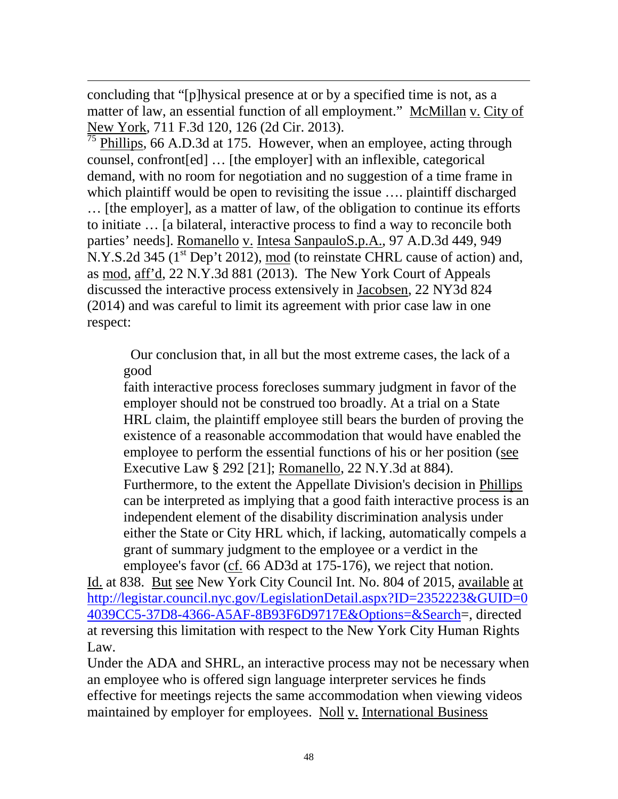concluding that "[p]hysical presence at or by a specified time is not, as a matter of law, an essential function of all employment." McMillan v. City of New York, 711 F.3d 120, 126 (2d Cir. 2013).

 $\overline{a}$ 

Phillips, 66 A.D.3d at 175. However, when an employee, acting through counsel, confront[ed] … [the employer] with an inflexible, categorical demand, with no room for negotiation and no suggestion of a time frame in which plaintiff would be open to revisiting the issue .... plaintiff discharged … [the employer], as a matter of law, of the obligation to continue its efforts to initiate … [a bilateral, interactive process to find a way to reconcile both parties' needs]. Romanello v. Intesa SanpauloS.p.A., 97 A.D.3d 449, 949 N.Y.S.2d 345 (1<sup>st</sup> Dep't 2012), mod (to reinstate CHRL cause of action) and, as mod, aff'd, 22 N.Y.3d 881 (2013). The New York Court of Appeals discussed the interactive process extensively in Jacobsen, 22 NY3d 824 (2014) and was careful to limit its agreement with prior case law in one respect:

 Our conclusion that, in all but the most extreme cases, the lack of a good

faith interactive process forecloses summary judgment in favor of the employer should not be construed too broadly. At a trial on a State HRL claim, the plaintiff employee still bears the burden of proving the existence of a reasonable accommodation that would have enabled the employee to perform the essential functions of his or her position (see [Executive Law § 292](http://www.loislaw.com.dbgateway.nysed.gov/pns/doclink.htp?dockey=18710465@NYCODE&alias=NYCODE&cite=292+Exec.) [21]; Romanello, 22 N.Y.3d at 884). Furthermore, to the extent the Appellate Division's decision in Phillips can be interpreted as implying that a good faith interactive process is an independent element of the disability discrimination analysis under either the State or City HRL which, if lacking, automatically compels a grant of summary judgment to the employee or a verdict in the employee's favor (cf. [66 AD3d at 175-176\)](http://www.loislaw.com.dbgateway.nysed.gov/pns/doclink.htp?alias=NYCASE&cite=66+A.D.3d+170#PG175), we reject that notion.

Id. at 838. But see New York City Council Int. No. 804 of 2015, available at [http://legistar.council.nyc.gov/LegislationDetail.aspx?ID=2352223&GUID=0](http://legistar.council.nyc.gov/LegislationDetail.aspx?ID=2352223&GUID=04039CC5-37D8-4366-A5AF-8B93F6D9717E&Options=&Search) [4039CC5-37D8-4366-A5AF-8B93F6D9717E&Options=&Search=](http://legistar.council.nyc.gov/LegislationDetail.aspx?ID=2352223&GUID=04039CC5-37D8-4366-A5AF-8B93F6D9717E&Options=&Search), directed at reversing this limitation with respect to the New York City Human Rights Law.

Under the ADA and SHRL, an interactive process may not be necessary when an employee who is offered sign language interpreter services he finds effective for meetings rejects the same accommodation when viewing videos maintained by employer for employees. Noll v. International Business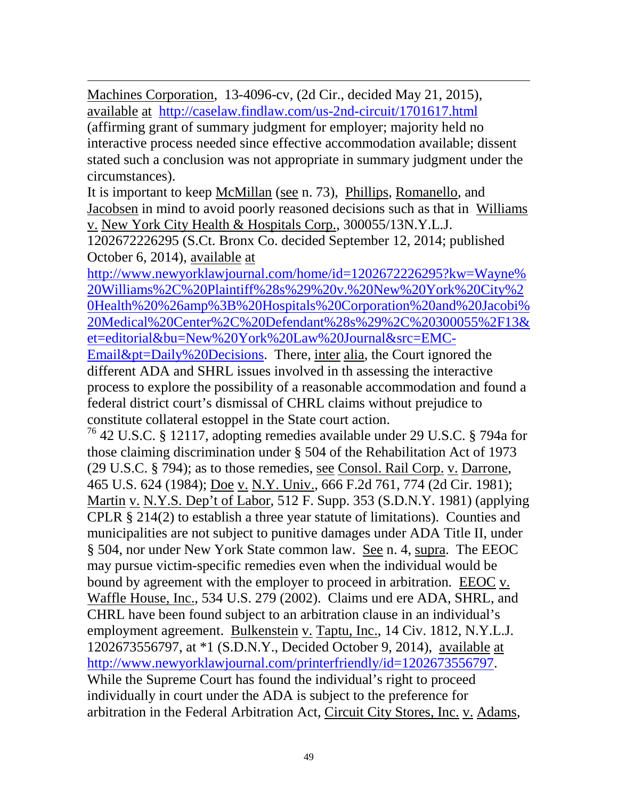$\overline{a}$ Machines Corporation, 13-4096-cv, (2d Cir., decided May 21, 2015), available at <http://caselaw.findlaw.com/us-2nd-circuit/1701617.html>

(affirming grant of summary judgment for employer; majority held no interactive process needed since effective accommodation available; dissent stated such a conclusion was not appropriate in summary judgment under the circumstances).

It is important to keep McMillan (see n. 73), Phillips, Romanello, and Jacobsen in mind to avoid poorly reasoned decisions such as that in Williams v. New York City Health & Hospitals Corp., 300055/13N.Y.L.J.

1202672226295 (S.Ct. Bronx Co. decided September 12, 2014; published October 6, 2014), available at

[http://www.newyorklawjournal.com/home/id=1202672226295?kw=Wayne%](http://www.newyorklawjournal.com/home/id=1202672226295?kw=Wayne%20Williams%2C%20Plaintiff%28s%29%20v.%20New%20York%20City%20Health%20%26amp%3B%20Hospitals%20Corporation%20and%20Jacobi%20Medical%20Center%2C%20Defendant%28s%29%2C%20300055%2F13&et=editorial&bu=New%20York%20Law%20Journal&src=EMC-Email&pt=Daily%20Decisions) [20Williams%2C%20Plaintiff%28s%29%20v.%20New%20York%20City%2](http://www.newyorklawjournal.com/home/id=1202672226295?kw=Wayne%20Williams%2C%20Plaintiff%28s%29%20v.%20New%20York%20City%20Health%20%26amp%3B%20Hospitals%20Corporation%20and%20Jacobi%20Medical%20Center%2C%20Defendant%28s%29%2C%20300055%2F13&et=editorial&bu=New%20York%20Law%20Journal&src=EMC-Email&pt=Daily%20Decisions) [0Health%20%26amp%3B%20Hospitals%20Corporation%20and%20Jacobi%](http://www.newyorklawjournal.com/home/id=1202672226295?kw=Wayne%20Williams%2C%20Plaintiff%28s%29%20v.%20New%20York%20City%20Health%20%26amp%3B%20Hospitals%20Corporation%20and%20Jacobi%20Medical%20Center%2C%20Defendant%28s%29%2C%20300055%2F13&et=editorial&bu=New%20York%20Law%20Journal&src=EMC-Email&pt=Daily%20Decisions) [20Medical%20Center%2C%20Defendant%28s%29%2C%20300055%2F13&](http://www.newyorklawjournal.com/home/id=1202672226295?kw=Wayne%20Williams%2C%20Plaintiff%28s%29%20v.%20New%20York%20City%20Health%20%26amp%3B%20Hospitals%20Corporation%20and%20Jacobi%20Medical%20Center%2C%20Defendant%28s%29%2C%20300055%2F13&et=editorial&bu=New%20York%20Law%20Journal&src=EMC-Email&pt=Daily%20Decisions) [et=editorial&bu=New%20York%20Law%20Journal&src=EMC-](http://www.newyorklawjournal.com/home/id=1202672226295?kw=Wayne%20Williams%2C%20Plaintiff%28s%29%20v.%20New%20York%20City%20Health%20%26amp%3B%20Hospitals%20Corporation%20and%20Jacobi%20Medical%20Center%2C%20Defendant%28s%29%2C%20300055%2F13&et=editorial&bu=New%20York%20Law%20Journal&src=EMC-Email&pt=Daily%20Decisions)

[Email&pt=Daily%20Decisions.](http://www.newyorklawjournal.com/home/id=1202672226295?kw=Wayne%20Williams%2C%20Plaintiff%28s%29%20v.%20New%20York%20City%20Health%20%26amp%3B%20Hospitals%20Corporation%20and%20Jacobi%20Medical%20Center%2C%20Defendant%28s%29%2C%20300055%2F13&et=editorial&bu=New%20York%20Law%20Journal&src=EMC-Email&pt=Daily%20Decisions) There, inter alia, the Court ignored the different ADA and SHRL issues involved in th assessing the interactive process to explore the possibility of a reasonable accommodation and found a federal district court's dismissal of CHRL claims without prejudice to constitute collateral estoppel in the State court action.

<sup>76</sup> 42 U.S.C. § 12117, adopting remedies available under 29 U.S.C. § 794a for those claiming discrimination under § 504 of the Rehabilitation Act of 1973 (29 U.S.C. § 794); as to those remedies, see Consol. Rail Corp. v. Darrone, 465 U.S. 624 (1984); Doe v. N.Y. Univ., 666 F.2d 761, 774 (2d Cir. 1981); Martin v. N.Y.S. Dep't of Labor, 512 F. Supp. 353 (S.D.N.Y. 1981) (applying CPLR § 214(2) to establish a three year statute of limitations). Counties and municipalities are not subject to punitive damages under ADA Title II, under § 504, nor under New York State common law. See n. 4, supra. The EEOC may pursue victim-specific remedies even when the individual would be bound by agreement with the employer to proceed in arbitration. EEOC v. Waffle House, Inc., 534 U.S. 279 (2002). Claims und ere ADA, SHRL, and CHRL have been found subject to an arbitration clause in an individual's employment agreement. Bulkenstein v. Taptu, Inc., 14 Civ. 1812, N.Y.L.J. 1202673556797, at \*1 (S.D.N.Y., Decided October 9, 2014), available at [http://www.newyorklawjournal.com/printerfriendly/id=1202673556797.](http://www.newyorklawjournal.com/printerfriendly/id=1202673556797) While the Supreme Court has found the individual's right to proceed individually in court under the ADA is subject to the preference for arbitration in the Federal Arbitration Act, Circuit City Stores, Inc. v. Adams,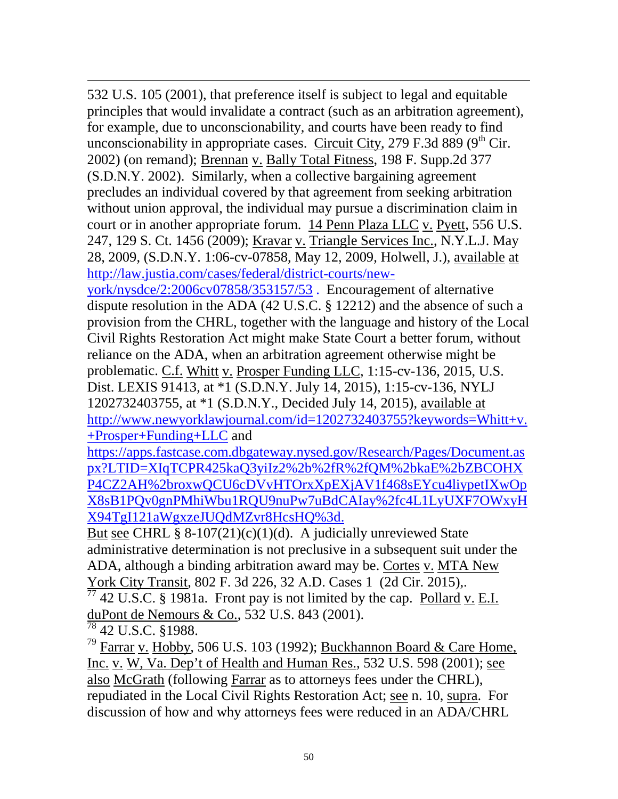$\overline{a}$ 532 U.S. 105 (2001), that preference itself is subject to legal and equitable principles that would invalidate a contract (such as an arbitration agreement), for example, due to unconscionability, and courts have been ready to find unconscionability in appropriate cases. Circuit City, 279 F.3d 889 ( $9<sup>th</sup>$  Cir. 2002) (on remand); Brennan v. Bally Total Fitness, 198 F. Supp.2d 377 (S.D.N.Y. 2002). Similarly, when a collective bargaining agreement precludes an individual covered by that agreement from seeking arbitration without union approval, the individual may pursue a discrimination claim in court or in another appropriate forum. 14 Penn Plaza LLC v. Pyett, 556 U.S. 247, 129 S. Ct. 1456 (2009); Kravar v. Triangle Services Inc., N.Y.L.J. May 28, 2009, (S.D.N.Y. 1:06-cv-07858, May 12, 2009, Holwell, J.), available at [http://law.justia.com/cases/federal/district-courts/new-](http://law.justia.com/cases/federal/district-courts/new-york/nysdce/2:2006cv07858/353157/53)

[york/nysdce/2:2006cv07858/353157/53](http://law.justia.com/cases/federal/district-courts/new-york/nysdce/2:2006cv07858/353157/53) . Encouragement of alternative dispute resolution in the ADA (42 U.S.C. § 12212) and the absence of such a provision from the CHRL, together with the language and history of the Local Civil Rights Restoration Act might make State Court a better forum, without reliance on the ADA, when an arbitration agreement otherwise might be problematic. C.f. Whitt v. Prosper Funding LLC, 1:15-cv-136, 2015, U.S. Dist. LEXIS 91413, at \*1 (S.D.N.Y. July 14, 2015), 1:15-cv-136, NYLJ 1202732403755, at \*1 (S.D.N.Y., Decided July 14, 2015), available at [http://www.newyorklawjournal.com/id=1202732403755?keywords=Whitt+v.](http://www.newyorklawjournal.com/id=1202732403755?keywords=Whitt+v.+Prosper+Funding+LLC) [+Prosper+Funding+LLC](http://www.newyorklawjournal.com/id=1202732403755?keywords=Whitt+v.+Prosper+Funding+LLC) and

[https://apps.fastcase.com.dbgateway.nysed.gov/Research/Pages/Document.as](https://apps.fastcase.com.dbgateway.nysed.gov/Research/Pages/Document.aspx?LTID=XIqTCPR425kaQ3yiIz2%2b%2fR%2fQM%2bkaE%2bZBCOHXP4CZ2AH%2broxwQCU6cDVvHTOrxXpEXjAV1f468sEYcu4liypetIXwOpX8sB1PQv0gnPMhiWbu1RQU9nuPw7uBdCAIay%2fc4L1LyUXF7OWxyHX94TgI121aWgxzeJUQdMZvr8HcsHQ%3d) [px?LTID=XIqTCPR425kaQ3yiIz2%2b%2fR%2fQM%2bkaE%2bZBCOHX](https://apps.fastcase.com.dbgateway.nysed.gov/Research/Pages/Document.aspx?LTID=XIqTCPR425kaQ3yiIz2%2b%2fR%2fQM%2bkaE%2bZBCOHXP4CZ2AH%2broxwQCU6cDVvHTOrxXpEXjAV1f468sEYcu4liypetIXwOpX8sB1PQv0gnPMhiWbu1RQU9nuPw7uBdCAIay%2fc4L1LyUXF7OWxyHX94TgI121aWgxzeJUQdMZvr8HcsHQ%3d) [P4CZ2AH%2broxwQCU6cDVvHTOrxXpEXjAV1f468sEYcu4liypetIXwOp](https://apps.fastcase.com.dbgateway.nysed.gov/Research/Pages/Document.aspx?LTID=XIqTCPR425kaQ3yiIz2%2b%2fR%2fQM%2bkaE%2bZBCOHXP4CZ2AH%2broxwQCU6cDVvHTOrxXpEXjAV1f468sEYcu4liypetIXwOpX8sB1PQv0gnPMhiWbu1RQU9nuPw7uBdCAIay%2fc4L1LyUXF7OWxyHX94TgI121aWgxzeJUQdMZvr8HcsHQ%3d) [X8sB1PQv0gnPMhiWbu1RQU9nuPw7uBdCAIay%2fc4L1LyUXF7OWxyH](https://apps.fastcase.com.dbgateway.nysed.gov/Research/Pages/Document.aspx?LTID=XIqTCPR425kaQ3yiIz2%2b%2fR%2fQM%2bkaE%2bZBCOHXP4CZ2AH%2broxwQCU6cDVvHTOrxXpEXjAV1f468sEYcu4liypetIXwOpX8sB1PQv0gnPMhiWbu1RQU9nuPw7uBdCAIay%2fc4L1LyUXF7OWxyHX94TgI121aWgxzeJUQdMZvr8HcsHQ%3d) [X94TgI121aWgxzeJUQdMZvr8HcsHQ%3d.](https://apps.fastcase.com.dbgateway.nysed.gov/Research/Pages/Document.aspx?LTID=XIqTCPR425kaQ3yiIz2%2b%2fR%2fQM%2bkaE%2bZBCOHXP4CZ2AH%2broxwQCU6cDVvHTOrxXpEXjAV1f468sEYcu4liypetIXwOpX8sB1PQv0gnPMhiWbu1RQU9nuPw7uBdCAIay%2fc4L1LyUXF7OWxyHX94TgI121aWgxzeJUQdMZvr8HcsHQ%3d)

But see CHRL §  $8-107(21)(c)(1)(d)$ . A judicially unreviewed State administrative determination is not preclusive in a subsequent suit under the ADA, although a binding arbitration award may be. Cortes v. MTA New York City Transit, 802 F. 3d 226, 32 A.D. Cases 1 (2d Cir. 2015),.  $\frac{77}{71}$  42 U.S.C. § 1981a. Front pay is not limited by the cap. <u>Pollard v. E.I.</u>

duPont de Nemours & Co., 532 U.S. 843 (2001).

<sup>78</sup> 42 U.S.C. §1988.

<sup>79</sup> Farrar v. Hobby, 506 U.S. 103 (1992); Buckhannon Board & Care Home, Inc. v. W, Va. Dep't of Health and Human Res., 532 U.S. 598 (2001); see also McGrath (following Farrar as to attorneys fees under the CHRL), repudiated in the Local Civil Rights Restoration Act; see n. 10, supra. For discussion of how and why attorneys fees were reduced in an ADA/CHRL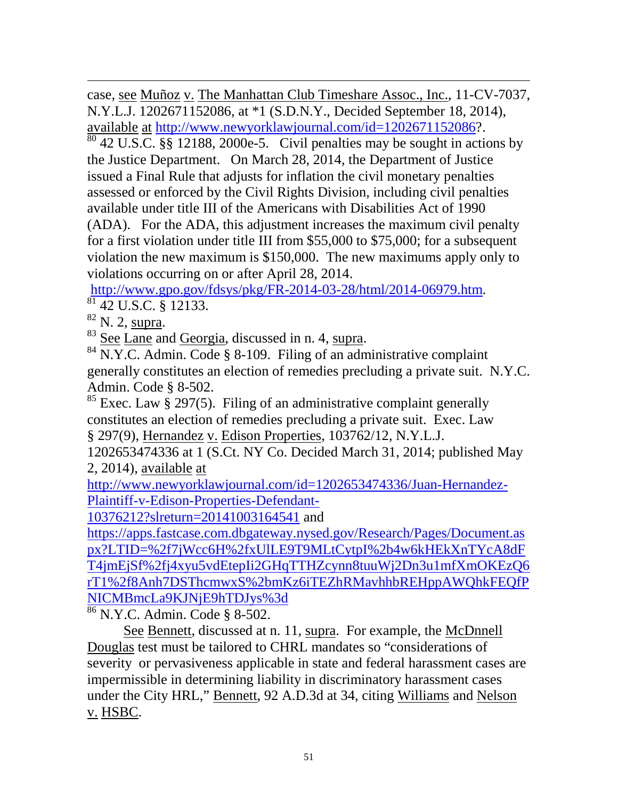$\overline{a}$ case, see Muñoz v. The Manhattan Club Timeshare Assoc., Inc., 11-CV-7037, N.Y.L.J. 1202671152086, at \*1 (S.D.N.Y., Decided September 18, 2014), available at [http://www.newyorklawjournal.com/id=1202671152086?](http://www.newyorklawjournal.com/id=1202671152086).

 $\frac{80}{42}$  U.S.C. §§ 12188, 2000e-5. Civil penalties may be sought in actions by the Justice Department. On March 28, 2014, the Department of Justice issued a Final Rule that adjusts for inflation the civil monetary penalties assessed or enforced by the Civil Rights Division, including civil penalties available under title III of the Americans with Disabilities Act of 1990 (ADA). For the ADA, this adjustment increases the maximum civil penalty for a first violation under title III from \$55,000 to \$75,000; for a subsequent violation the new maximum is \$150,000. The new maximums apply only to violations occurring on or after April 28, 2014.

[http://www.gpo.gov/fdsys/pkg/FR-2014-03-28/html/2014-06979.htm.](http://www.gpo.gov/fdsys/pkg/FR-2014-03-28/html/2014-06979.htm)<br><sup>[81](http://www.gpo.gov/fdsys/pkg/FR-2014-03-28/html/2014-06979.htm)</sup> 42 U.S.C. § 12133.<br><sup>82</sup> N. 2, supra.

<sup>83</sup> See Lane and Georgia, discussed in n. 4, supra.<br><sup>84</sup> N.Y.C. Admin. Code § 8-109. Filing of an administrative complaint generally constitutes an election of remedies precluding a private suit. N.Y.C. Admin. Code § 8-502.

 $85$  Exec. Law § 297(5). Filing of an administrative complaint generally constitutes an election of remedies precluding a private suit. Exec. Law § 297(9), Hernandez v. Edison Properties, 103762/12, N.Y.L.J.

1202653474336 at 1 (S.Ct. NY Co. Decided March 31, 2014; published May 2, 2014), available at

[http://www.newyorklawjournal.com/id=1202653474336/Juan-Hernandez-](http://www.newyorklawjournal.com/id=1202653474336/Juan-Hernandez-Plaintiff-v-Edison-Properties-Defendant-10376212?slreturn=20141003164541)[Plaintiff-v-Edison-Properties-Defendant-](http://www.newyorklawjournal.com/id=1202653474336/Juan-Hernandez-Plaintiff-v-Edison-Properties-Defendant-10376212?slreturn=20141003164541)

[10376212?slreturn=20141003164541](http://www.newyorklawjournal.com/id=1202653474336/Juan-Hernandez-Plaintiff-v-Edison-Properties-Defendant-10376212?slreturn=20141003164541) and

[https://apps.fastcase.com.dbgateway.nysed.gov/Research/Pages/Document.as](https://apps.fastcase.com.dbgateway.nysed.gov/Research/Pages/Document.aspx?LTID=%2f7jWcc6H%2fxUlLE9T9MLtCytpI%2b4w6kHEkXnTYcA8dFT4jmEjSf%2fj4xyu5vdEtepIi2GHqTTHZcynn8tuuWj2Dn3u1mfXmOKEzQ6rT1%2f8Anh7DSThcmwxS%2bmKz6iTEZhRMavhhbREHppAWQhkFEQfPNICMBmcLa9KJNjE9hTDJys%3d) [px?LTID=%2f7jWcc6H%2fxUlLE9T9MLtCytpI%2b4w6kHEkXnTYcA8dF](https://apps.fastcase.com.dbgateway.nysed.gov/Research/Pages/Document.aspx?LTID=%2f7jWcc6H%2fxUlLE9T9MLtCytpI%2b4w6kHEkXnTYcA8dFT4jmEjSf%2fj4xyu5vdEtepIi2GHqTTHZcynn8tuuWj2Dn3u1mfXmOKEzQ6rT1%2f8Anh7DSThcmwxS%2bmKz6iTEZhRMavhhbREHppAWQhkFEQfPNICMBmcLa9KJNjE9hTDJys%3d) [T4jmEjSf%2fj4xyu5vdEtepIi2GHqTTHZcynn8tuuWj2Dn3u1mfXmOKEzQ6](https://apps.fastcase.com.dbgateway.nysed.gov/Research/Pages/Document.aspx?LTID=%2f7jWcc6H%2fxUlLE9T9MLtCytpI%2b4w6kHEkXnTYcA8dFT4jmEjSf%2fj4xyu5vdEtepIi2GHqTTHZcynn8tuuWj2Dn3u1mfXmOKEzQ6rT1%2f8Anh7DSThcmwxS%2bmKz6iTEZhRMavhhbREHppAWQhkFEQfPNICMBmcLa9KJNjE9hTDJys%3d) [rT1%2f8Anh7DSThcmwxS%2bmKz6iTEZhRMavhhbREHppAWQhkFEQfP](https://apps.fastcase.com.dbgateway.nysed.gov/Research/Pages/Document.aspx?LTID=%2f7jWcc6H%2fxUlLE9T9MLtCytpI%2b4w6kHEkXnTYcA8dFT4jmEjSf%2fj4xyu5vdEtepIi2GHqTTHZcynn8tuuWj2Dn3u1mfXmOKEzQ6rT1%2f8Anh7DSThcmwxS%2bmKz6iTEZhRMavhhbREHppAWQhkFEQfPNICMBmcLa9KJNjE9hTDJys%3d) [NICMBmcLa9KJNjE9hTDJys%3d](https://apps.fastcase.com.dbgateway.nysed.gov/Research/Pages/Document.aspx?LTID=%2f7jWcc6H%2fxUlLE9T9MLtCytpI%2b4w6kHEkXnTYcA8dFT4jmEjSf%2fj4xyu5vdEtepIi2GHqTTHZcynn8tuuWj2Dn3u1mfXmOKEzQ6rT1%2f8Anh7DSThcmwxS%2bmKz6iTEZhRMavhhbREHppAWQhkFEQfPNICMBmcLa9KJNjE9hTDJys%3d)

<sup>86</sup> N.Y.C. Admin. Code § 8-502.

See Bennett, discussed at n. 11, supra. For example, the McDnnell Douglas test must be tailored to CHRL mandates so "considerations of severity or pervasiveness applicable in state and federal harassment cases are impermissible in determining liability in discriminatory harassment cases under the City HRL," Bennett, 92 A.D.3d at 34, citing Williams and Nelson v. HSBC.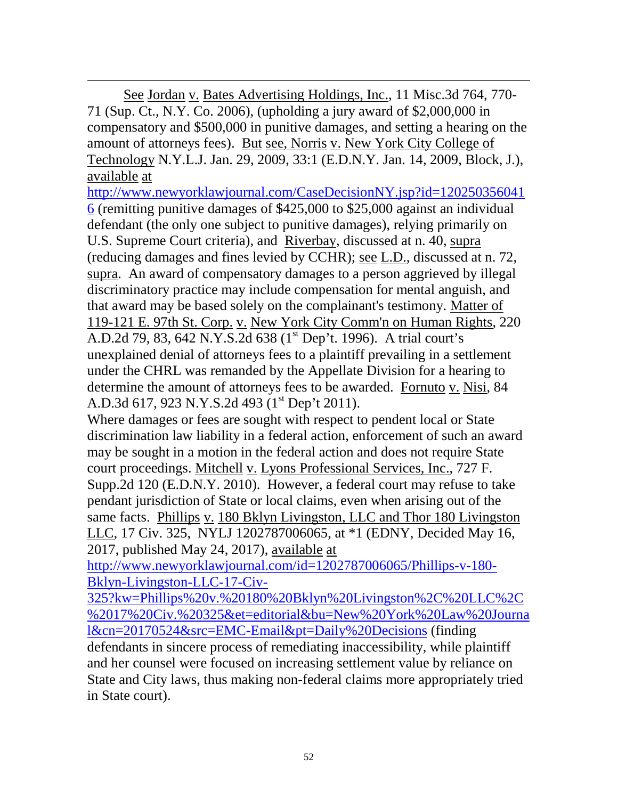$\overline{a}$ See Jordan v. Bates Advertising Holdings, Inc., 11 Misc.3d 764, 770- 71 (Sup. Ct., N.Y. Co. 2006), (upholding a jury award of \$2,000,000 in compensatory and \$500,000 in punitive damages, and setting a hearing on the amount of attorneys fees). But see, Norris v. New York City College of Technology N.Y.L.J. Jan. 29, 2009, 33:1 (E.D.N.Y. Jan. 14, 2009, Block, J.), available at

[http://www.newyorklawjournal.com/CaseDecisionNY.jsp?id=120250356041](http://www.newyorklawjournal.com/CaseDecisionNY.jsp?id=1202503560416) [6](http://www.newyorklawjournal.com/CaseDecisionNY.jsp?id=1202503560416) (remitting punitive damages of \$425,000 to \$25,000 against an individual defendant (the only one subject to punitive damages), relying primarily on U.S. Supreme Court criteria), and Riverbay, discussed at n. 40, supra (reducing damages and fines levied by CCHR); see L.D., discussed at n. 72, supra. An award of compensatory damages to a person aggrieved by illegal discriminatory practice may include compensation for mental anguish, and that award may be based solely on the complainant's testimony. Matter of 119-121 E. 97th St. Corp. v. New York City Comm'n on Human Rights, 220 A.D.2d 79, 83, 642 N.Y.S.2d 638 (1<sup>st</sup> Dep't. 1996). A trial court's unexplained denial of attorneys fees to a plaintiff prevailing in a settlement under the CHRL was remanded by the Appellate Division for a hearing to determine the amount of attorneys fees to be awarded. Fornuto v. Nisi, 84 A.D.3d 617, 923 N.Y.S.2d 493 (1<sup>st</sup> Dep't 2011).

Where damages or fees are sought with respect to pendent local or State discrimination law liability in a federal action, enforcement of such an award may be sought in a motion in the federal action and does not require State court proceedings. Mitchell v. Lyons Professional Services, Inc., 727 F. Supp.2d 120 (E.D.N.Y. 2010). However, a federal court may refuse to take pendant jurisdiction of State or local claims, even when arising out of the same facts. Phillips v. 180 Bklyn Livingston, LLC and Thor 180 Livingston LLC, 17 Civ. 325, NYLJ 1202787006065, at \*1 (EDNY, Decided May 16, 2017, published May 24, 2017), available at

[http://www.newyorklawjournal.com/id=1202787006065/Phillips-v-180-](http://www.newyorklawjournal.com/id=1202787006065/Phillips-v-180-Bklyn-Livingston-LLC-17-Civ-325?kw=Phillips%20v.%20180%20Bklyn%20Livingston%2C%20LLC%2C%2017%20Civ.%20325&et=editorial&bu=New%20York%20Law%20Journal&cn=20170524&src=EMC-Email&pt=Daily%20Decisions) [Bklyn-Livingston-LLC-17-Civ-](http://www.newyorklawjournal.com/id=1202787006065/Phillips-v-180-Bklyn-Livingston-LLC-17-Civ-325?kw=Phillips%20v.%20180%20Bklyn%20Livingston%2C%20LLC%2C%2017%20Civ.%20325&et=editorial&bu=New%20York%20Law%20Journal&cn=20170524&src=EMC-Email&pt=Daily%20Decisions)

[325?kw=Phillips%20v.%20180%20Bklyn%20Livingston%2C%20LLC%2C](http://www.newyorklawjournal.com/id=1202787006065/Phillips-v-180-Bklyn-Livingston-LLC-17-Civ-325?kw=Phillips%20v.%20180%20Bklyn%20Livingston%2C%20LLC%2C%2017%20Civ.%20325&et=editorial&bu=New%20York%20Law%20Journal&cn=20170524&src=EMC-Email&pt=Daily%20Decisions) [%2017%20Civ.%20325&et=editorial&bu=New%20York%20Law%20Journa](http://www.newyorklawjournal.com/id=1202787006065/Phillips-v-180-Bklyn-Livingston-LLC-17-Civ-325?kw=Phillips%20v.%20180%20Bklyn%20Livingston%2C%20LLC%2C%2017%20Civ.%20325&et=editorial&bu=New%20York%20Law%20Journal&cn=20170524&src=EMC-Email&pt=Daily%20Decisions) [l&cn=20170524&src=EMC-Email&pt=Daily%20Decisions](http://www.newyorklawjournal.com/id=1202787006065/Phillips-v-180-Bklyn-Livingston-LLC-17-Civ-325?kw=Phillips%20v.%20180%20Bklyn%20Livingston%2C%20LLC%2C%2017%20Civ.%20325&et=editorial&bu=New%20York%20Law%20Journal&cn=20170524&src=EMC-Email&pt=Daily%20Decisions) (finding defendants in sincere process of remediating inaccessibility, while plaintiff and her counsel were focused on increasing settlement value by reliance on State and City laws, thus making non-federal claims more appropriately tried in State court).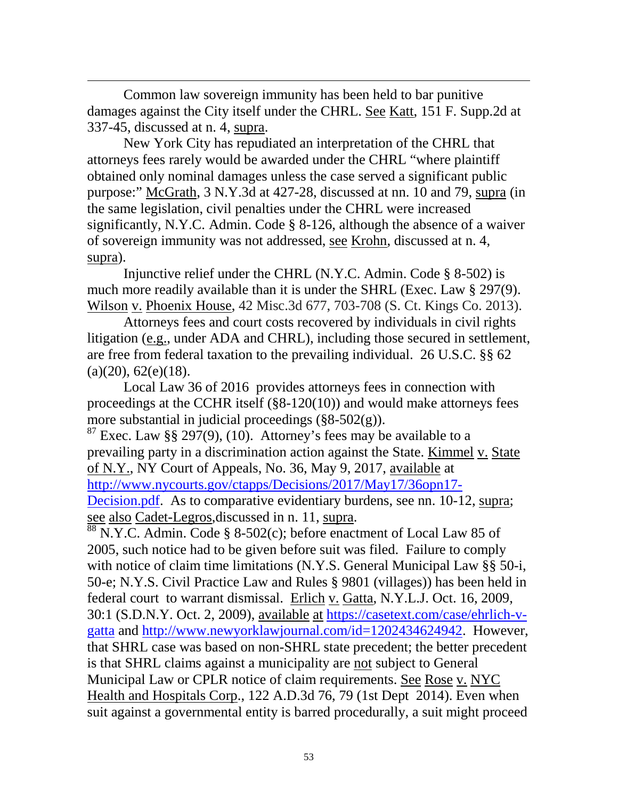Common law sovereign immunity has been held to bar punitive damages against the City itself under the CHRL. See Katt, 151 F. Supp.2d at 337-45, discussed at n. 4, supra.

 $\overline{a}$ 

New York City has repudiated an interpretation of the CHRL that attorneys fees rarely would be awarded under the CHRL "where plaintiff obtained only nominal damages unless the case served a significant public purpose:" McGrath, 3 N.Y.3d at 427-28, discussed at nn. 10 and 79, supra (in the same legislation, civil penalties under the CHRL were increased significantly, N.Y.C. Admin. Code § 8-126, although the absence of a waiver of sovereign immunity was not addressed, see Krohn, discussed at n. 4, supra).

Injunctive relief under the CHRL (N.Y.C. Admin. Code § 8-502) is much more readily available than it is under the SHRL (Exec. Law § 297(9). Wilson v. Phoenix House, 42 Misc.3d 677, 703-708 (S. Ct. Kings Co. 2013).

Attorneys fees and court costs recovered by individuals in civil rights litigation (e.g., under ADA and CHRL), including those secured in settlement, are free from federal taxation to the prevailing individual. 26 U.S.C. §§ 62  $(a)(20), 62(e)(18).$ 

Local Law 36 of 2016 provides attorneys fees in connection with proceedings at the CCHR itself (§8-120(10)) and would make attorneys fees more substantial in judicial proceedings  $(\frac{8}{8} - 502)$ .

<sup>87</sup> Exec. Law §§ 297(9), (10). Attorney's fees may be available to a prevailing party in a discrimination action against the State. Kimmel v. State of N.Y., NY Court of Appeals, No. 36, May 9, 2017, available at [http://www.nycourts.gov/ctapps/Decisions/2017/May17/36opn17-](http://www.nycourts.gov/ctapps/Decisions/2017/May17/36opn17-Decision.pdf) [Decision.pdf.](http://www.nycourts.gov/ctapps/Decisions/2017/May17/36opn17-Decision.pdf) As to comparative evidentiary burdens, see nn. 10-12, supra;<br>see also Cadet-Legros, discussed in n. 11, supra.

 $88$  N.Y.C. Admin. Code § 8-502(c); before enactment of Local Law 85 of 2005, such notice had to be given before suit was filed. Failure to comply with notice of claim time limitations (N.Y.S. General Municipal Law §§ 50-i, 50-e; N.Y.S. Civil Practice Law and Rules § 9801 (villages)) has been held in federal court to warrant dismissal. Erlich v. Gatta, N.Y.L.J. Oct. 16, 2009, 30:1 (S.D.N.Y. Oct. 2, 2009), available at [https://casetext.com/case/ehrlich-v](https://casetext.com/case/ehrlich-v-gatta)[gatta](https://casetext.com/case/ehrlich-v-gatta) and [http://www.newyorklawjournal.com/id=1202434624942.](http://www.newyorklawjournal.com/id=1202434624942) However, that SHRL case was based on non-SHRL state precedent; the better precedent is that SHRL claims against a municipality are not subject to General Municipal Law or CPLR notice of claim requirements. See Rose v. NYC Health and Hospitals Corp., 122 A.D.3d 76, 79 (1st Dept 2014). Even when suit against a governmental entity is barred procedurally, a suit might proceed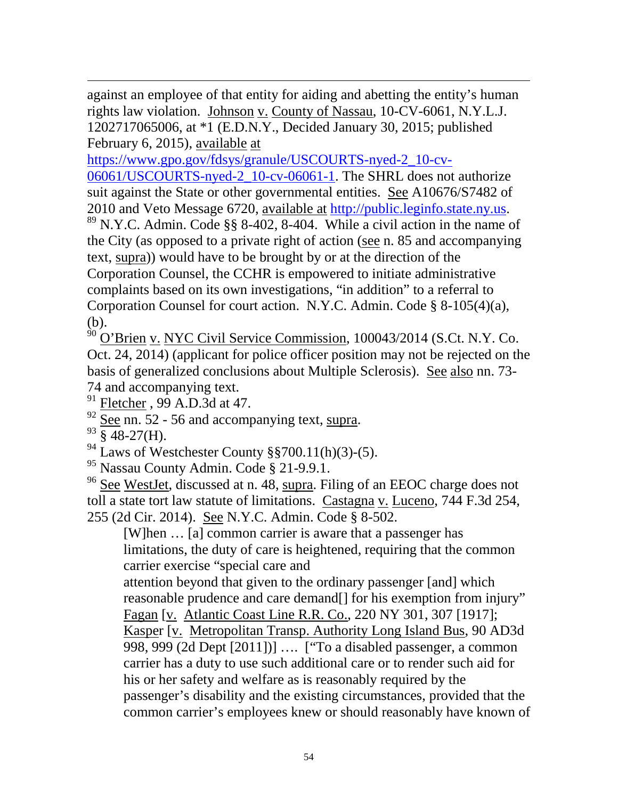$\overline{a}$ against an employee of that entity for aiding and abetting the entity's human rights law violation. Johnson v. County of Nassau, 10-CV-6061, N.Y.L.J. 1202717065006, at \*1 (E.D.N.Y., Decided January 30, 2015; published February 6, 2015), available at

[https://www.gpo.gov/fdsys/granule/USCOURTS-nyed-2\\_10-cv-](https://www.gpo.gov/fdsys/granule/USCOURTS-nyed-2_10-cv-06061/USCOURTS-nyed-2_10-cv-06061-1)[06061/USCOURTS-nyed-2\\_10-cv-06061-1.](https://www.gpo.gov/fdsys/granule/USCOURTS-nyed-2_10-cv-06061/USCOURTS-nyed-2_10-cv-06061-1) The SHRL does not authorize suit against the State or other governmental entities. See A10676/S7482 of

2010 and Veto Message 6720, <u>available at http://public.leginfo.state.ny.us</u>. <sup>89</sup> N.Y.C. Admin. Code §§ 8-402, 8-404. While a civil action in the name of the City (as opposed to a private right of action (see n. 85 and accompanying text, supra)) would have to be brought by or at the direction of the Corporation Counsel, the CCHR is empowered to initiate administrative complaints based on its own investigations, "in addition" to a referral to Corporation Counsel for court action. N.Y.C. Admin. Code § 8-105(4)(a), (b).

<sup>90</sup> O'Brien v. NYC Civil Service Commission, 100043/2014 (S.Ct. N.Y. Co. Oct. 24, 2014) (applicant for police officer position may not be rejected on the basis of generalized conclusions about Multiple Sclerosis). See also nn. 73- 74 and accompanying text.

- $91$  Fletcher,  $99$  A.D.3d at 47.
- $\frac{92}{93}$  See nn. 52 56 and accompanying text, supra.<br> $\frac{93}{93}$  § 48-27(H).
- 
- <sup>94</sup> Laws of Westchester County §§700.11(h)(3)-(5).
- <sup>95</sup> Nassau County Admin. Code § 21-9.9.1.

<sup>96</sup> See WestJet, discussed at n. 48, supra. Filing of an EEOC charge does not toll a state tort law statute of limitations. Castagna v. Luceno, 744 F.3d 254, 255 (2d Cir. 2014). See N.Y.C. Admin. Code § 8-502.

[W]hen … [a] common carrier is aware that a passenger has limitations, the duty of care is heightened, requiring that the common carrier exercise "special care and

attention beyond that given to the ordinary passenger [and] which reasonable prudence and care demand[] for his exemption from injury" Fagan [v. Atlantic Coast Line R.R. Co., 220 NY 301, 307 [1917]; Kasper [v. Metropolitan Transp. Authority Long Island Bus, 90 AD3d 998, 999 (2d Dept [2011])] …. ["To a disabled passenger, a common carrier has a duty to use such additional care or to render such aid for his or her safety and welfare as is reasonably required by the passenger's disability and the existing circumstances, provided that the common carrier's employees knew or should reasonably have known of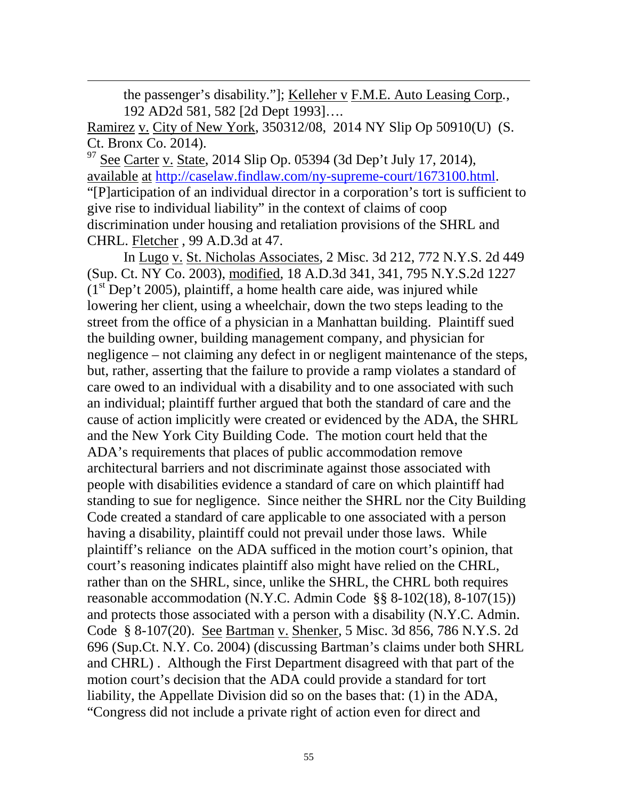the passenger's disability."]; Kelleher v F.M.E. Auto Leasing Corp*.*, 192 AD2d 581, 582 [2d Dept 1993]….

Ramirez v. City of New York, 350312/08, 2014 NY Slip Op 50910(U) (S. Ct. Bronx Co. 2014).

 $\overline{a}$ 

 $97$  See Carter v. State, 2014 Slip Op. 05394 (3d Dep't July 17, 2014), available at [http://caselaw.findlaw.com/ny-supreme-court/1673100.html.](http://caselaw.findlaw.com/ny-supreme-court/1673100.html) "[P]articipation of an individual director in a corporation's tort is sufficient to give rise to individual liability" in the context of claims of coop discrimination under housing and retaliation provisions of the SHRL and CHRL. Fletcher , 99 A.D.3d at 47.

In Lugo v. St. Nicholas Associates, 2 Misc. 3d 212, 772 N.Y.S. 2d 449 (Sup. Ct. NY Co. 2003), modified, 18 A.D.3d 341, 341, 795 N.Y.S.2d 1227  $(1<sup>st</sup> Dep't 2005)$ , plaintiff, a home health care aide, was injured while lowering her client, using a wheelchair, down the two steps leading to the street from the office of a physician in a Manhattan building. Plaintiff sued the building owner, building management company, and physician for negligence – not claiming any defect in or negligent maintenance of the steps, but, rather, asserting that the failure to provide a ramp violates a standard of care owed to an individual with a disability and to one associated with such an individual; plaintiff further argued that both the standard of care and the cause of action implicitly were created or evidenced by the ADA, the SHRL and the New York City Building Code. The motion court held that the ADA's requirements that places of public accommodation remove architectural barriers and not discriminate against those associated with people with disabilities evidence a standard of care on which plaintiff had standing to sue for negligence. Since neither the SHRL nor the City Building Code created a standard of care applicable to one associated with a person having a disability, plaintiff could not prevail under those laws. While plaintiff's reliance on the ADA sufficed in the motion court's opinion, that court's reasoning indicates plaintiff also might have relied on the CHRL, rather than on the SHRL, since, unlike the SHRL, the CHRL both requires reasonable accommodation (N.Y.C. Admin Code §§ 8-102(18), 8-107(15)) and protects those associated with a person with a disability (N.Y.C. Admin. Code § 8-107(20). See Bartman v. Shenker, 5 Misc. 3d 856, 786 N.Y.S. 2d 696 (Sup.Ct. N.Y. Co. 2004) (discussing Bartman's claims under both SHRL and CHRL) . Although the First Department disagreed with that part of the motion court's decision that the ADA could provide a standard for tort liability, the Appellate Division did so on the bases that: (1) in the ADA, "Congress did not include a private right of action even for direct and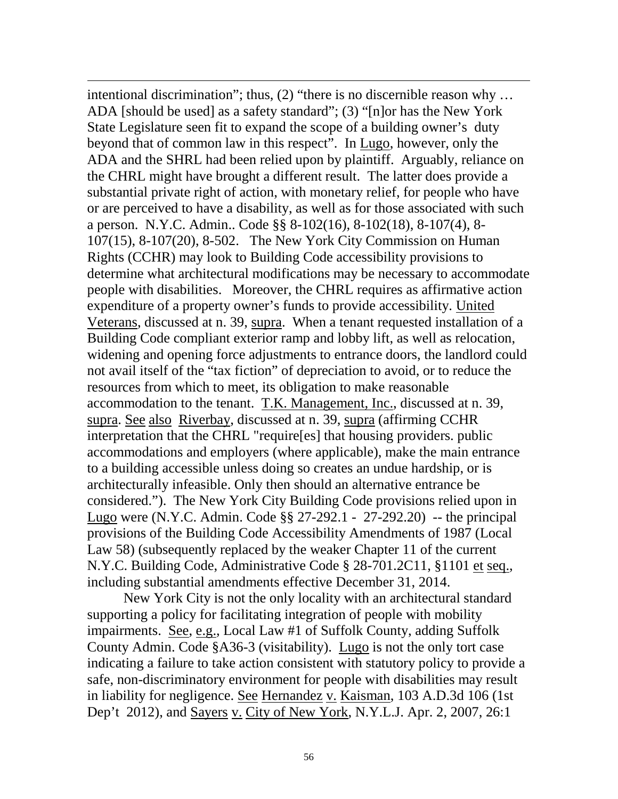intentional discrimination"; thus, (2) "there is no discernible reason why … ADA [should be used] as a safety standard"; (3) "[n]or has the New York State Legislature seen fit to expand the scope of a building owner's duty beyond that of common law in this respect". In Lugo, however, only the ADA and the SHRL had been relied upon by plaintiff. Arguably, reliance on the CHRL might have brought a different result. The latter does provide a substantial private right of action, with monetary relief, for people who have or are perceived to have a disability, as well as for those associated with such a person. N.Y.C. Admin.. Code §§ 8-102(16), 8-102(18), 8-107(4), 8- 107(15), 8-107(20), 8-502. The New York City Commission on Human Rights (CCHR) may look to Building Code accessibility provisions to determine what architectural modifications may be necessary to accommodate people with disabilities. Moreover, the CHRL requires as affirmative action expenditure of a property owner's funds to provide accessibility. United Veterans, discussed at n. 39, supra. When a tenant requested installation of a Building Code compliant exterior ramp and lobby lift, as well as relocation, widening and opening force adjustments to entrance doors, the landlord could not avail itself of the "tax fiction" of depreciation to avoid, or to reduce the resources from which to meet, its obligation to make reasonable accommodation to the tenant. T.K. Management, Inc., discussed at n. 39, supra. See also Riverbay, discussed at n. 39, supra (affirming CCHR interpretation that the CHRL "require[es] that housing providers. public accommodations and employers (where applicable), make the main entrance to a building accessible unless doing so creates an undue hardship, or is architecturally infeasible. Only then should an alternative entrance be considered."). The New York City Building Code provisions relied upon in Lugo were (N.Y.C. Admin. Code §§ 27-292.1 - 27-292.20) -- the principal provisions of the Building Code Accessibility Amendments of 1987 (Local Law 58) (subsequently replaced by the weaker Chapter 11 of the current N.Y.C. Building Code, Administrative Code § 28-701.2C11, §1101 et seq., including substantial amendments effective December 31, 2014.

 $\overline{a}$ 

New York City is not the only locality with an architectural standard supporting a policy for facilitating integration of people with mobility impairments. See, e.g., Local Law #1 of Suffolk County, adding Suffolk County Admin. Code §A36-3 (visitability). Lugo is not the only tort case indicating a failure to take action consistent with statutory policy to provide a safe, non-discriminatory environment for people with disabilities may result in liability for negligence. See Hernandez v. Kaisman, 103 A.D.3d 106 (1st Dep't 2012), and Sayers v. City of New York, N.Y.L.J. Apr. 2, 2007, 26:1